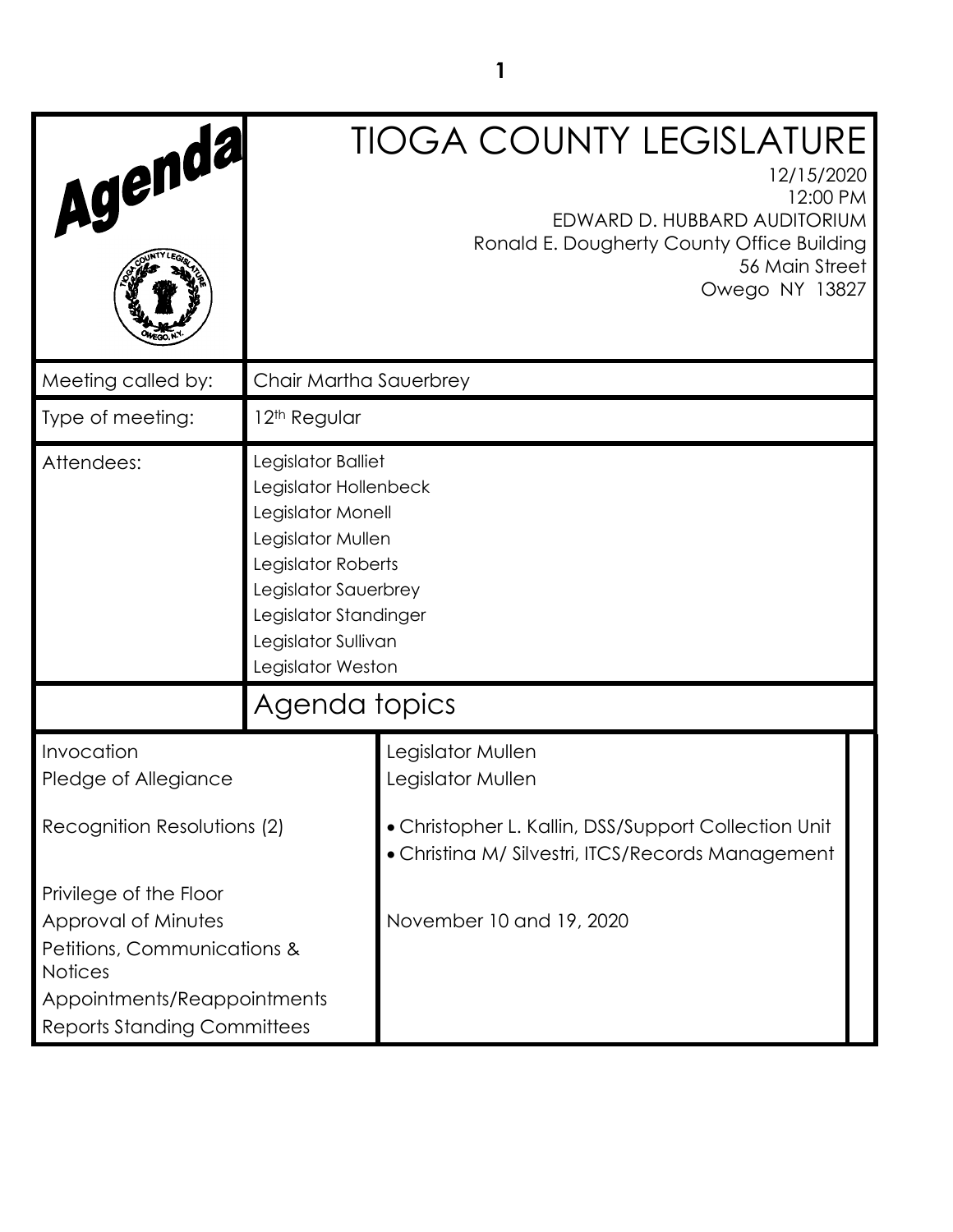| Agenda                                                                                                                                                              |                                                                                                                                                                                                          | <b>TIOGA COUNTY LEGISLATURE</b><br>12/15/2020<br>12:00 PM<br>EDWARD D. HUBBARD AUDITORIUM<br>Ronald E. Dougherty County Office Building<br>56 Main Street<br>Owego NY 13827 |  |
|---------------------------------------------------------------------------------------------------------------------------------------------------------------------|----------------------------------------------------------------------------------------------------------------------------------------------------------------------------------------------------------|-----------------------------------------------------------------------------------------------------------------------------------------------------------------------------|--|
| Meeting called by:                                                                                                                                                  | Chair Martha Sauerbrey                                                                                                                                                                                   |                                                                                                                                                                             |  |
| Type of meeting:                                                                                                                                                    | 12 <sup>th</sup> Regular                                                                                                                                                                                 |                                                                                                                                                                             |  |
| Attendees:                                                                                                                                                          | Legislator Balliet<br>Legislator Hollenbeck<br>Legislator Monell<br>Legislator Mullen<br>Legislator Roberts<br>Legislator Sauerbrey<br>Legislator Standinger<br>Legislator Sullivan<br>Legislator Weston |                                                                                                                                                                             |  |
|                                                                                                                                                                     | Agenda topics                                                                                                                                                                                            |                                                                                                                                                                             |  |
| Invocation<br>Pledge of Allegiance<br>Recognition Resolutions (2)                                                                                                   |                                                                                                                                                                                                          | Legislator Mullen<br>Legislator Mullen<br>• Christopher L. Kallin, DSS/Support Collection Unit<br>• Christina M/ Silvestri, ITCS/Records Management                         |  |
| Privilege of the Floor<br>Approval of Minutes<br>Petitions, Communications &<br><b>Notices</b><br>Appointments/Reappointments<br><b>Reports Standing Committees</b> |                                                                                                                                                                                                          | November 10 and 19, 2020                                                                                                                                                    |  |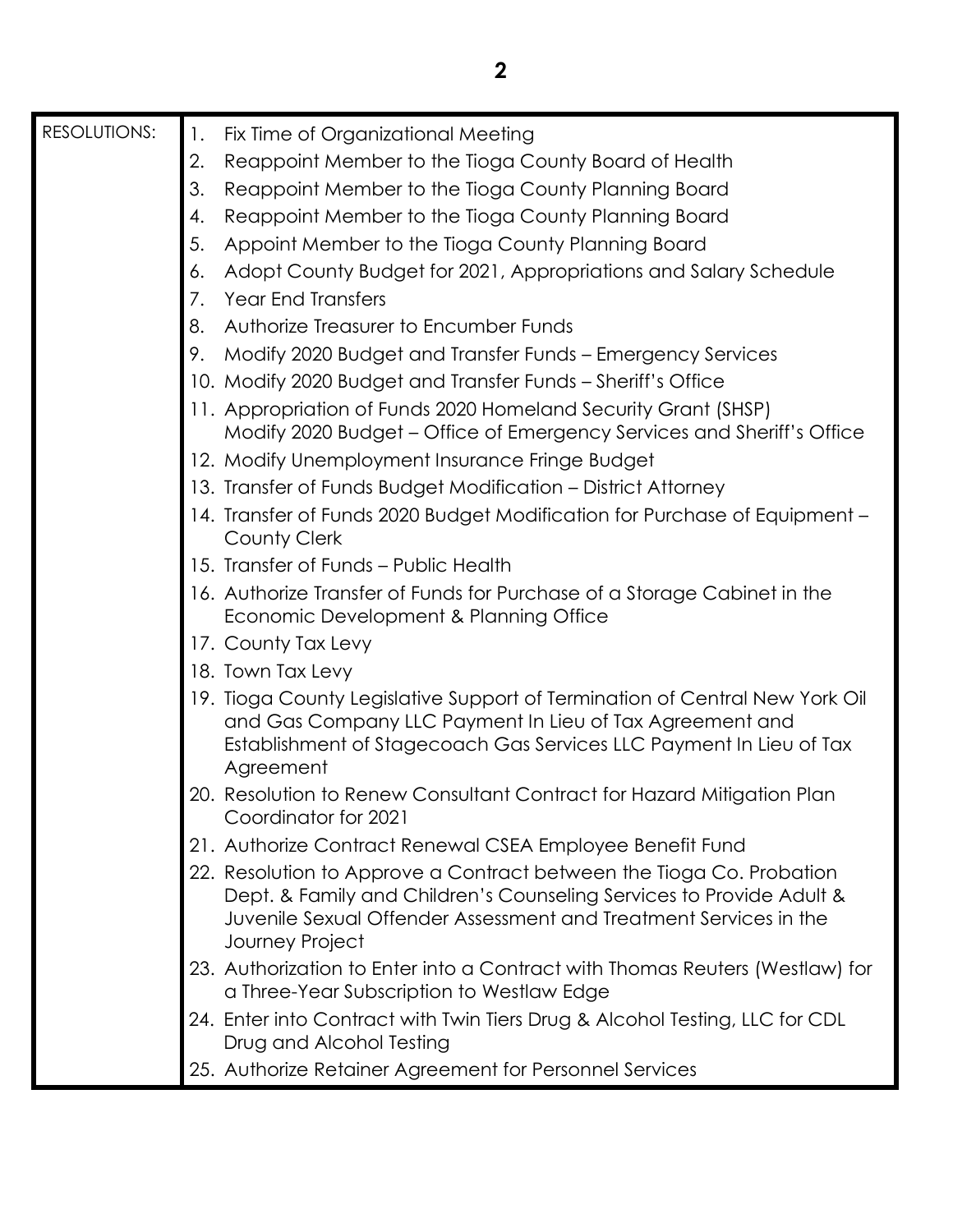| <b>RESOLUTIONS:</b> | Fix Time of Organizational Meeting<br>1.                                                                                                                                                                                             |
|---------------------|--------------------------------------------------------------------------------------------------------------------------------------------------------------------------------------------------------------------------------------|
|                     | Reappoint Member to the Tioga County Board of Health<br>2.                                                                                                                                                                           |
|                     | 3.<br>Reappoint Member to the Tioga County Planning Board                                                                                                                                                                            |
|                     | Reappoint Member to the Tioga County Planning Board<br>4.                                                                                                                                                                            |
|                     | 5.<br>Appoint Member to the Tioga County Planning Board                                                                                                                                                                              |
|                     | Adopt County Budget for 2021, Appropriations and Salary Schedule<br>6.                                                                                                                                                               |
|                     | 7.<br><b>Year End Transfers</b>                                                                                                                                                                                                      |
|                     | 8.<br>Authorize Treasurer to Encumber Funds                                                                                                                                                                                          |
|                     | 9.<br>Modify 2020 Budget and Transfer Funds - Emergency Services                                                                                                                                                                     |
|                     | 10. Modify 2020 Budget and Transfer Funds – Sheriff's Office                                                                                                                                                                         |
|                     | 11. Appropriation of Funds 2020 Homeland Security Grant (SHSP)<br>Modify 2020 Budget - Office of Emergency Services and Sheriff's Office                                                                                             |
|                     | 12. Modify Unemployment Insurance Fringe Budget                                                                                                                                                                                      |
|                     | 13. Transfer of Funds Budget Modification - District Attorney                                                                                                                                                                        |
|                     | 14. Transfer of Funds 2020 Budget Modification for Purchase of Equipment -<br>County Clerk                                                                                                                                           |
|                     | 15. Transfer of Funds - Public Health                                                                                                                                                                                                |
|                     | 16. Authorize Transfer of Funds for Purchase of a Storage Cabinet in the<br>Economic Development & Planning Office                                                                                                                   |
|                     | 17. County Tax Levy                                                                                                                                                                                                                  |
|                     | 18. Town Tax Levy                                                                                                                                                                                                                    |
|                     | 19. Tioga County Legislative Support of Termination of Central New York Oil<br>and Gas Company LLC Payment In Lieu of Tax Agreement and<br>Establishment of Stagecoach Gas Services LLC Payment In Lieu of Tax<br>Agreement          |
|                     | 20. Resolution to Renew Consultant Contract for Hazard Mitigation Plan<br>Coordinator for 2021                                                                                                                                       |
|                     | 21. Authorize Contract Renewal CSEA Employee Benefit Fund                                                                                                                                                                            |
|                     | 22. Resolution to Approve a Contract between the Tioga Co. Probation<br>Dept. & Family and Children's Counseling Services to Provide Adult &<br>Juvenile Sexual Offender Assessment and Treatment Services in the<br>Journey Project |
|                     | 23. Authorization to Enter into a Contract with Thomas Reuters (Westlaw) for<br>a Three-Year Subscription to Westlaw Edge                                                                                                            |
|                     | 24. Enter into Contract with Twin Tiers Drug & Alcohol Testing, LLC for CDL<br>Drug and Alcohol Testing                                                                                                                              |
|                     | 25. Authorize Retainer Agreement for Personnel Services                                                                                                                                                                              |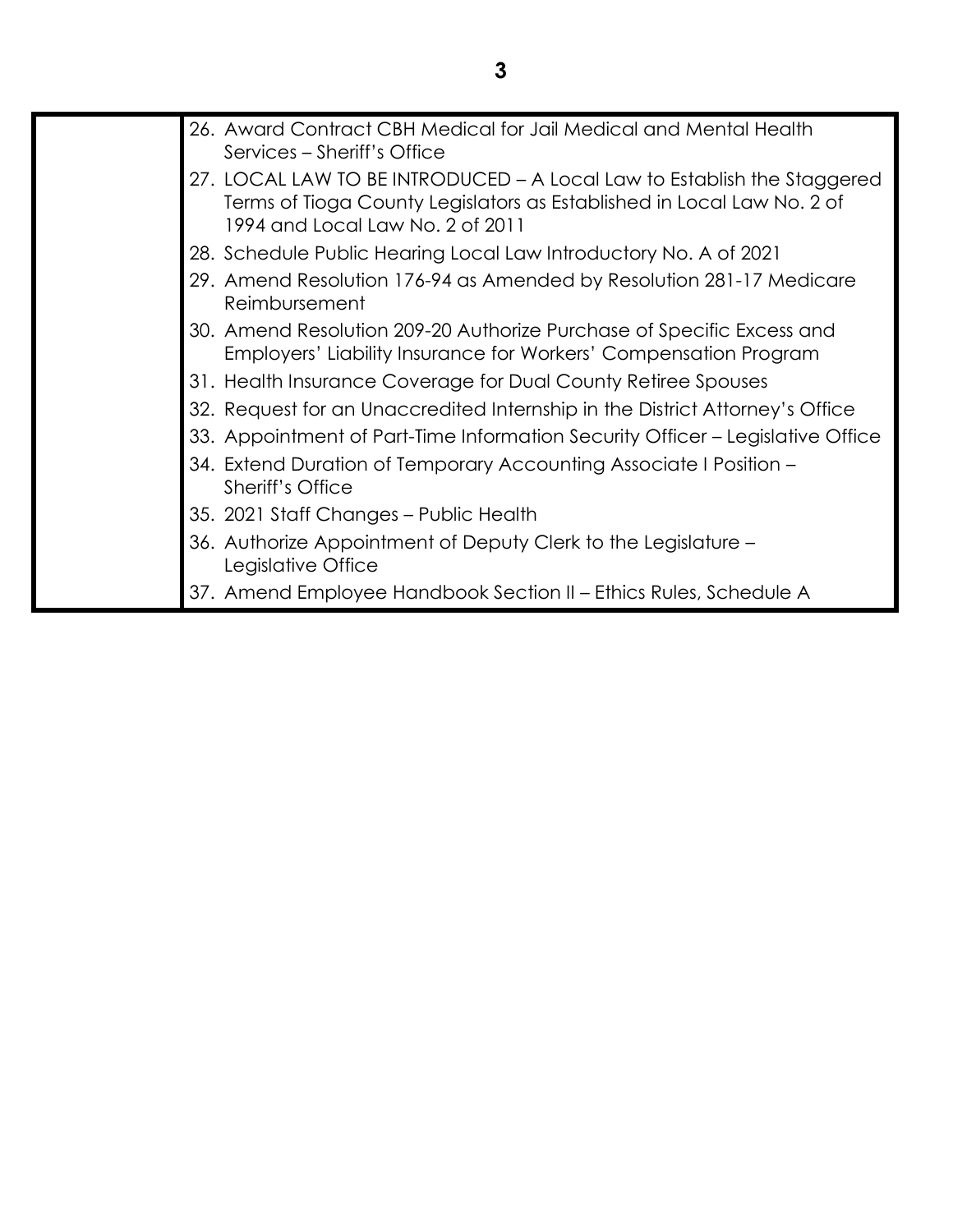| 26. Award Contract CBH Medical for Jail Medical and Mental Health<br>Services – Sheriff's Office                                                                                      |
|---------------------------------------------------------------------------------------------------------------------------------------------------------------------------------------|
| 27. LOCAL LAW TO BE INTRODUCED - A Local Law to Establish the Staggered<br>Terms of Tioga County Legislators as Established in Local Law No. 2 of<br>1994 and Local Law No. 2 of 2011 |
| 28. Schedule Public Hearing Local Law Introductory No. A of 2021                                                                                                                      |
| 29. Amend Resolution 176-94 as Amended by Resolution 281-17 Medicare<br>Reimbursement                                                                                                 |
| 30. Amend Resolution 209-20 Authorize Purchase of Specific Excess and<br>Employers' Liability Insurance for Workers' Compensation Program                                             |
| 31. Health Insurance Coverage for Dual County Retiree Spouses                                                                                                                         |
| 32. Request for an Unaccredited Internship in the District Attorney's Office                                                                                                          |
| 33. Appointment of Part-Time Information Security Officer – Legislative Office                                                                                                        |
| 34. Extend Duration of Temporary Accounting Associate I Position –<br>Sheriff's Office                                                                                                |
| 35. 2021 Staff Changes – Public Health                                                                                                                                                |
| 36. Authorize Appointment of Deputy Clerk to the Legislature -<br>Legislative Office                                                                                                  |
| 37. Amend Employee Handbook Section II - Ethics Rules, Schedule A                                                                                                                     |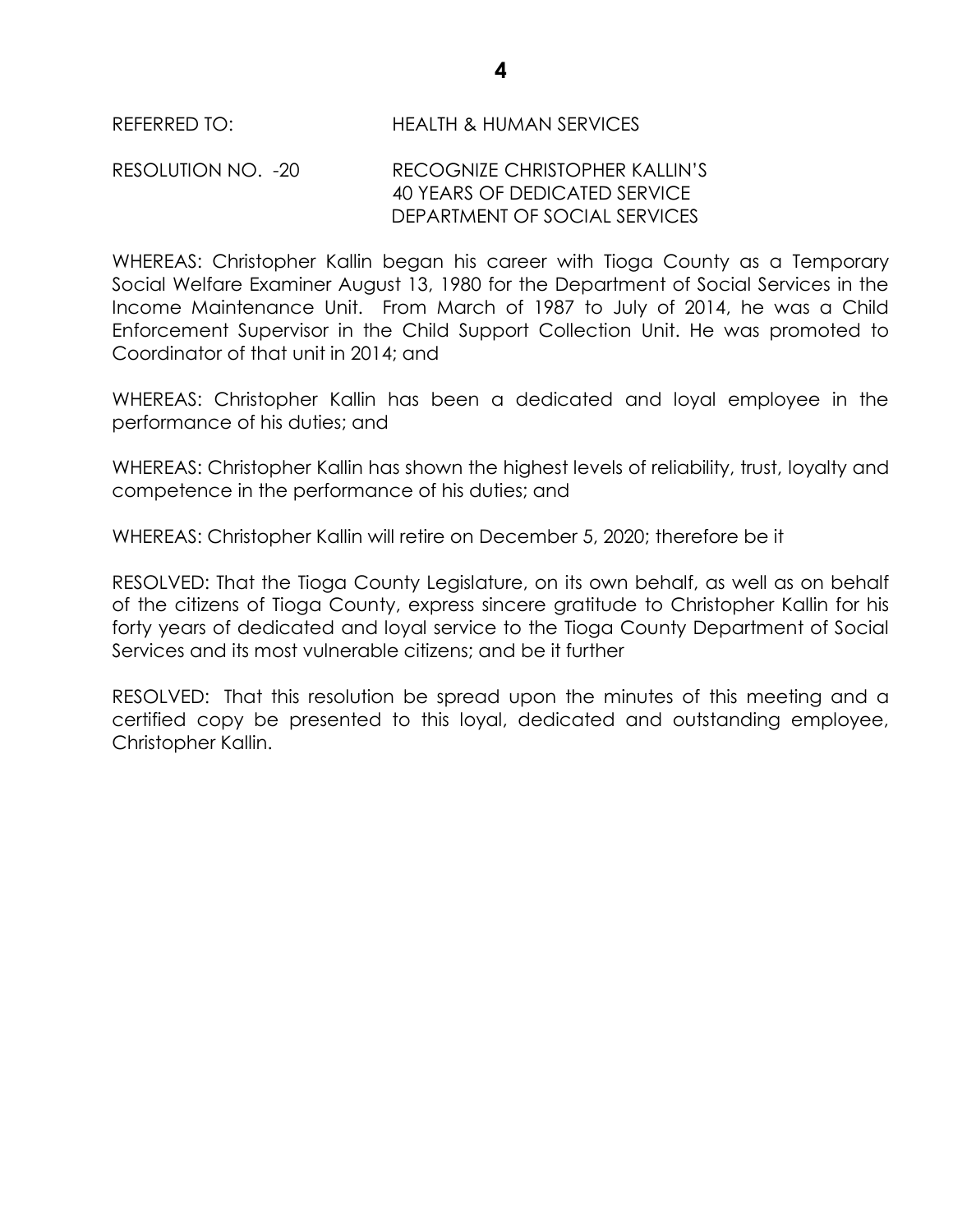REFERRED TO: HEALTH & HUMAN SERVICES

RESOLUTION NO. -20 RECOGNIZE CHRISTOPHER KALLIN'S 40 YEARS OF DEDICATED SERVICE DEPARTMENT OF SOCIAL SERVICES

WHEREAS: Christopher Kallin began his career with Tioga County as a Temporary Social Welfare Examiner August 13, 1980 for the Department of Social Services in the Income Maintenance Unit. From March of 1987 to July of 2014, he was a Child Enforcement Supervisor in the Child Support Collection Unit. He was promoted to Coordinator of that unit in 2014; and

WHEREAS: Christopher Kallin has been a dedicated and loyal employee in the performance of his duties; and

WHEREAS: Christopher Kallin has shown the highest levels of reliability, trust, loyalty and competence in the performance of his duties; and

WHEREAS: Christopher Kallin will retire on December 5, 2020; therefore be it

RESOLVED: That the Tioga County Legislature, on its own behalf, as well as on behalf of the citizens of Tioga County, express sincere gratitude to Christopher Kallin for his forty years of dedicated and loyal service to the Tioga County Department of Social Services and its most vulnerable citizens; and be it further

RESOLVED: That this resolution be spread upon the minutes of this meeting and a certified copy be presented to this loyal, dedicated and outstanding employee, Christopher Kallin.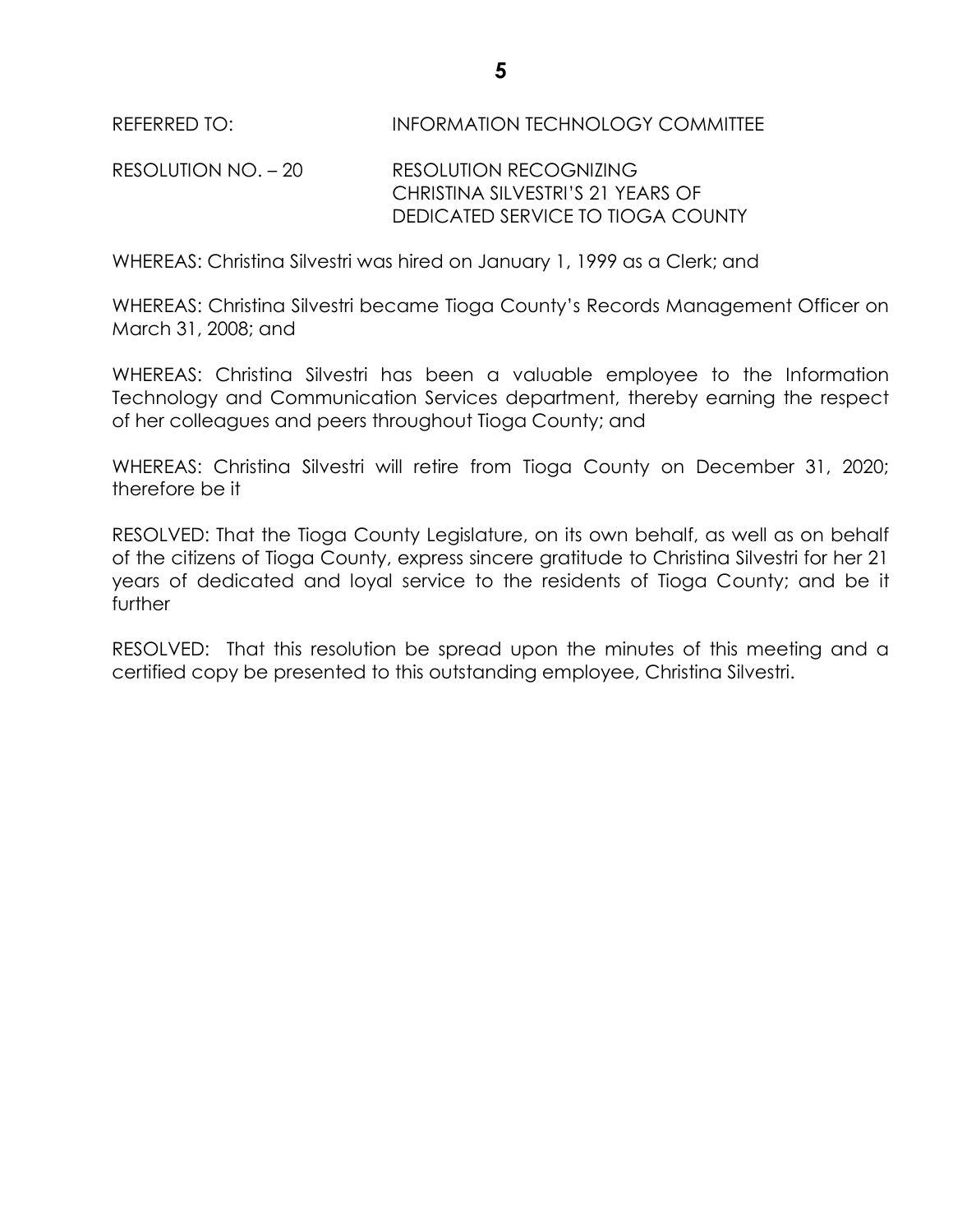REFERRED TO: INFORMATION TECHNOLOGY COMMITTEE

RESOLUTION NO. – 20 RESOLUTION RECOGNIZING CHRISTINA SILVESTRI'S 21 YEARS OF DEDICATED SERVICE TO TIOGA COUNTY

WHEREAS: Christina Silvestri was hired on January 1, 1999 as a Clerk; and

WHEREAS: Christina Silvestri became Tioga County's Records Management Officer on March 31, 2008; and

WHEREAS: Christina Silvestri has been a valuable employee to the Information Technology and Communication Services department, thereby earning the respect of her colleagues and peers throughout Tioga County; and

WHEREAS: Christina Silvestri will retire from Tioga County on December 31, 2020; therefore be it

RESOLVED: That the Tioga County Legislature, on its own behalf, as well as on behalf of the citizens of Tioga County, express sincere gratitude to Christina Silvestri for her 21 years of dedicated and loyal service to the residents of Tioga County; and be it further

RESOLVED: That this resolution be spread upon the minutes of this meeting and a certified copy be presented to this outstanding employee, Christina Silvestri.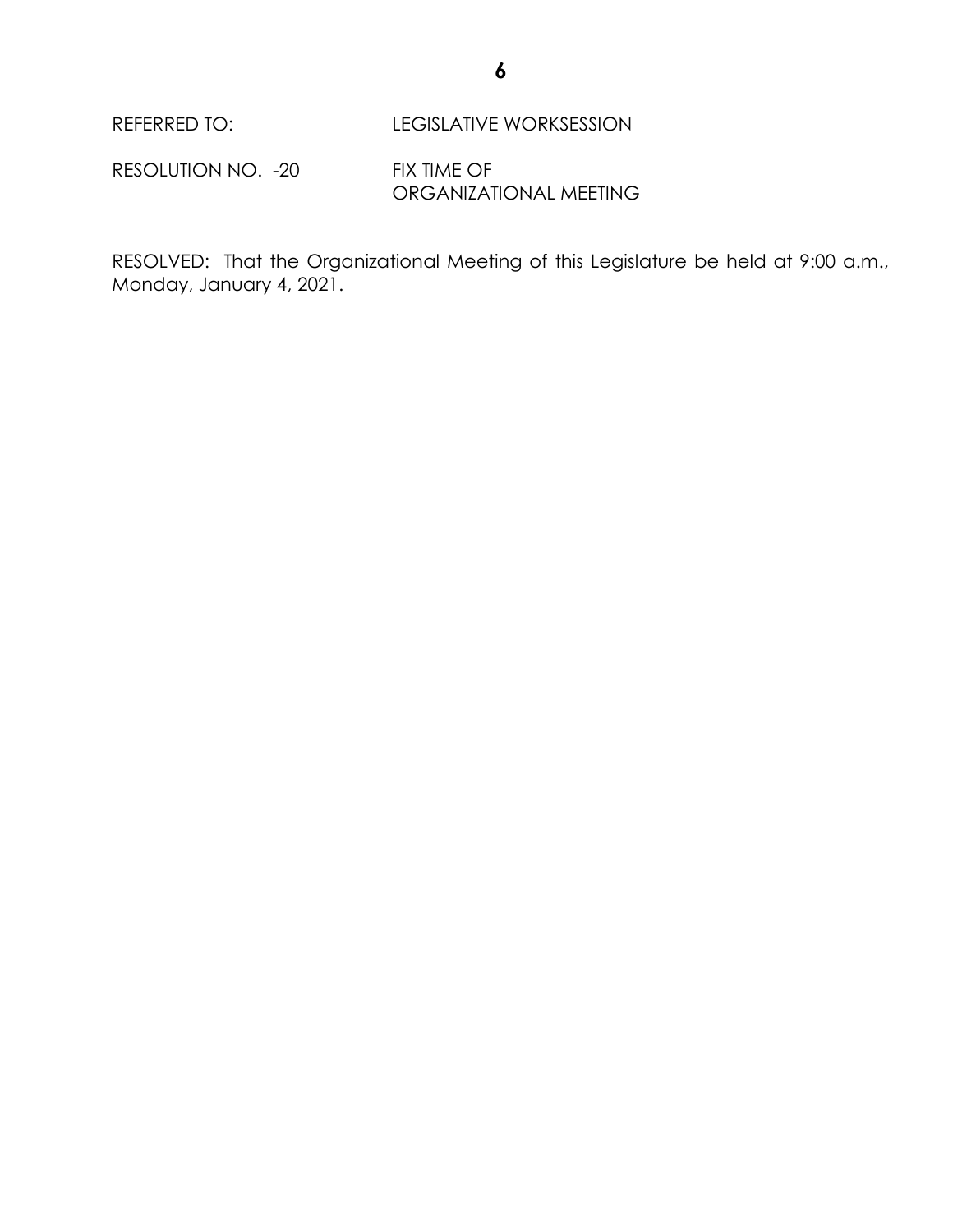REFERRED TO: LEGISLATIVE WORKSESSION

RESOLUTION NO. - 20 FIX TIME OF ORGANIZATIONAL MEETING

RESOLVED: That the Organizational Meeting of this Legislature be held at 9:00 a.m., Monday, January 4, 2021.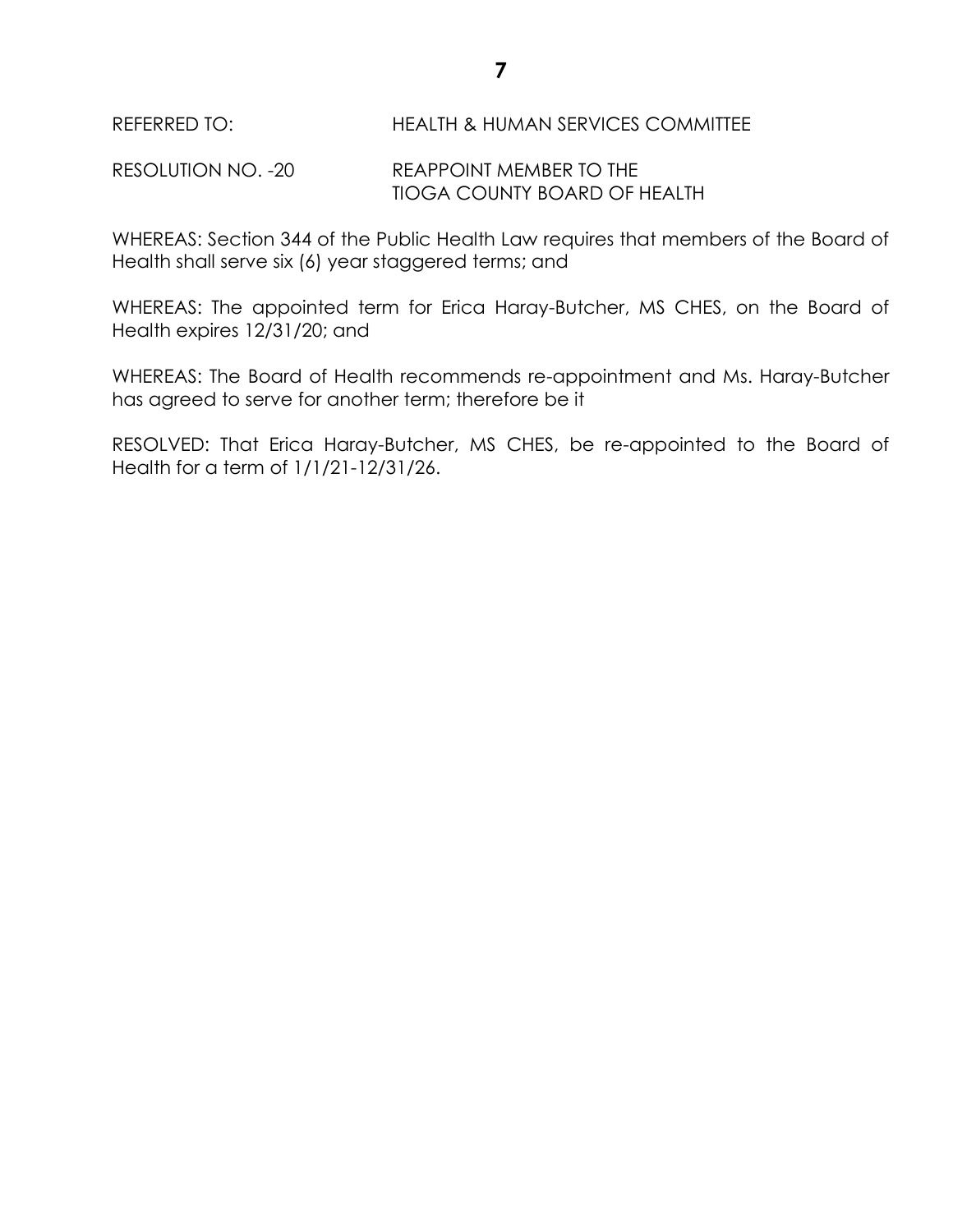REFERRED TO: HEALTH & HUMAN SERVICES COMMITTEE

RESOLUTION NO. -20 REAPPOINT MEMBER TO THE TIOGA COUNTY BOARD OF HEALTH

WHEREAS: Section 344 of the Public Health Law requires that members of the Board of Health shall serve six (6) year staggered terms; and

WHEREAS: The appointed term for Erica Haray-Butcher, MS CHES, on the Board of Health expires 12/31/20; and

WHEREAS: The Board of Health recommends re-appointment and Ms. Haray-Butcher has agreed to serve for another term; therefore be it

RESOLVED: That Erica Haray-Butcher, MS CHES, be re-appointed to the Board of Health for a term of 1/1/21-12/31/26.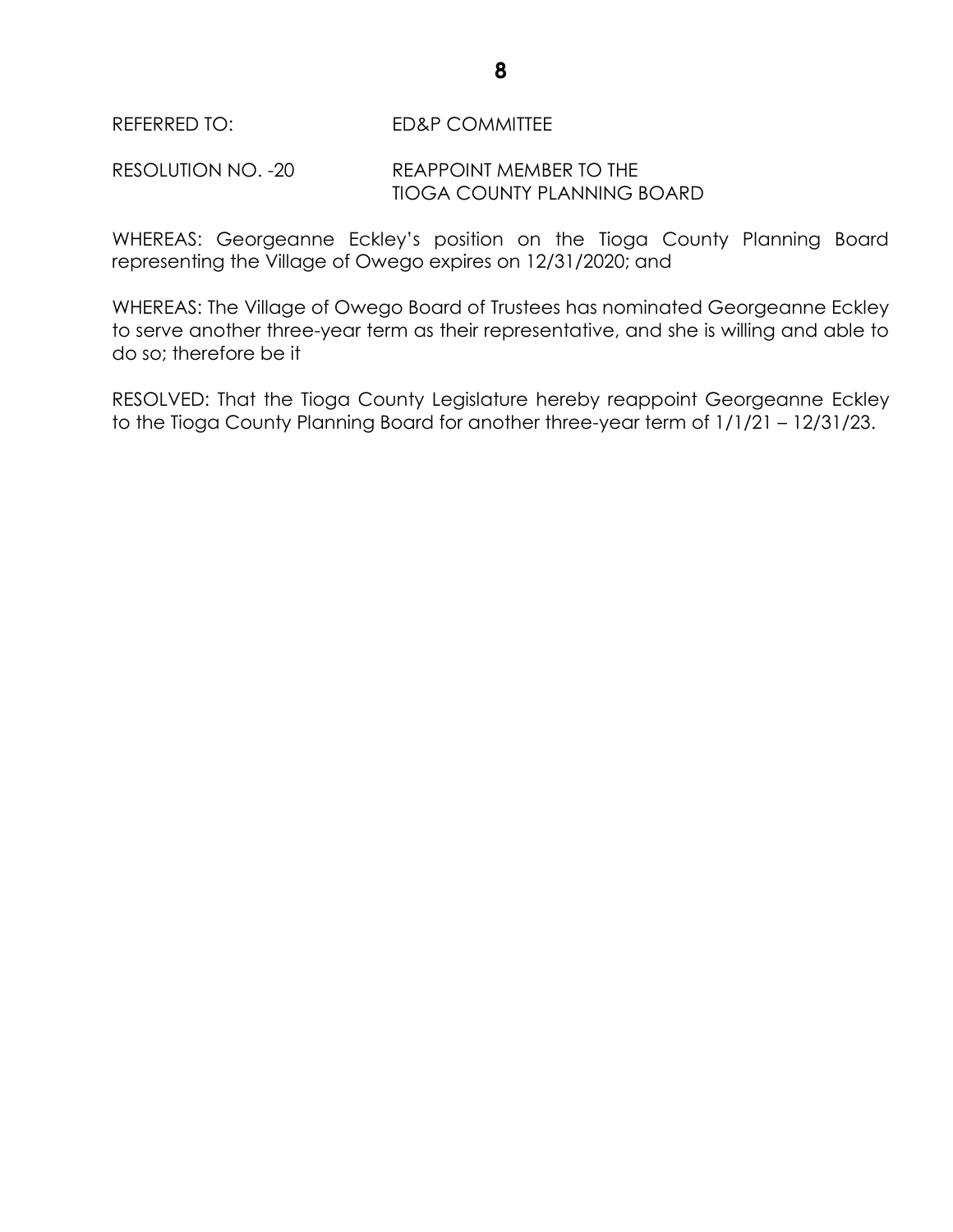RESOLUTION NO. -20 REAPPOINT MEMBER TO THE TIOGA COUNTY PLANNING BOARD

WHEREAS: Georgeanne Eckley's position on the Tioga County Planning Board representing the Village of Owego expires on 12/31/2020; and

WHEREAS: The Village of Owego Board of Trustees has nominated Georgeanne Eckley to serve another three-year term as their representative, and she is willing and able to do so; therefore be it

RESOLVED: That the Tioga County Legislature hereby reappoint Georgeanne Eckley to the Tioga County Planning Board for another three-year term of 1/1/21 – 12/31/23.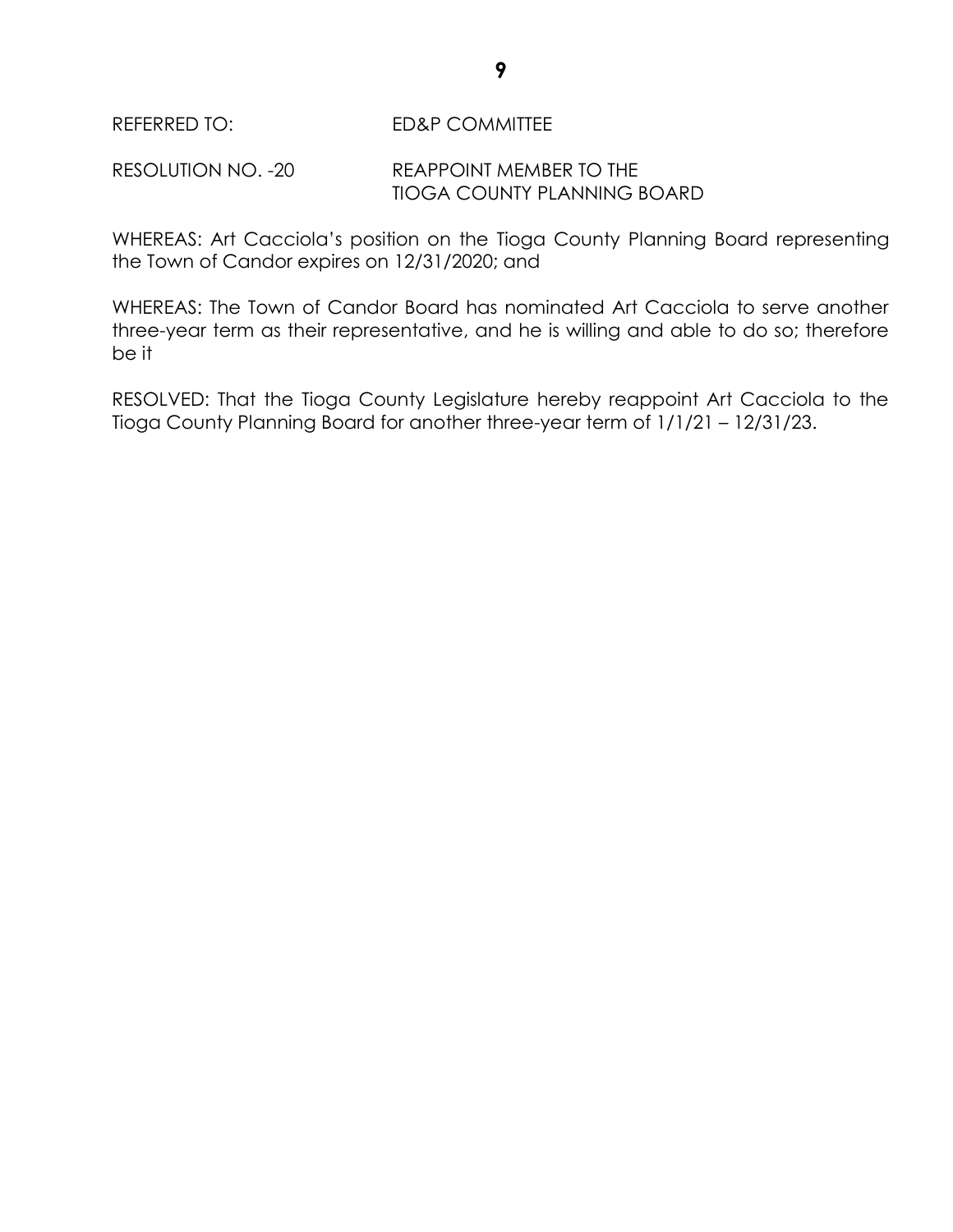RESOLUTION NO. -20 REAPPOINT MEMBER TO THE TIOGA COUNTY PLANNING BOARD

WHEREAS: Art Cacciola's position on the Tioga County Planning Board representing the Town of Candor expires on 12/31/2020; and

WHEREAS: The Town of Candor Board has nominated Art Cacciola to serve another three-year term as their representative, and he is willing and able to do so; therefore be it

RESOLVED: That the Tioga County Legislature hereby reappoint Art Cacciola to the Tioga County Planning Board for another three-year term of 1/1/21 – 12/31/23.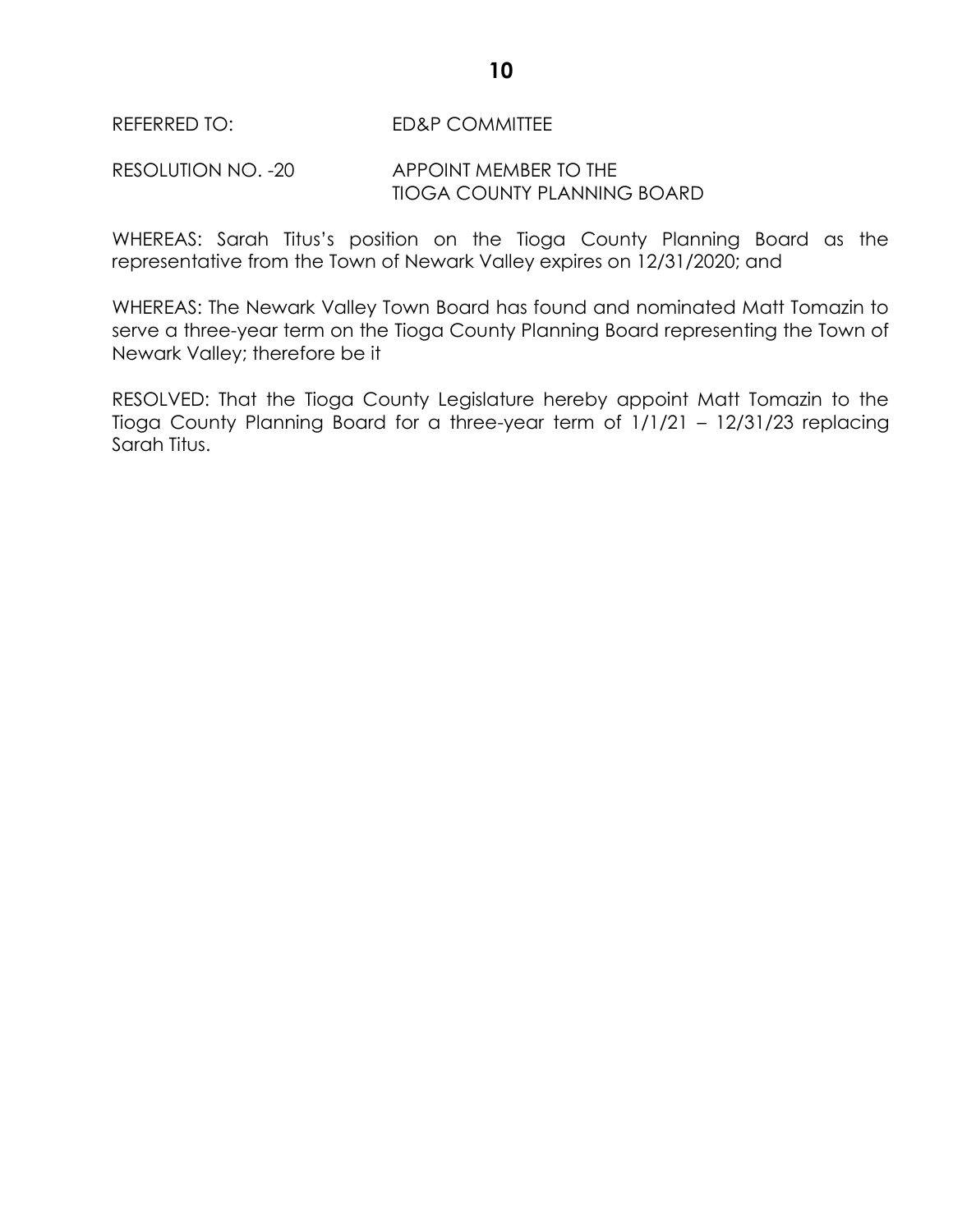#### RESOLUTION NO. -20 APPOINT MEMBER TO THE TIOGA COUNTY PLANNING BOARD

WHEREAS: Sarah Titus's position on the Tioga County Planning Board as the representative from the Town of Newark Valley expires on 12/31/2020; and

WHEREAS: The Newark Valley Town Board has found and nominated Matt Tomazin to serve a three-year term on the Tioga County Planning Board representing the Town of Newark Valley; therefore be it

RESOLVED: That the Tioga County Legislature hereby appoint Matt Tomazin to the Tioga County Planning Board for a three-year term of 1/1/21 – 12/31/23 replacing Sarah Titus.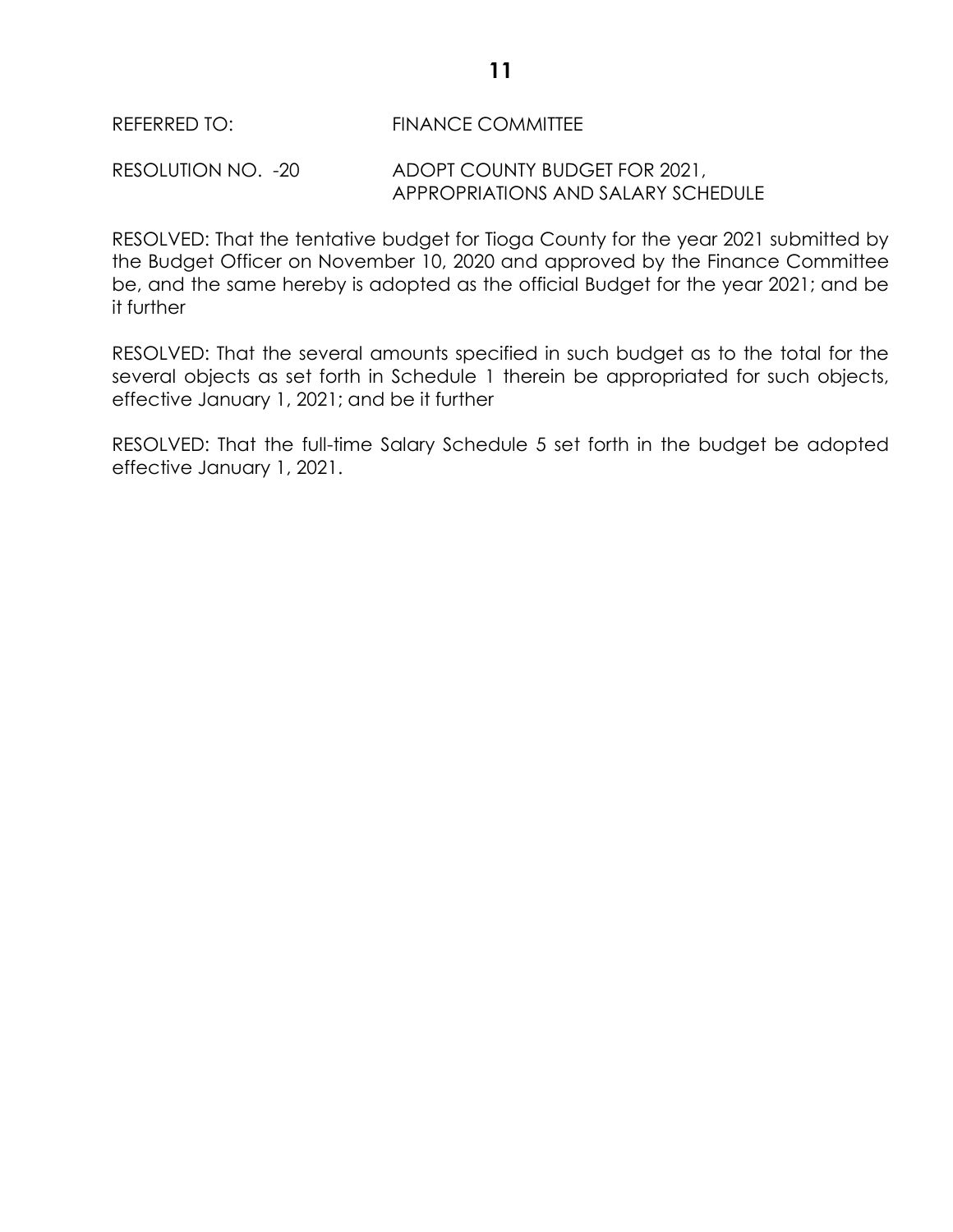REFERRED TO: FINANCE COMMITTEE

RESOLUTION NO. -20 ADOPT COUNTY BUDGET FOR 2021, APPROPRIATIONS AND SALARY SCHEDULE

RESOLVED: That the tentative budget for Tioga County for the year 2021 submitted by the Budget Officer on November 10, 2020 and approved by the Finance Committee be, and the same hereby is adopted as the official Budget for the year 2021; and be it further

RESOLVED: That the several amounts specified in such budget as to the total for the several objects as set forth in Schedule 1 therein be appropriated for such objects, effective January 1, 2021; and be it further

RESOLVED: That the full-time Salary Schedule 5 set forth in the budget be adopted effective January 1, 2021.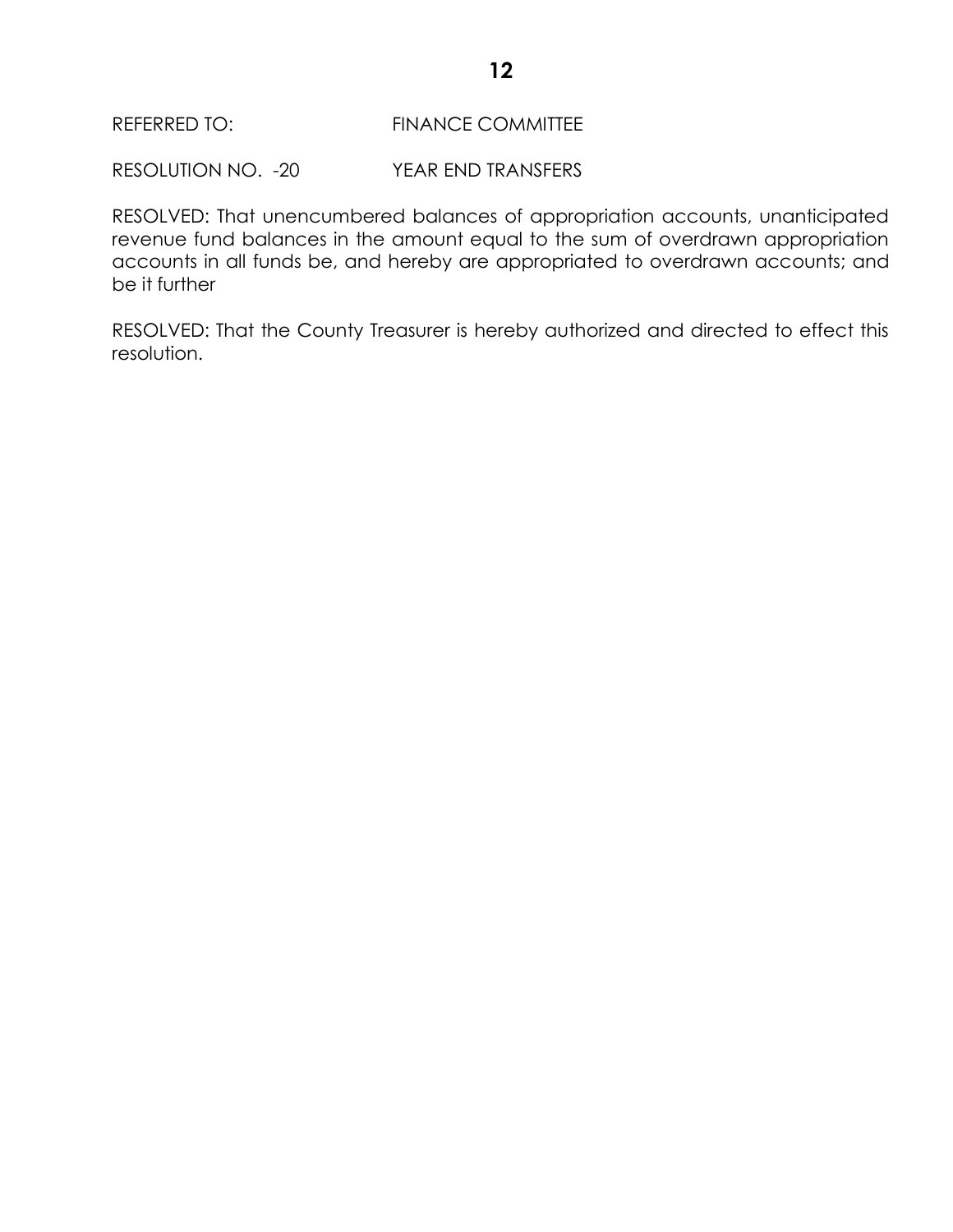RESOLUTION NO. -20 YEAR END TRANSFERS

RESOLVED: That unencumbered balances of appropriation accounts, unanticipated revenue fund balances in the amount equal to the sum of overdrawn appropriation accounts in all funds be, and hereby are appropriated to overdrawn accounts; and be it further

RESOLVED: That the County Treasurer is hereby authorized and directed to effect this resolution.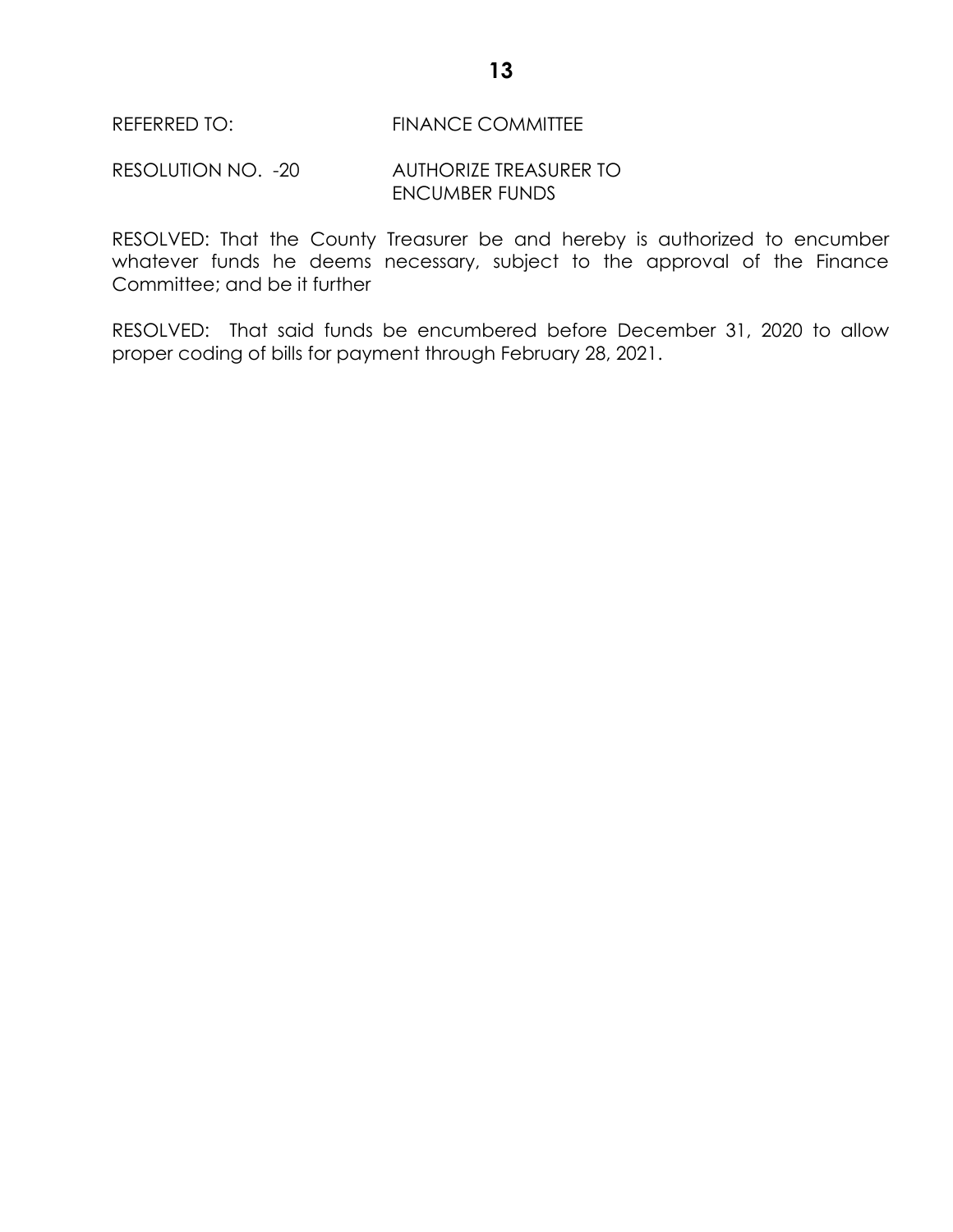REFERRED TO: FINANCE COMMITTEE

RESOLUTION NO. -20 AUTHORIZE TREASURER TO ENCUMBER FUNDS

RESOLVED: That the County Treasurer be and hereby is authorized to encumber whatever funds he deems necessary, subject to the approval of the Finance Committee; and be it further

RESOLVED: That said funds be encumbered before December 31, 2020 to allow proper coding of bills for payment through February 28, 2021.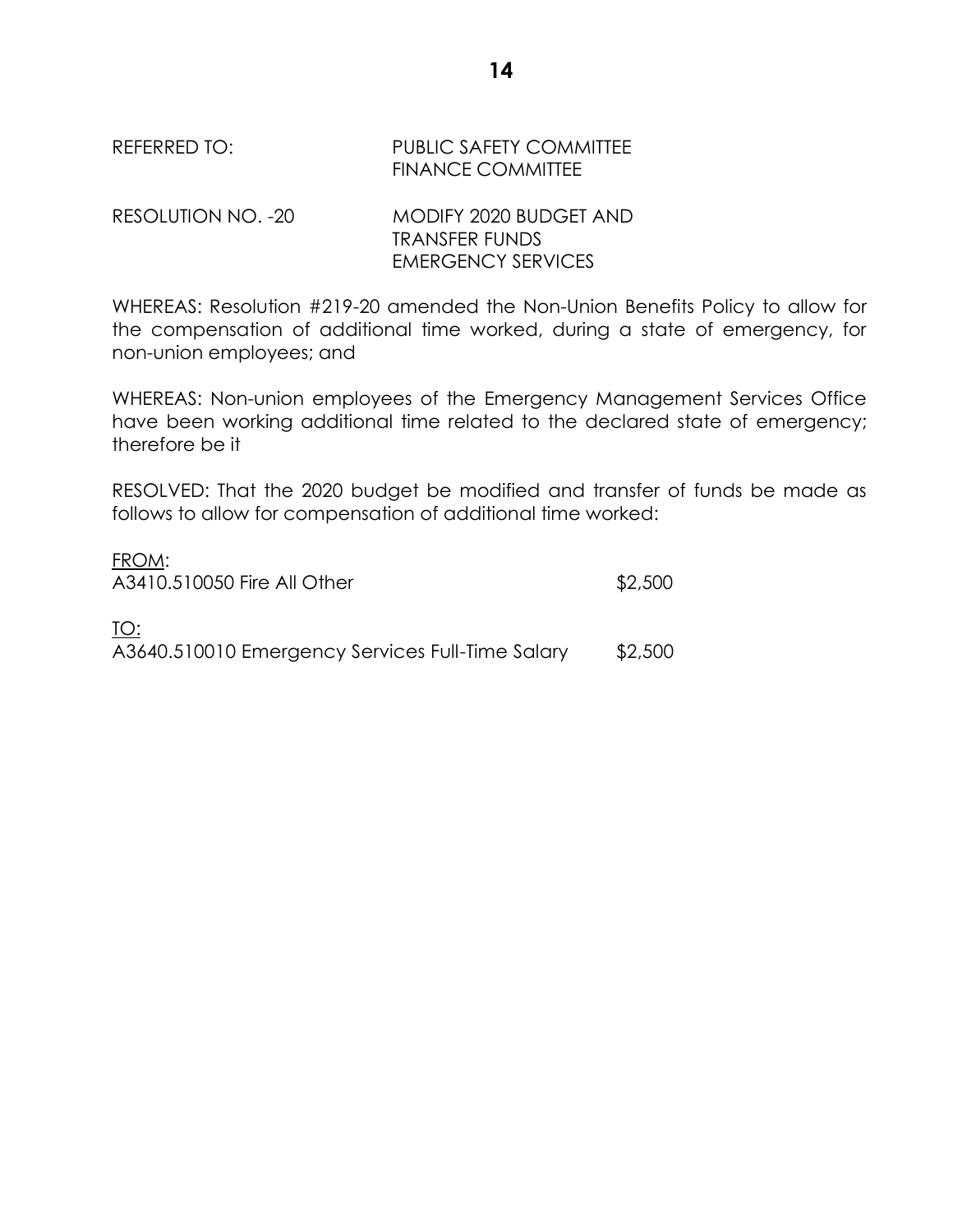| REFERRED TO:       | <b>PUBLIC SAFETY COMMITTEE</b><br><b>FINANCE COMMITTEE</b> |
|--------------------|------------------------------------------------------------|
| RESOLUTION NO. -20 | MODIFY 2020 BUDGET AND<br>TRANSFER FUNDS                   |
|                    | <b>EMERGENCY SERVICES</b>                                  |

WHEREAS: Resolution #219-20 amended the Non-Union Benefits Policy to allow for the compensation of additional time worked, during a state of emergency, for non-union employees; and

WHEREAS: Non-union employees of the Emergency Management Services Office have been working additional time related to the declared state of emergency; therefore be it

RESOLVED: That the 2020 budget be modified and transfer of funds be made as follows to allow for compensation of additional time worked:

| FROM:                                            |         |
|--------------------------------------------------|---------|
| A3410.510050 Fire All Other                      | \$2,500 |
|                                                  |         |
| TO:                                              |         |
| A3640.510010 Emergency Services Full-Time Salary | \$2,500 |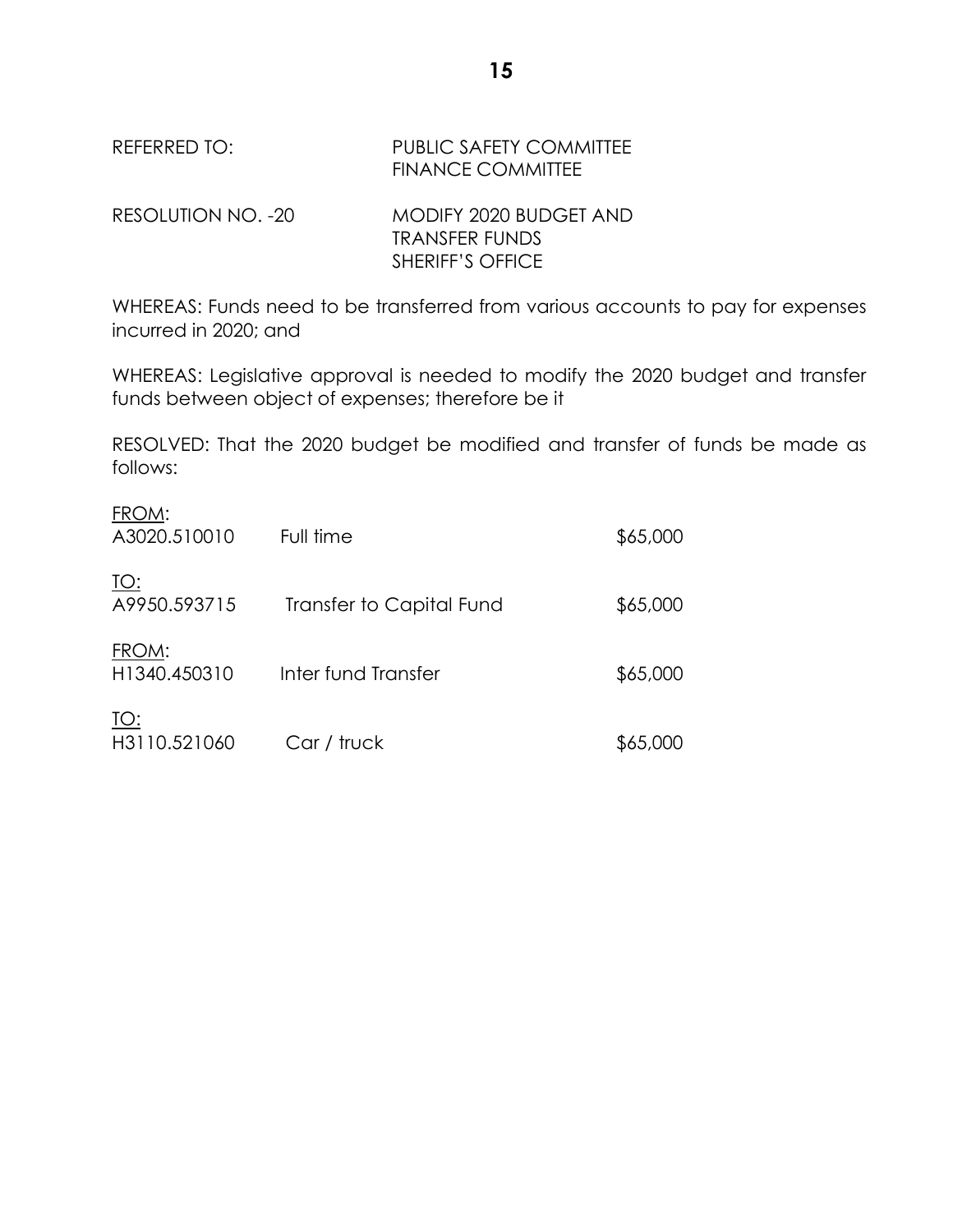| REFERRED TO:       | <b>PUBLIC SAFETY COMMITTEE</b><br><b>FINANCE COMMITTEE</b> |
|--------------------|------------------------------------------------------------|
| RESOLUTION NO. -20 | MODIFY 2020 BUDGET AND<br><b>TRANSFER FUNDS</b>            |
|                    | <b>SHERIFF'S OFFICE</b>                                    |

WHEREAS: Funds need to be transferred from various accounts to pay for expenses incurred in 2020; and

WHEREAS: Legislative approval is needed to modify the 2020 budget and transfer funds between object of expenses; therefore be it

RESOLVED: That the 2020 budget be modified and transfer of funds be made as follows:

| $\sim$<br>A3020.510010      | Full time                | \$65,000 |
|-----------------------------|--------------------------|----------|
| <u> TO:</u><br>A9950.593715 | Transfer to Capital Fund | \$65,000 |
| FROM:<br>H1340.450310       | Inter fund Transfer      | \$65,000 |
| <u> TO:</u><br>H3110.521060 | Car / truck              | \$65,000 |

 $FPOMA$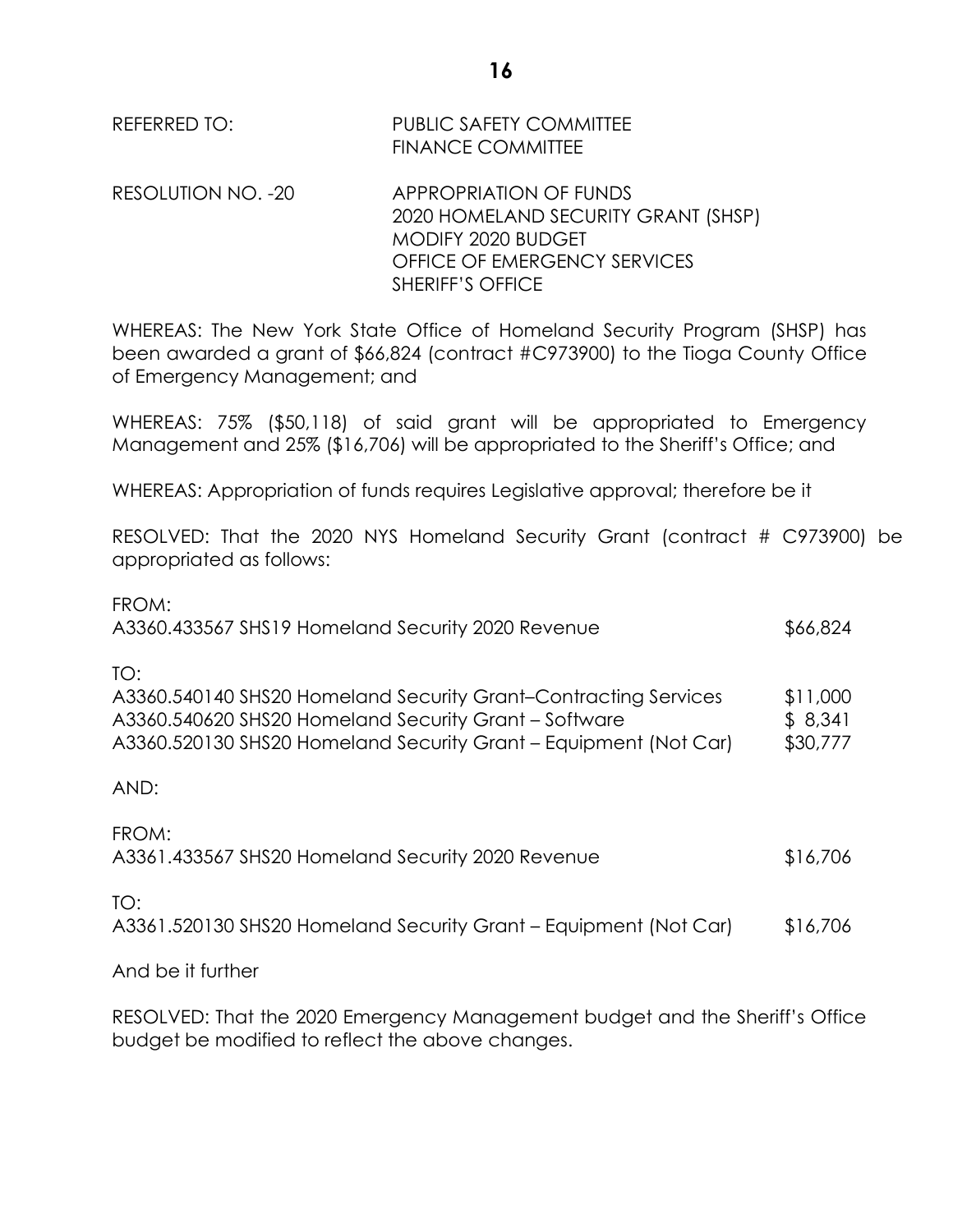| REFERRED TO:       | <b>PUBLIC SAFETY COMMITTEE</b><br><b>FINANCE COMMITTEE</b>                                                                 |
|--------------------|----------------------------------------------------------------------------------------------------------------------------|
| RESOLUTION NO. -20 | <b>APPROPRIATION OF FUNDS</b><br>2020 HOMELAND SECURITY GRANT (SHSP)<br>MODIFY 2020 BUDGET<br>OFFICE OF EMERGENCY SERVICES |

WHEREAS: The New York State Office of Homeland Security Program (SHSP) has been awarded a grant of \$66,824 (contract #C973900) to the Tioga County Office of Emergency Management; and

SHERIFF'S OFFICE

WHEREAS: 75% (\$50,118) of said grant will be appropriated to Emergency Management and 25% (\$16,706) will be appropriated to the Sheriff's Office; and

WHEREAS: Appropriation of funds requires Legislative approval; therefore be it

RESOLVED: That the 2020 NYS Homeland Security Grant (contract # C973900) be appropriated as follows:

| FROM:<br>A3360.433567 SHS19 Homeland Security 2020 Revenue                                                                                                                                          | \$66,824                        |
|-----------------------------------------------------------------------------------------------------------------------------------------------------------------------------------------------------|---------------------------------|
| TO:<br>A3360.540140 SHS20 Homeland Security Grant-Contracting Services<br>A3360.540620 SHS20 Homeland Security Grant - Software<br>A3360.520130 SHS20 Homeland Security Grant - Equipment (Not Car) | \$11,000<br>\$8,341<br>\$30,777 |
| AND:                                                                                                                                                                                                |                                 |
| FROM:<br>A3361.433567 SHS20 Homeland Security 2020 Revenue                                                                                                                                          | \$16,706                        |
| TO:                                                                                                                                                                                                 |                                 |

A3361.520130 SHS20 Homeland Security Grant – Equipment (Not Car) \$16,706

And be it further

RESOLVED: That the 2020 Emergency Management budget and the Sheriff's Office budget be modified to reflect the above changes.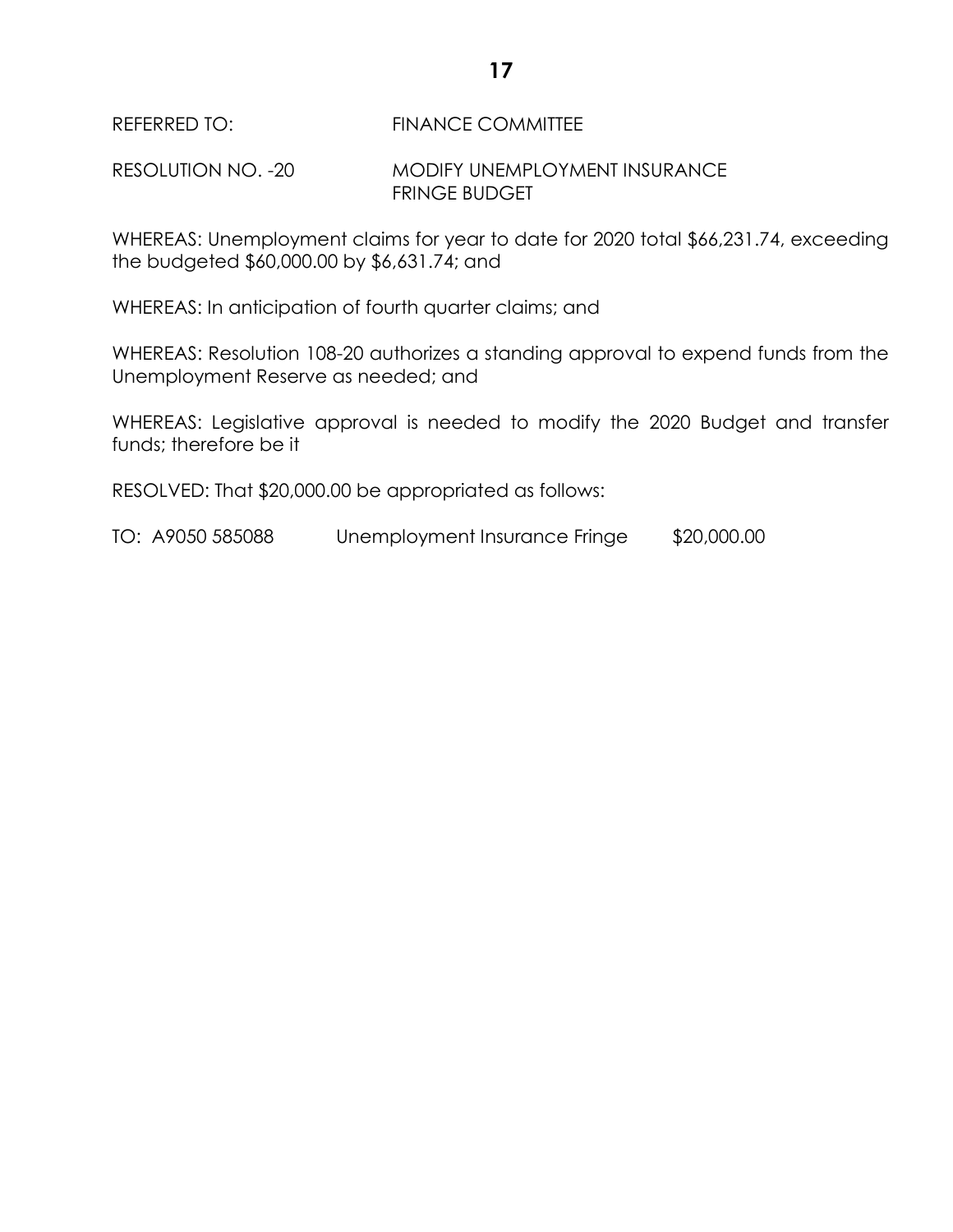REFERRED TO: FINANCE COMMITTEE

RESOLUTION NO. -20 MODIFY UNEMPLOYMENT INSURANCE FRINGE BUDGET

WHEREAS: Unemployment claims for year to date for 2020 total \$66,231.74, exceeding the budgeted \$60,000.00 by \$6,631.74; and

WHEREAS: In anticipation of fourth quarter claims; and

WHEREAS: Resolution 108-20 authorizes a standing approval to expend funds from the Unemployment Reserve as needed; and

WHEREAS: Legislative approval is needed to modify the 2020 Budget and transfer funds; therefore be it

RESOLVED: That \$20,000.00 be appropriated as follows:

TO: A9050 585088 Unemployment Insurance Fringe \$20,000.00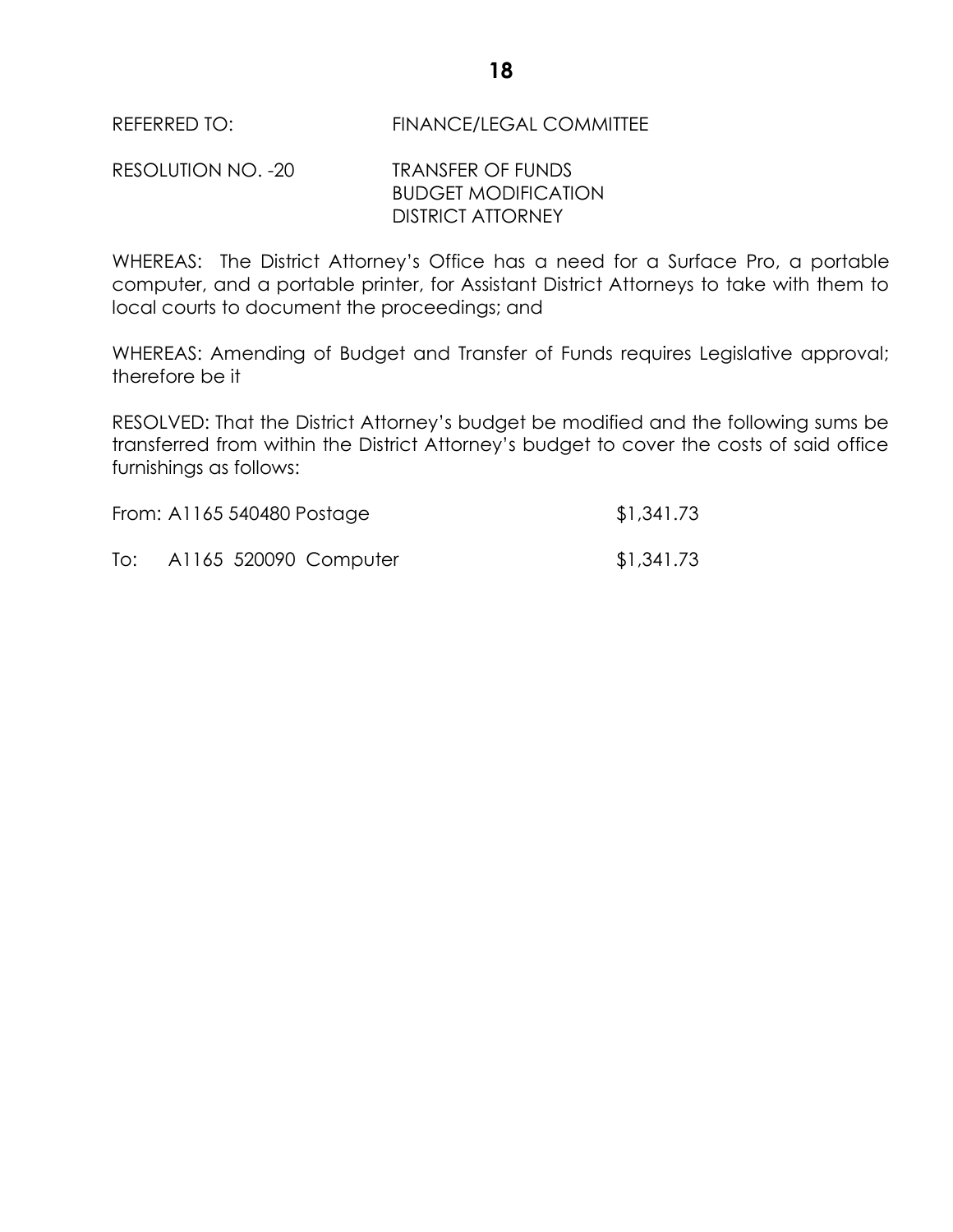RESOLUTION NO. -20 TRANSFER OF FUNDS BUDGET MODIFICATION DISTRICT ATTORNEY

WHEREAS: The District Attorney's Office has a need for a Surface Pro, a portable computer, and a portable printer, for Assistant District Attorneys to take with them to local courts to document the proceedings; and

WHEREAS: Amending of Budget and Transfer of Funds requires Legislative approval; therefore be it

RESOLVED: That the District Attorney's budget be modified and the following sums be transferred from within the District Attorney's budget to cover the costs of said office furnishings as follows:

|     | From: A1165 540480 Postage | \$1,341.73 |
|-----|----------------------------|------------|
| To: | A1165 520090 Computer      | \$1,341.73 |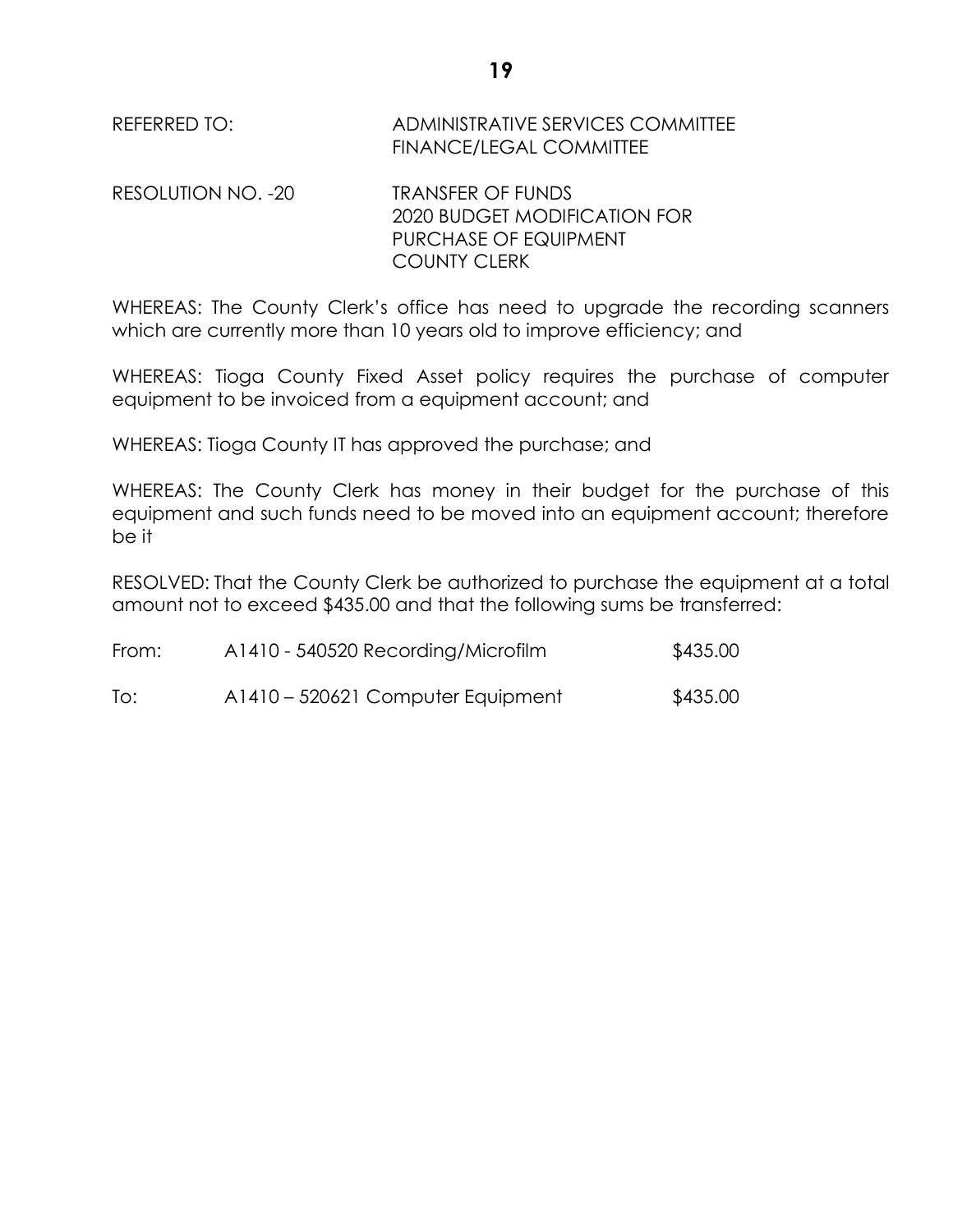| REFERRED TO:       | ADMINISTRATIVE SERVICES COMMITTEE<br>FINANCE/LEGAL COMMITTEE |
|--------------------|--------------------------------------------------------------|
| RESOLUTION NO. -20 | <b>TRANSFER OF FUNDS</b>                                     |

2020 BUDGET MODIFICATION FOR PURCHASE OF EQUIPMENT COUNTY CLERK

WHEREAS: The County Clerk's office has need to upgrade the recording scanners which are currently more than 10 years old to improve efficiency; and

WHEREAS: Tioga County Fixed Asset policy requires the purchase of computer equipment to be invoiced from a equipment account; and

WHEREAS: Tioga County IT has approved the purchase; and

WHEREAS: The County Clerk has money in their budget for the purchase of this equipment and such funds need to be moved into an equipment account; therefore be it

RESOLVED: That the County Clerk be authorized to purchase the equipment at a total amount not to exceed \$435.00 and that the following sums be transferred:

| From: | A1410 - 540520 Recording/Microfilm | \$435.00 |
|-------|------------------------------------|----------|
| To:   | A1410 – 520621 Computer Equipment  | \$435.00 |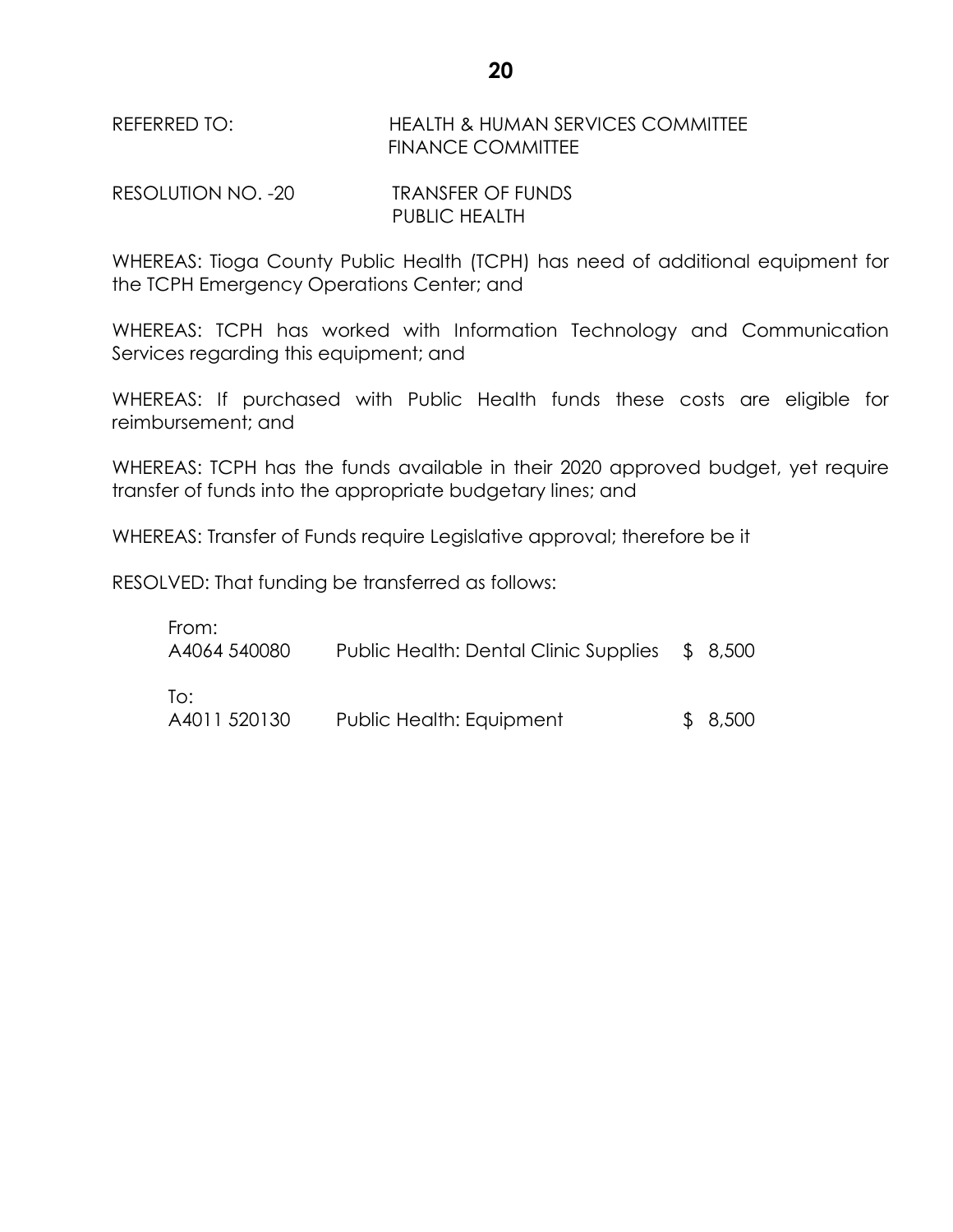REFERRED TO: HEALTH & HUMAN SERVICES COMMITTEE FINANCE COMMITTEE

RESOLUTION NO. -20 TRANSFER OF FUNDS PUBLIC HEALTH

WHEREAS: Tioga County Public Health (TCPH) has need of additional equipment for the TCPH Emergency Operations Center; and

WHEREAS: TCPH has worked with Information Technology and Communication Services regarding this equipment; and

WHEREAS: If purchased with Public Health funds these costs are eligible for reimbursement; and

WHEREAS: TCPH has the funds available in their 2020 approved budget, yet require transfer of funds into the appropriate budgetary lines; and

WHEREAS: Transfer of Funds require Legislative approval; therefore be it

RESOLVED: That funding be transferred as follows:

| From:<br>A4064 540080 | Public Health: Dental Clinic Supplies | \$ 8,500 |
|-----------------------|---------------------------------------|----------|
| To:<br>A4011 520130   | Public Health: Equipment              | \$8,500  |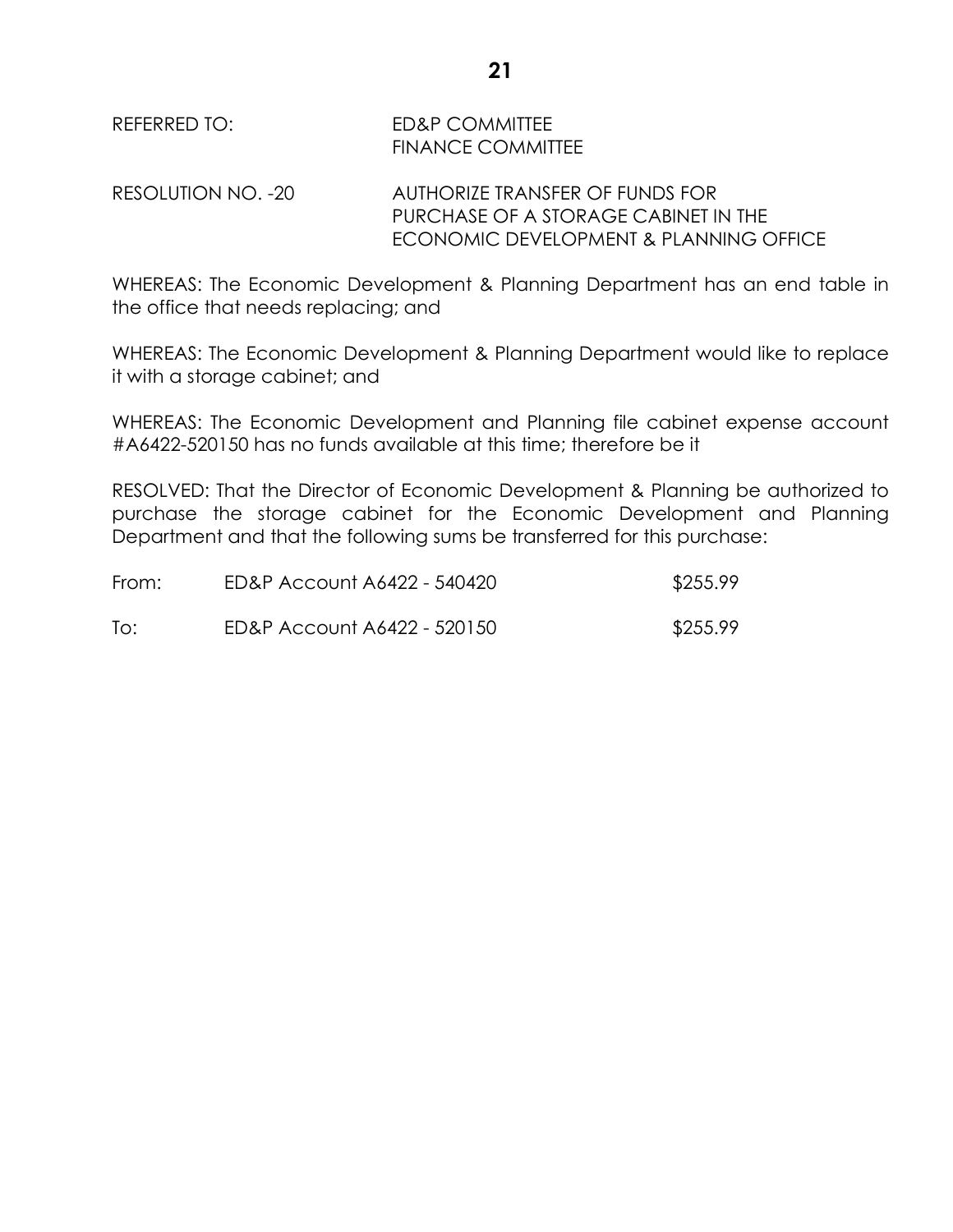REFERRED TO: ED&P COMMITTEE FINANCE COMMITTEE

RESOLUTION NO. -20 AUTHORIZE TRANSFER OF FUNDS FOR PURCHASE OF A STORAGE CABINET IN THE ECONOMIC DEVELOPMENT & PLANNING OFFICE

WHEREAS: The Economic Development & Planning Department has an end table in the office that needs replacing; and

WHEREAS: The Economic Development & Planning Department would like to replace it with a storage cabinet; and

WHEREAS: The Economic Development and Planning file cabinet expense account #A6422-520150 has no funds available at this time; therefore be it

RESOLVED: That the Director of Economic Development & Planning be authorized to purchase the storage cabinet for the Economic Development and Planning Department and that the following sums be transferred for this purchase:

| From: | ED&P Account A6422 - 540420 | \$255.99 |
|-------|-----------------------------|----------|
| To:   | ED&P Account A6422 - 520150 | \$255.99 |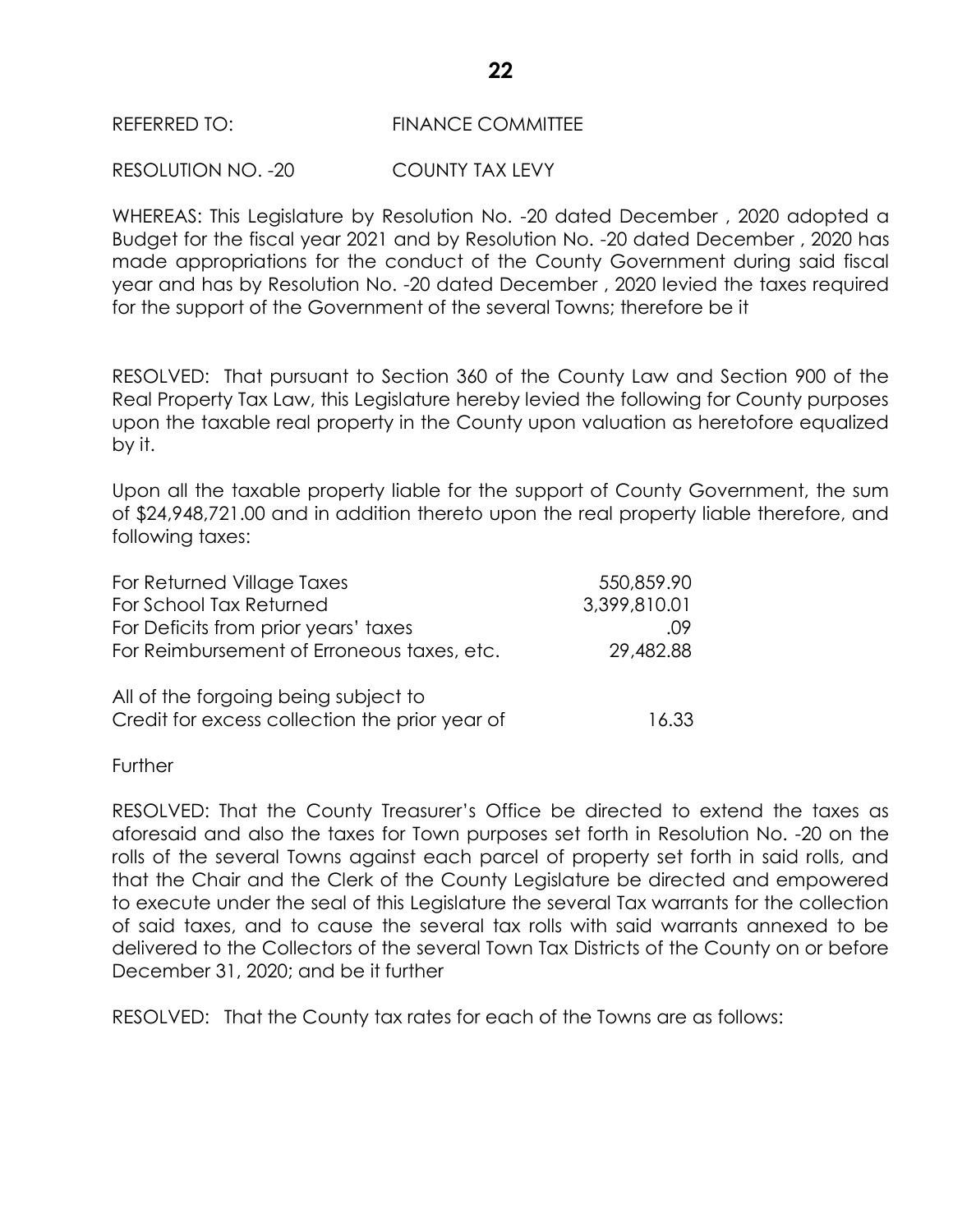## RESOLUTION NO. -20 COUNTY TAX LEVY

WHEREAS: This Legislature by Resolution No. -20 dated December , 2020 adopted a Budget for the fiscal year 2021 and by Resolution No. -20 dated December , 2020 has made appropriations for the conduct of the County Government during said fiscal year and has by Resolution No. -20 dated December , 2020 levied the taxes required for the support of the Government of the several Towns; therefore be it

RESOLVED: That pursuant to Section 360 of the County Law and Section 900 of the Real Property Tax Law, this Legislature hereby levied the following for County purposes upon the taxable real property in the County upon valuation as heretofore equalized by it.

Upon all the taxable property liable for the support of County Government, the sum of \$24,948,721.00 and in addition thereto upon the real property liable therefore, and following taxes:

| For Returned Village Taxes                                                             | 550,859.90   |
|----------------------------------------------------------------------------------------|--------------|
| For School Tax Returned                                                                | 3,399,810.01 |
| For Deficits from prior years' taxes                                                   | .09          |
| For Reimbursement of Erroneous taxes, etc.                                             | 29,482.88    |
| All of the forgoing being subject to<br>Credit for excess collection the prior year of | 16.33        |

**Further** 

RESOLVED: That the County Treasurer's Office be directed to extend the taxes as aforesaid and also the taxes for Town purposes set forth in Resolution No. -20 on the rolls of the several Towns against each parcel of property set forth in said rolls, and that the Chair and the Clerk of the County Legislature be directed and empowered to execute under the seal of this Legislature the several Tax warrants for the collection of said taxes, and to cause the several tax rolls with said warrants annexed to be delivered to the Collectors of the several Town Tax Districts of the County on or before December 31, 2020; and be it further

RESOLVED: That the County tax rates for each of the Towns are as follows: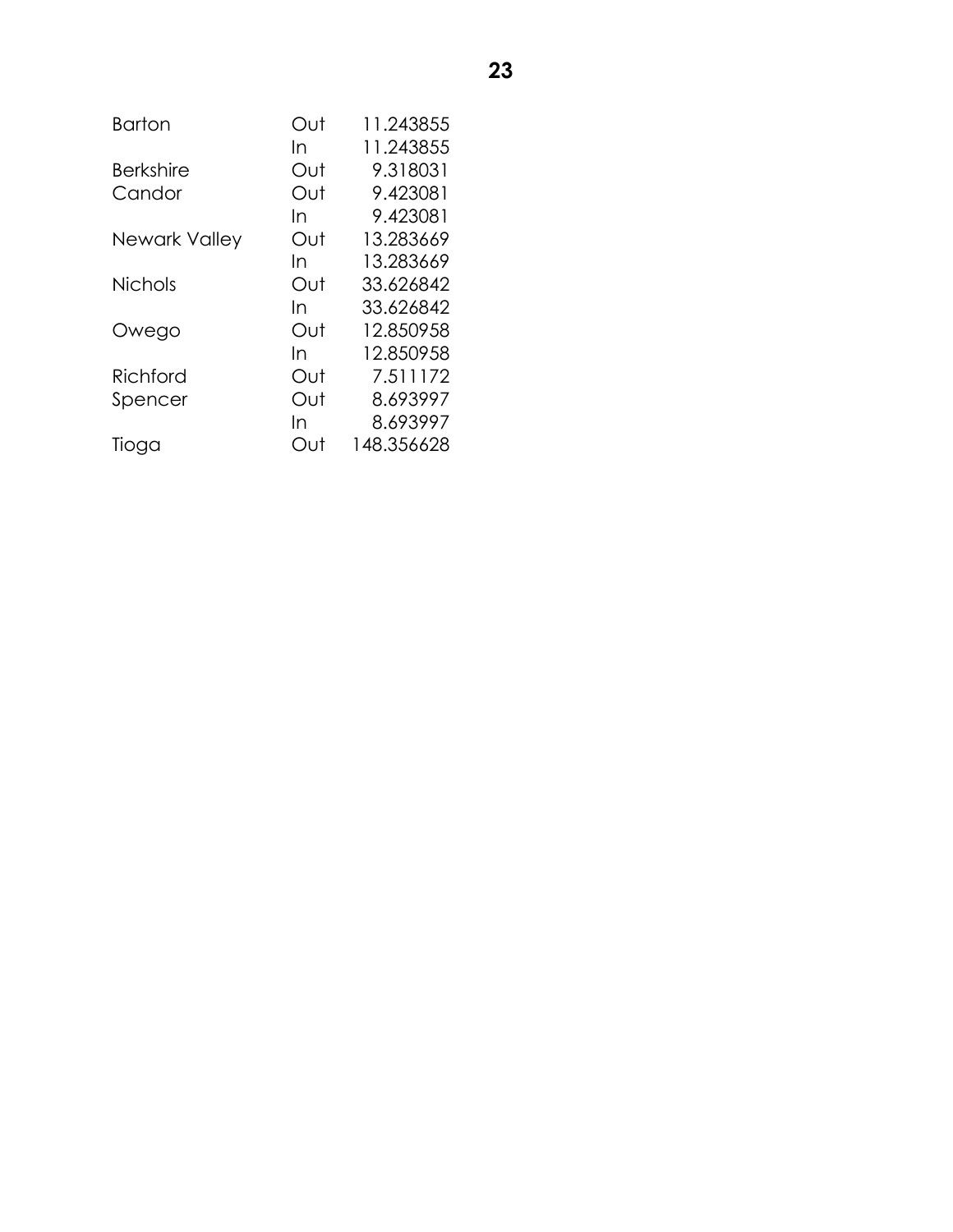| <b>Barton</b>    | Out | 11.243855  |
|------------------|-----|------------|
|                  | In  | 11.243855  |
| <b>Berkshire</b> | Out | 9.318031   |
| Candor           | Out | 9.423081   |
|                  | In  | 9.423081   |
| Newark Valley    | Out | 13.283669  |
|                  | In  | 13.283669  |
| <b>Nichols</b>   | Out | 33.626842  |
|                  | In  | 33.626842  |
| Owego            | Out | 12.850958  |
|                  | In  | 12.850958  |
| Richford         | Out | 7.511172   |
| Spencer          | Out | 8.693997   |
|                  | In  | 8.693997   |
| Tioga            | Out | 148.356628 |
|                  |     |            |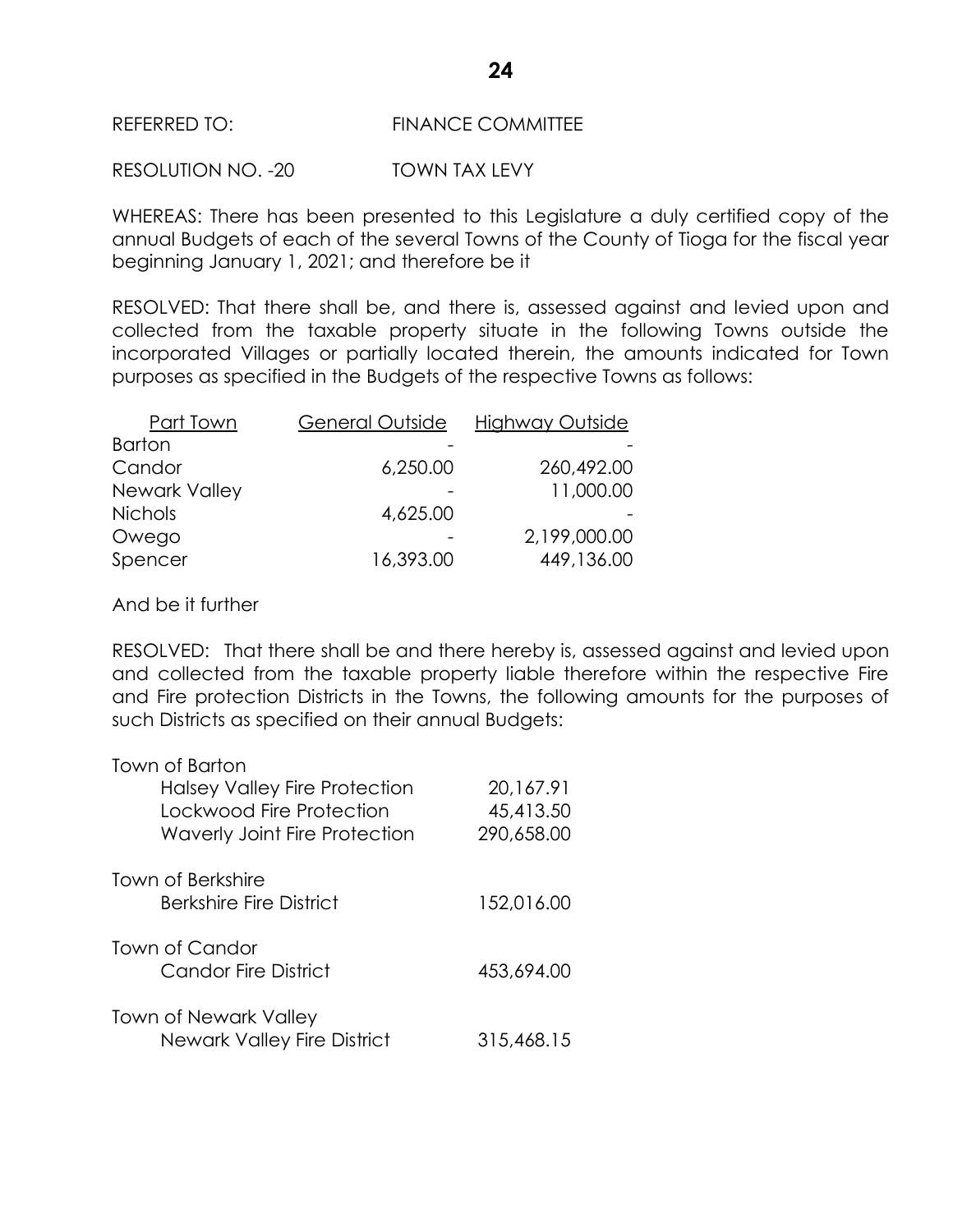### REFERRED TO: FINANCE COMMITTEE

RESOLUTION NO. -20 TOWN TAX LEVY

WHEREAS: There has been presented to this Legislature a duly certified copy of the annual Budgets of each of the several Towns of the County of Tioga for the fiscal year beginning January 1, 2021; and therefore be it

RESOLVED: That there shall be, and there is, assessed against and levied upon and collected from the taxable property situate in the following Towns outside the incorporated Villages or partially located therein, the amounts indicated for Town purposes as specified in the Budgets of the respective Towns as follows:

| General Outside | <b>Highway Outside</b> |
|-----------------|------------------------|
|                 |                        |
| 6,250.00        | 260,492.00             |
|                 | 11,000.00              |
| 4,625.00        |                        |
|                 | 2,199,000.00           |
| 16,393.00       | 449,136.00             |
|                 |                        |

And be it further

RESOLVED: That there shall be and there hereby is, assessed against and levied upon and collected from the taxable property liable therefore within the respective Fire and Fire protection Districts in the Towns, the following amounts for the purposes of such Districts as specified on their annual Budgets:

| Town of Barton<br><b>Halsey Valley Fire Protection</b>             | 20,167.91               |
|--------------------------------------------------------------------|-------------------------|
| Lockwood Fire Protection<br><b>Waverly Joint Fire Protection</b>   | 45,413.50<br>290,658.00 |
| Town of Berkshire<br><b>Berkshire Fire District</b>                | 152,016.00              |
| Town of Candor<br><b>Candor Fire District</b>                      | 453,694.00              |
| <b>Town of Newark Valley</b><br><b>Newark Valley Fire District</b> | 315,468.15              |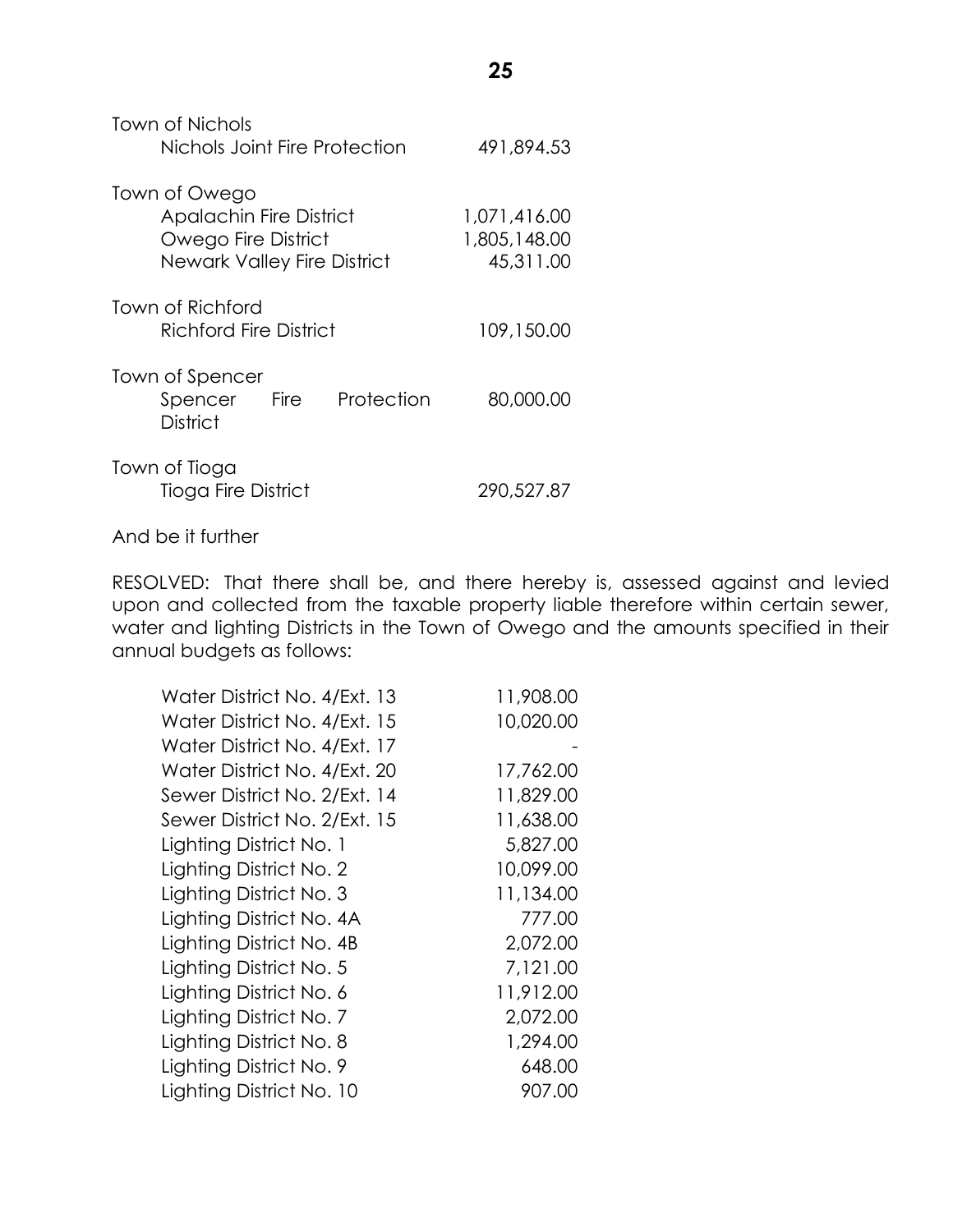| Town of Nichols<br>Nichols Joint Fire Protection                                                             | 491,894.53                                |
|--------------------------------------------------------------------------------------------------------------|-------------------------------------------|
| Town of Owego<br><b>Apalachin Fire District</b><br>Owego Fire District<br><b>Newark Valley Fire District</b> | 1,071,416.00<br>1,805,148.00<br>45,311.00 |
| Town of Richford<br>Richford Fire District                                                                   | 109,150.00                                |
| Town of Spencer<br>Spencer Fire<br>Protection<br>District                                                    | 80,000.00                                 |
| Town of Tioga<br>Tioga Fire District                                                                         | 290,527.87                                |

And be it further

RESOLVED: That there shall be, and there hereby is, assessed against and levied upon and collected from the taxable property liable therefore within certain sewer, water and lighting Districts in the Town of Owego and the amounts specified in their annual budgets as follows:

| Water District No. 4/Ext. 13 | 11,908.00 |
|------------------------------|-----------|
| Water District No. 4/Ext. 15 | 10,020.00 |
| Water District No. 4/Ext. 17 |           |
| Water District No. 4/Ext. 20 | 17,762.00 |
| Sewer District No. 2/Ext. 14 | 11,829.00 |
| Sewer District No. 2/Ext. 15 | 11,638.00 |
| Lighting District No. 1      | 5,827.00  |
| Lighting District No. 2      | 10,099.00 |
| Lighting District No. 3      | 11,134.00 |
| Lighting District No. 4A     | 777.00    |
| Lighting District No. 4B     | 2,072.00  |
| Lighting District No. 5      | 7,121.00  |
| Lighting District No. 6      | 11,912.00 |
| Lighting District No. 7      | 2,072.00  |
| Lighting District No. 8      | 1,294.00  |
| Lighting District No. 9      | 648.00    |
| Lighting District No. 10     | 907.00    |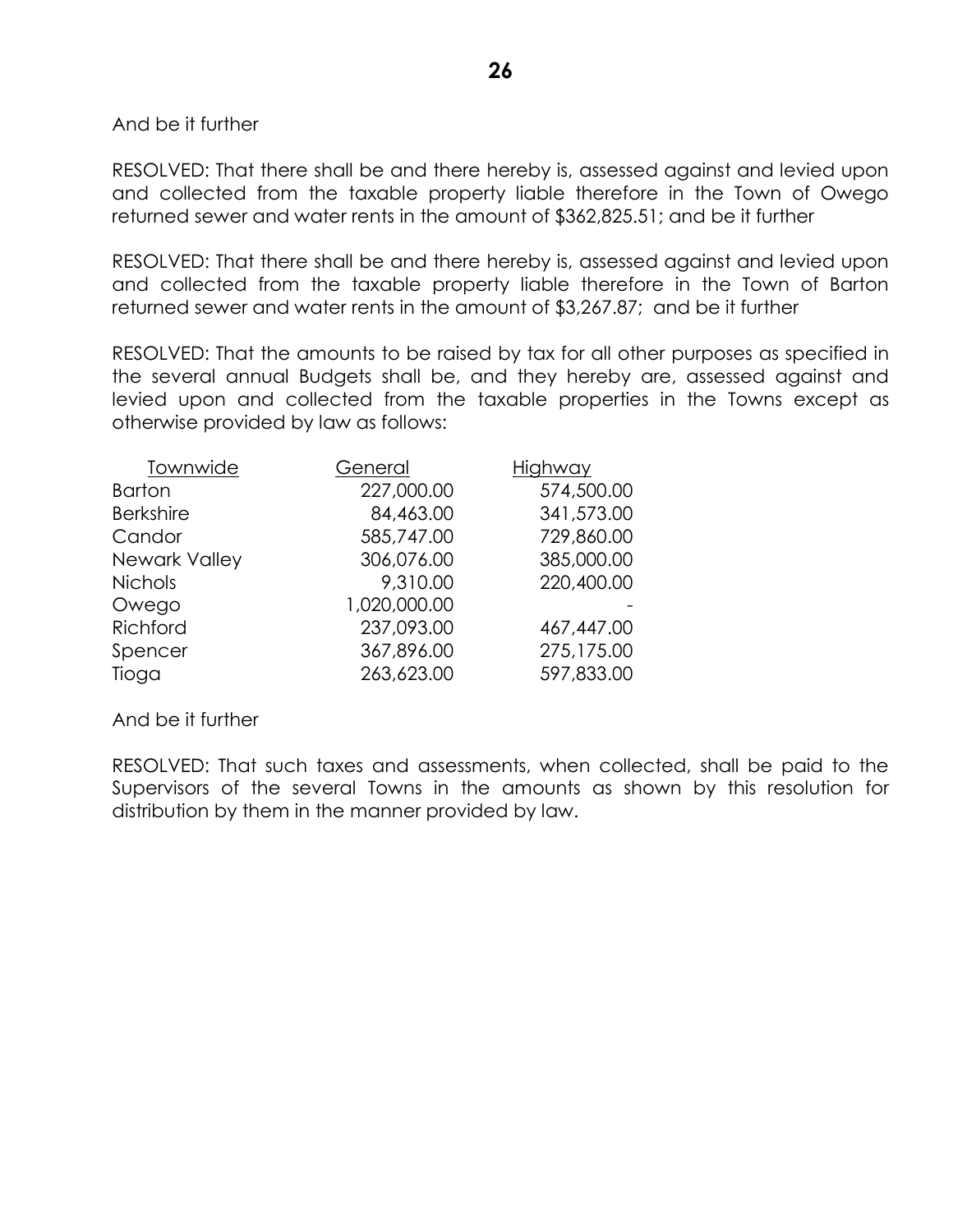And be it further

RESOLVED: That there shall be and there hereby is, assessed against and levied upon and collected from the taxable property liable therefore in the Town of Owego returned sewer and water rents in the amount of \$362,825.51; and be it further

RESOLVED: That there shall be and there hereby is, assessed against and levied upon and collected from the taxable property liable therefore in the Town of Barton returned sewer and water rents in the amount of \$3,267.87; and be it further

RESOLVED: That the amounts to be raised by tax for all other purposes as specified in the several annual Budgets shall be, and they hereby are, assessed against and levied upon and collected from the taxable properties in the Towns except as otherwise provided by law as follows:

| Townwide         | General      | Highway    |
|------------------|--------------|------------|
| <b>Barton</b>    | 227,000.00   | 574,500.00 |
| <b>Berkshire</b> | 84,463.00    | 341,573.00 |
| Candor           | 585,747.00   | 729,860.00 |
| Newark Valley    | 306,076.00   | 385,000.00 |
| <b>Nichols</b>   | 9,310.00     | 220,400.00 |
| Owego            | 1,020,000.00 |            |
| Richford         | 237,093.00   | 467,447.00 |
| Spencer          | 367,896.00   | 275,175.00 |
| Tioga            | 263,623.00   | 597,833.00 |

And be it further

RESOLVED: That such taxes and assessments, when collected, shall be paid to the Supervisors of the several Towns in the amounts as shown by this resolution for distribution by them in the manner provided by law.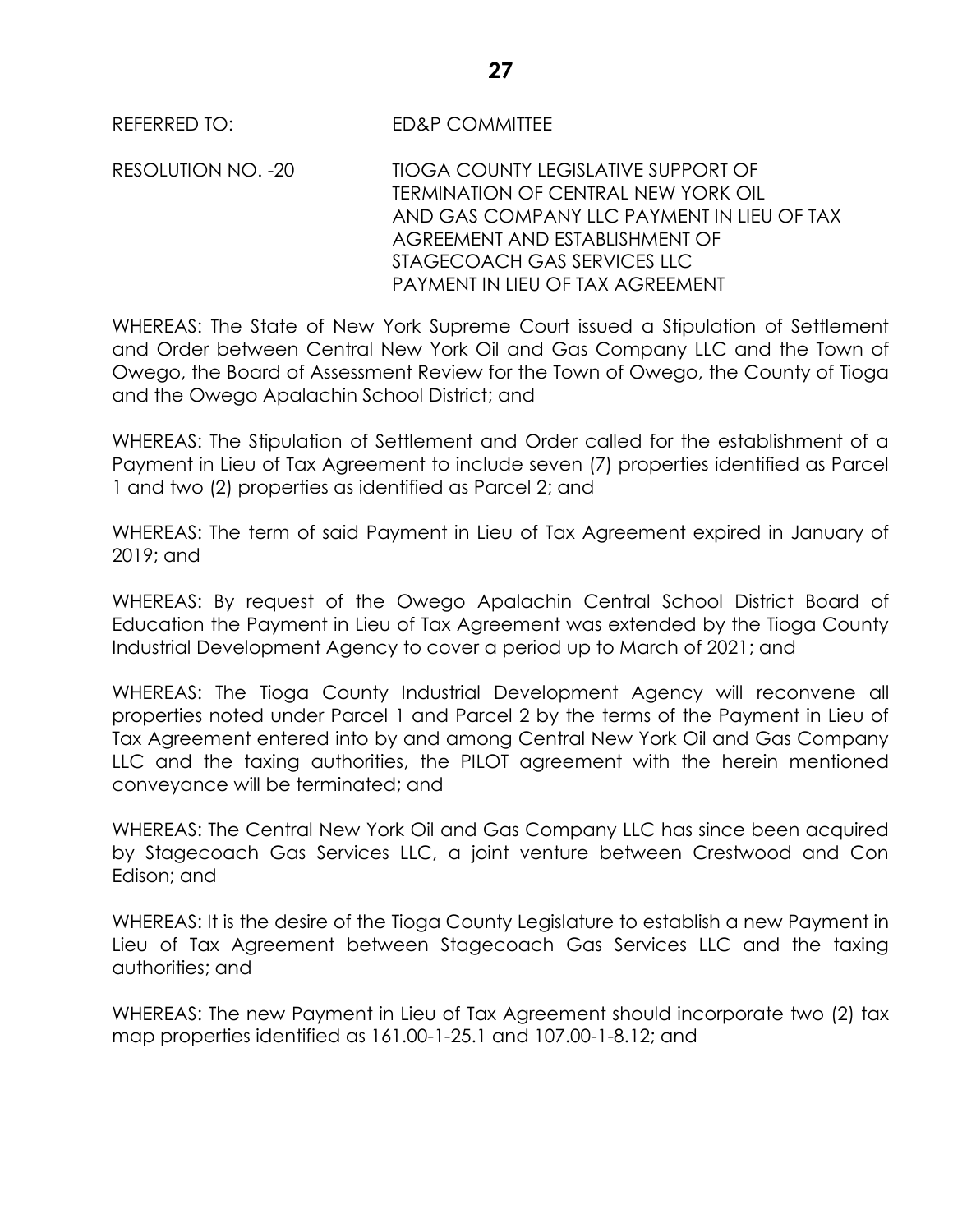RESOLUTION NO. -20 TIOGA COUNTY LEGISLATIVE SUPPORT OF TERMINATION OF CENTRAL NEW YORK OIL AND GAS COMPANY LLC PAYMENT IN LIFU OF TAX AGREEMENT AND ESTABLISHMENT OF STAGECOACH GAS SERVICES LLC PAYMENT IN LIFU OF TAX AGREEMENT

WHEREAS: The State of New York Supreme Court issued a Stipulation of Settlement and Order between Central New York Oil and Gas Company LLC and the Town of Owego, the Board of Assessment Review for the Town of Owego, the County of Tioga and the Owego Apalachin School District; and

WHEREAS: The Stipulation of Settlement and Order called for the establishment of a Payment in Lieu of Tax Agreement to include seven (7) properties identified as Parcel 1 and two (2) properties as identified as Parcel 2; and

WHEREAS: The term of said Payment in Lieu of Tax Agreement expired in January of 2019; and

WHEREAS: By request of the Owego Apalachin Central School District Board of Education the Payment in Lieu of Tax Agreement was extended by the Tioga County Industrial Development Agency to cover a period up to March of 2021; and

WHEREAS: The Tioga County Industrial Development Agency will reconvene all properties noted under Parcel 1 and Parcel 2 by the terms of the Payment in Lieu of Tax Agreement entered into by and among Central New York Oil and Gas Company LLC and the taxing authorities, the PILOT agreement with the herein mentioned conveyance will be terminated; and

WHEREAS: The Central New York Oil and Gas Company LLC has since been acquired by Stagecoach Gas Services LLC, a joint venture between Crestwood and Con Edison; and

WHEREAS: It is the desire of the Tioga County Legislature to establish a new Payment in Lieu of Tax Agreement between Stagecoach Gas Services LLC and the taxing authorities; and

WHEREAS: The new Payment in Lieu of Tax Agreement should incorporate two (2) tax map properties identified as 161.00-1-25.1 and 107.00-1-8.12; and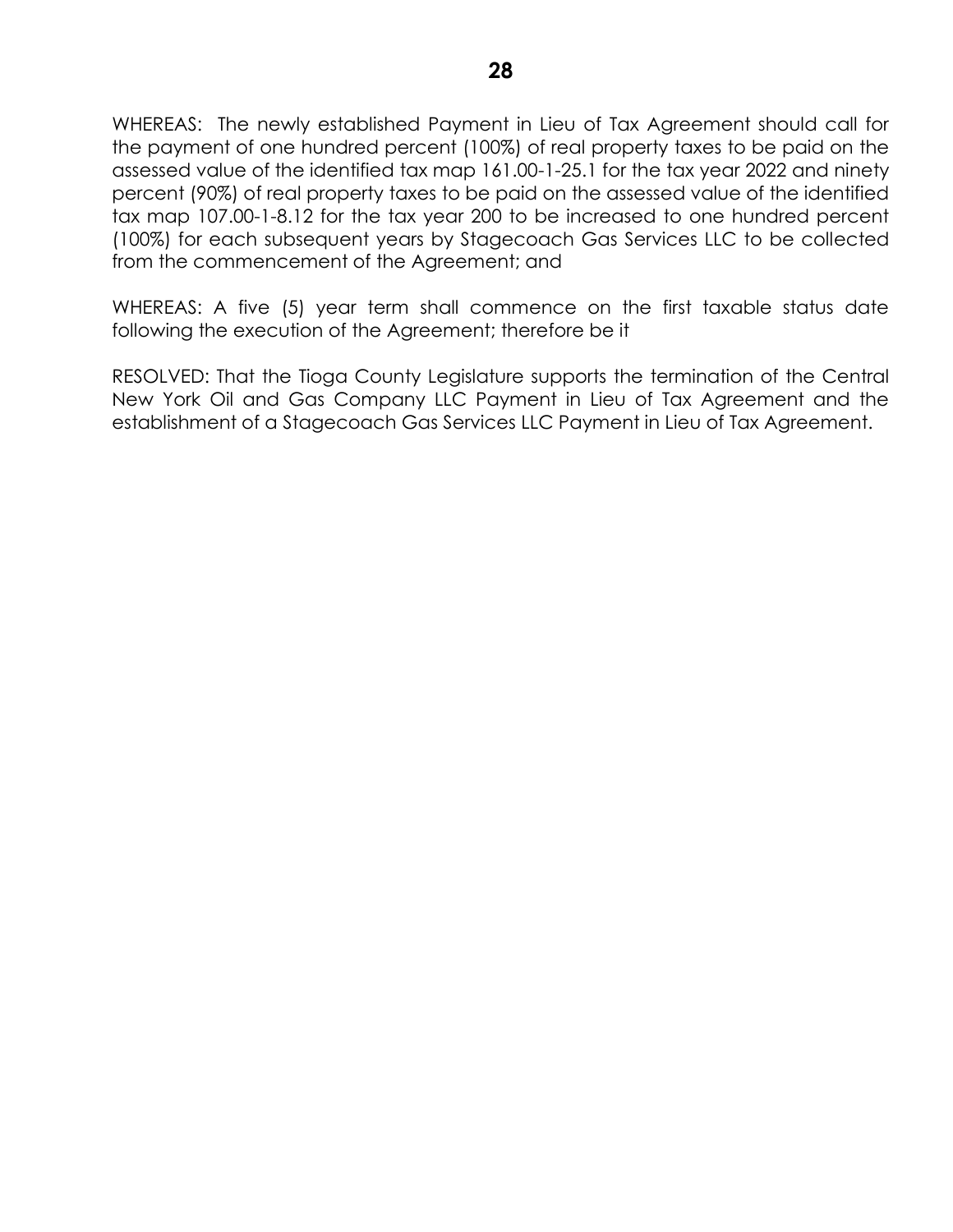WHEREAS: The newly established Payment in Lieu of Tax Agreement should call for the payment of one hundred percent (100%) of real property taxes to be paid on the assessed value of the identified tax map 161.00-1-25.1 for the tax year 2022 and ninety percent (90%) of real property taxes to be paid on the assessed value of the identified tax map 107.00-1-8.12 for the tax year 200 to be increased to one hundred percent (100%) for each subsequent years by Stagecoach Gas Services LLC to be collected from the commencement of the Agreement; and

WHEREAS: A five (5) year term shall commence on the first taxable status date following the execution of the Agreement; therefore be it

RESOLVED: That the Tioga County Legislature supports the termination of the Central New York Oil and Gas Company LLC Payment in Lieu of Tax Agreement and the establishment of a Stagecoach Gas Services LLC Payment in Lieu of Tax Agreement.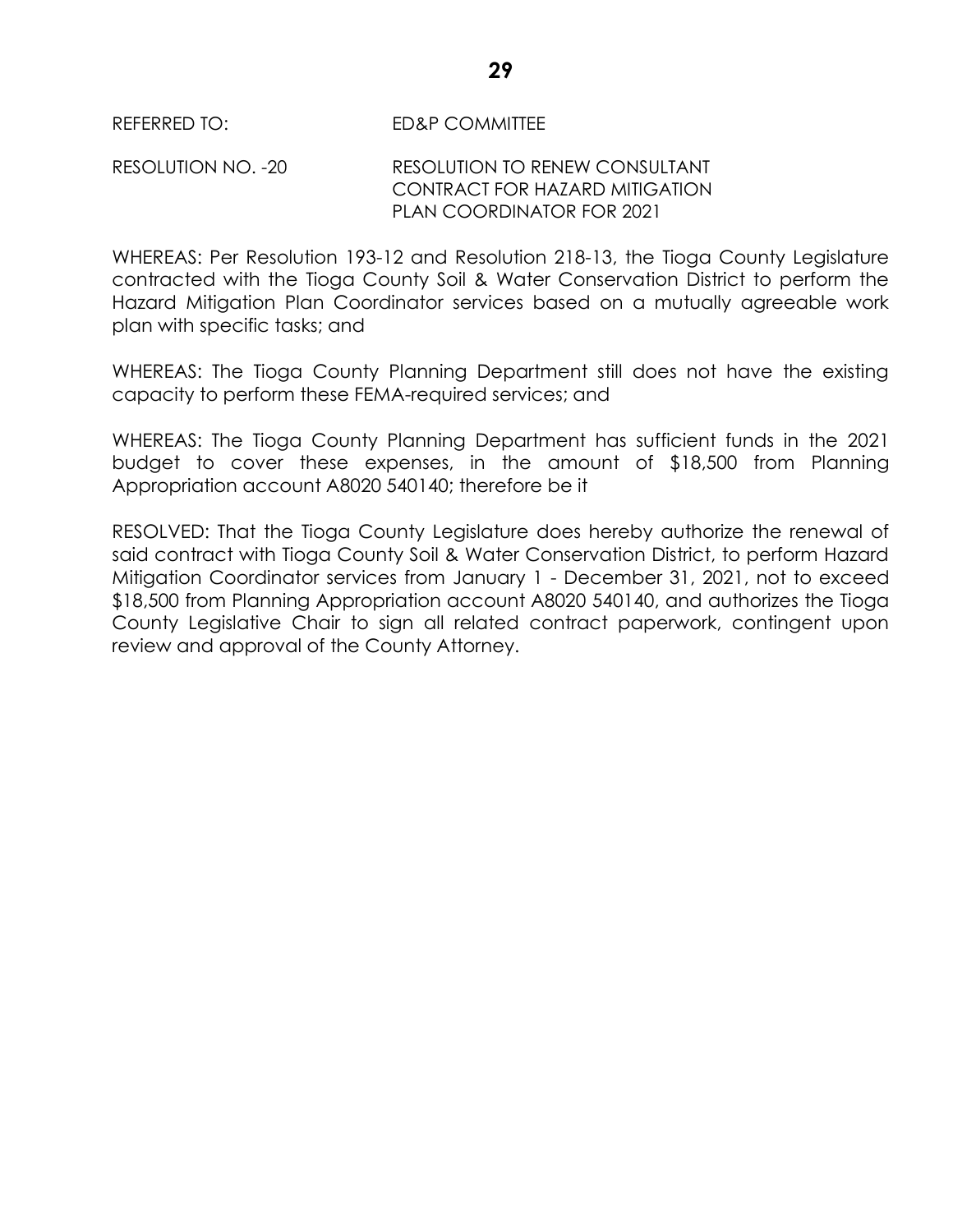RESOLUTION NO. -20 RESOLUTION TO RENEW CONSULTANT CONTRACT FOR HAZARD MITIGATION PLAN COORDINATOR FOR 2021

WHEREAS: Per Resolution 193-12 and Resolution 218-13, the Tioga County Legislature contracted with the Tioga County Soil & Water Conservation District to perform the Hazard Mitigation Plan Coordinator services based on a mutually agreeable work plan with specific tasks; and

WHEREAS: The Tioga County Planning Department still does not have the existing capacity to perform these FEMA-required services; and

WHEREAS: The Tioga County Planning Department has sufficient funds in the 2021 budget to cover these expenses, in the amount of \$18,500 from Planning Appropriation account A8020 540140; therefore be it

RESOLVED: That the Tioga County Legislature does hereby authorize the renewal of said contract with Tioga County Soil & Water Conservation District, to perform Hazard Mitigation Coordinator services from January 1 - December 31, 2021, not to exceed \$18,500 from Planning Appropriation account A8020 540140, and authorizes the Tioga County Legislative Chair to sign all related contract paperwork, contingent upon review and approval of the County Attorney.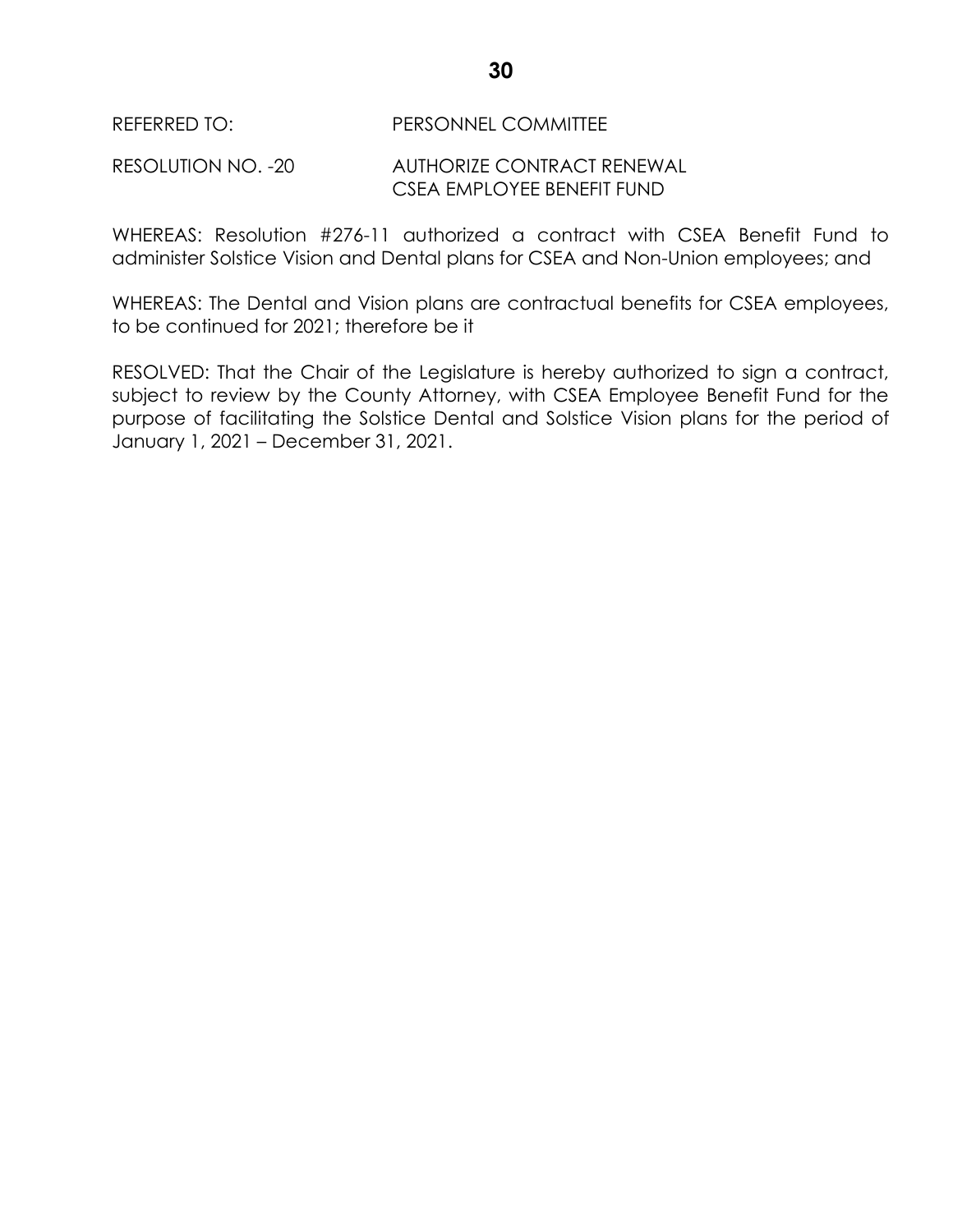# RESOLUTION NO. -20 AUTHORIZE CONTRACT RENEWAL CSEA EMPLOYEE BENEFIT FUND

WHEREAS: Resolution #276-11 authorized a contract with CSEA Benefit Fund to administer Solstice Vision and Dental plans for CSEA and Non-Union employees; and

WHEREAS: The Dental and Vision plans are contractual benefits for CSEA employees, to be continued for 2021; therefore be it

RESOLVED: That the Chair of the Legislature is hereby authorized to sign a contract, subject to review by the County Attorney, with CSEA Employee Benefit Fund for the purpose of facilitating the Solstice Dental and Solstice Vision plans for the period of January 1, 2021 – December 31, 2021.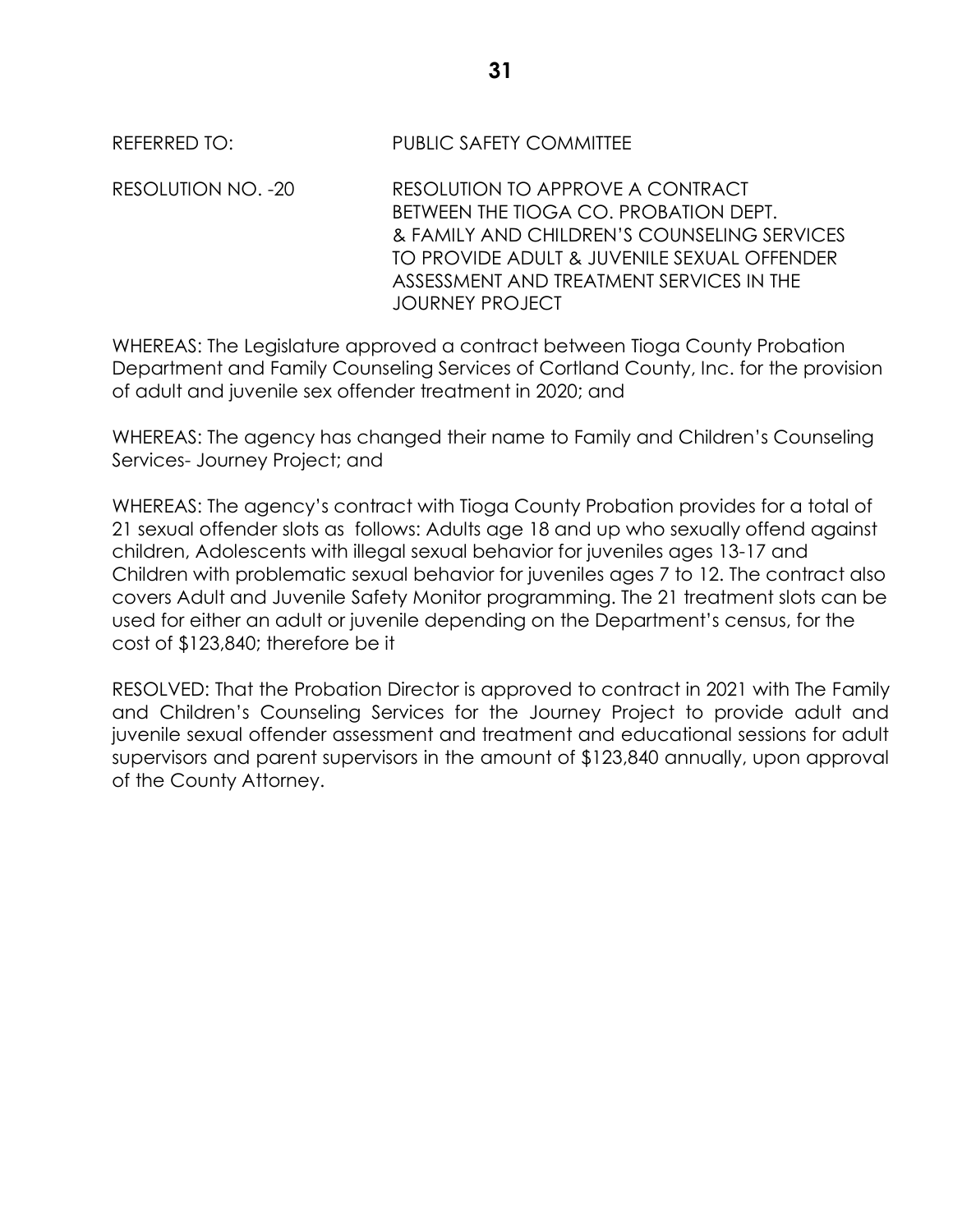REFERRED TO: PUBLIC SAFETY COMMITTEE

RESOLUTION NO. -20 RESOLUTION TO APPROVE A CONTRACT BETWEEN THE TIOGA CO. PROBATION DEPT. & FAMILY AND CHILDREN'S COUNSELING SERVICES TO PROVIDE ADULT & JUVENILE SEXUAL OFFENDER ASSESSMENT AND TREATMENT SERVICES IN THE JOURNEY PROJECT

WHEREAS: The Legislature approved a contract between Tioga County Probation Department and Family Counseling Services of Cortland County, Inc. for the provision of adult and juvenile sex offender treatment in 2020; and

WHEREAS: The agency has changed their name to Family and Children's Counseling Services- Journey Project; and

WHEREAS: The agency's contract with Tioga County Probation provides for a total of 21 sexual offender slots as follows: Adults age 18 and up who sexually offend against children, Adolescents with illegal sexual behavior for juveniles ages 13-17 and Children with problematic sexual behavior for juveniles ages 7 to 12. The contract also covers Adult and Juvenile Safety Monitor programming. The 21 treatment slots can be used for either an adult or juvenile depending on the Department's census, for the cost of \$123,840; therefore be it

RESOLVED: That the Probation Director is approved to contract in 2021 with The Family and Children's Counseling Services for the Journey Project to provide adult and juvenile sexual offender assessment and treatment and educational sessions for adult supervisors and parent supervisors in the amount of \$123,840 annually, upon approval of the County Attorney.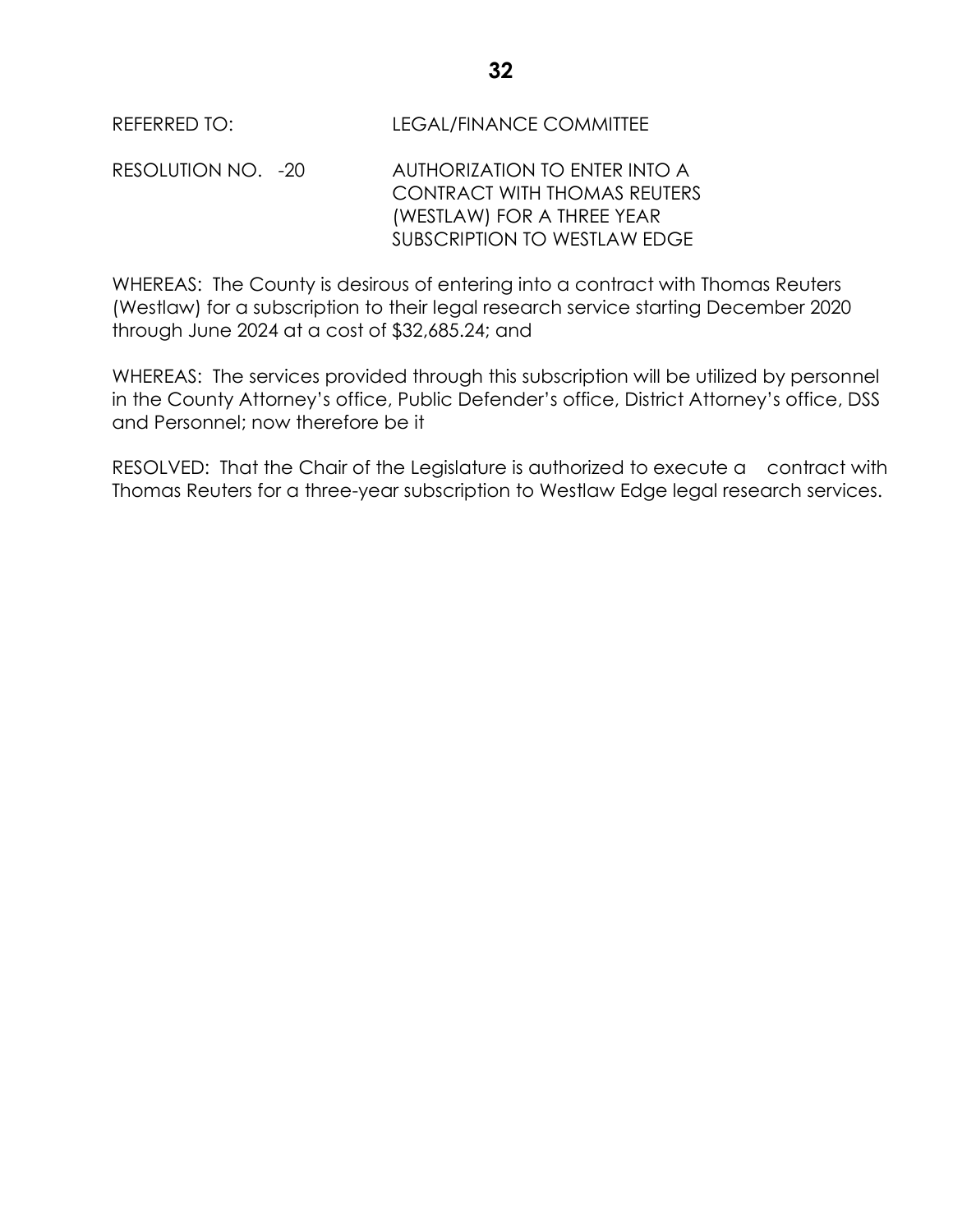RESOLUTION NO. -20 AUTHORIZATION TO ENTER INTO A CONTRACT WITH THOMAS REUTERS (WESTLAW) FOR A THREE YEAR SUBSCRIPTION TO WESTLAW EDGE

WHEREAS: The County is desirous of entering into a contract with Thomas Reuters (Westlaw) for a subscription to their legal research service starting December 2020 through June 2024 at a cost of \$32,685.24; and

WHEREAS: The services provided through this subscription will be utilized by personnel in the County Attorney's office, Public Defender's office, District Attorney's office, DSS and Personnel; now therefore be it

RESOLVED: That the Chair of the Legislature is authorized to execute a contract with Thomas Reuters for a three-year subscription to Westlaw Edge legal research services.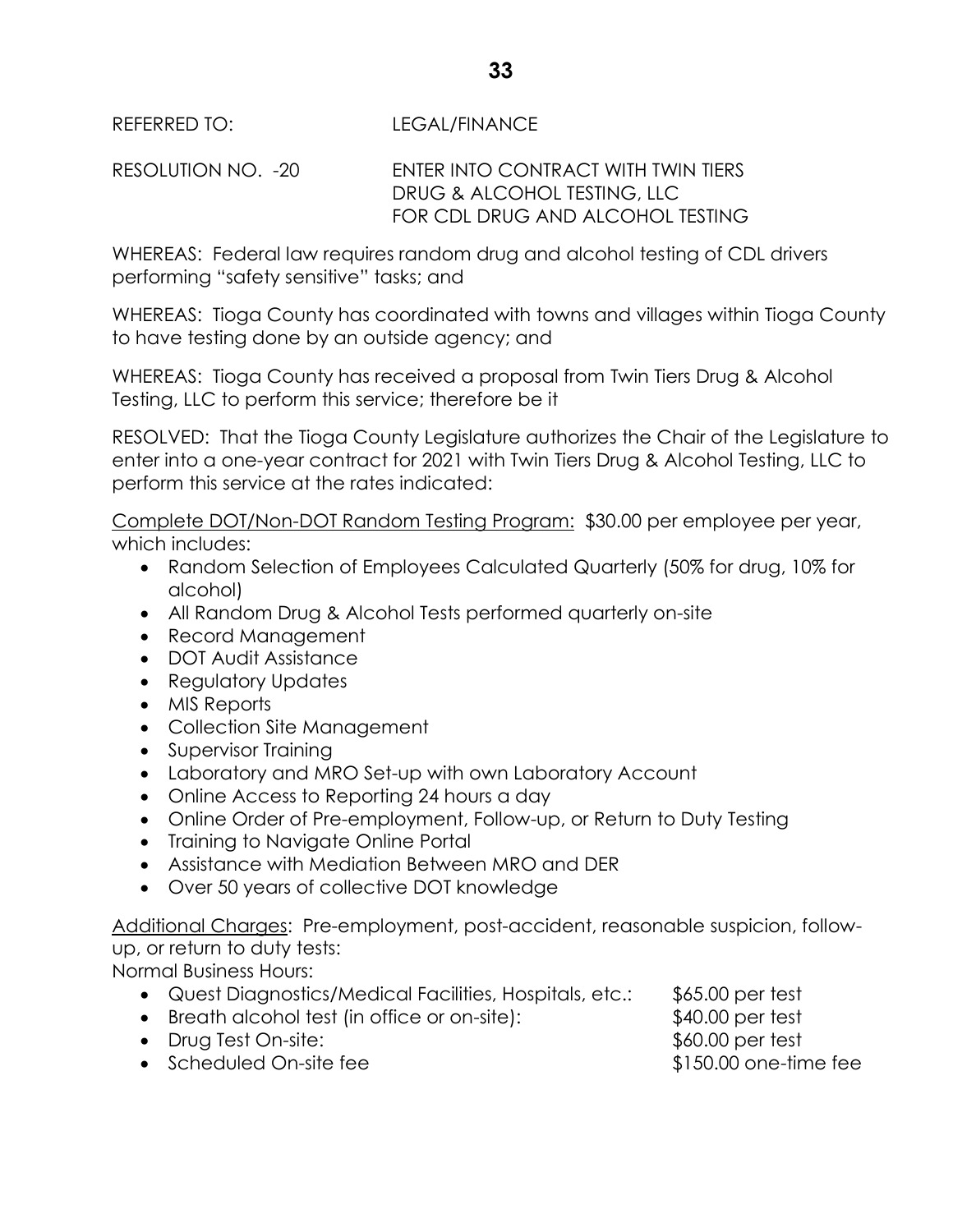REFERRED TO: LEGAL/FINANCE

RESOLUTION NO. -20 ENTER INTO CONTRACT WITH TWIN TIERS DRUG & ALCOHOL TESTING, LLC FOR CDL DRUG AND ALCOHOL TESTING

WHEREAS: Federal law requires random drug and alcohol testing of CDL drivers performing "safety sensitive" tasks; and

WHEREAS: Tioga County has coordinated with towns and villages within Tioga County to have testing done by an outside agency; and

WHEREAS: Tioga County has received a proposal from Twin Tiers Drug & Alcohol Testing, LLC to perform this service; therefore be it

RESOLVED: That the Tioga County Legislature authorizes the Chair of the Legislature to enter into a one-year contract for 2021 with Twin Tiers Drug & Alcohol Testing, LLC to perform this service at the rates indicated:

Complete DOT/Non-DOT Random Testing Program: \$30.00 per employee per year, which includes:

- Random Selection of Employees Calculated Quarterly (50% for drug, 10% for alcohol)
- All Random Drug & Alcohol Tests performed quarterly on-site
- Record Management
- DOT Audit Assistance
- Regulatory Updates
- MIS Reports
- Collection Site Management
- Supervisor Training
- Laboratory and MRO Set-up with own Laboratory Account
- Online Access to Reporting 24 hours a day
- Online Order of Pre-employment, Follow-up, or Return to Duty Testing
- Training to Navigate Online Portal
- Assistance with Mediation Between MRO and DER
- Over 50 years of collective DOT knowledge

Additional Charges: Pre-employment, post-accident, reasonable suspicion, followup, or return to duty tests:

Normal Business Hours:

- Quest Diagnostics/Medical Facilities, Hospitals, etc.: \$65.00 per test
- Breath alcohol test (in office or on-site): \$40.00 per test
- Drug Test On-site:  $$60.00$  per test
- Scheduled On-site fee  $$150.00$  one-time fee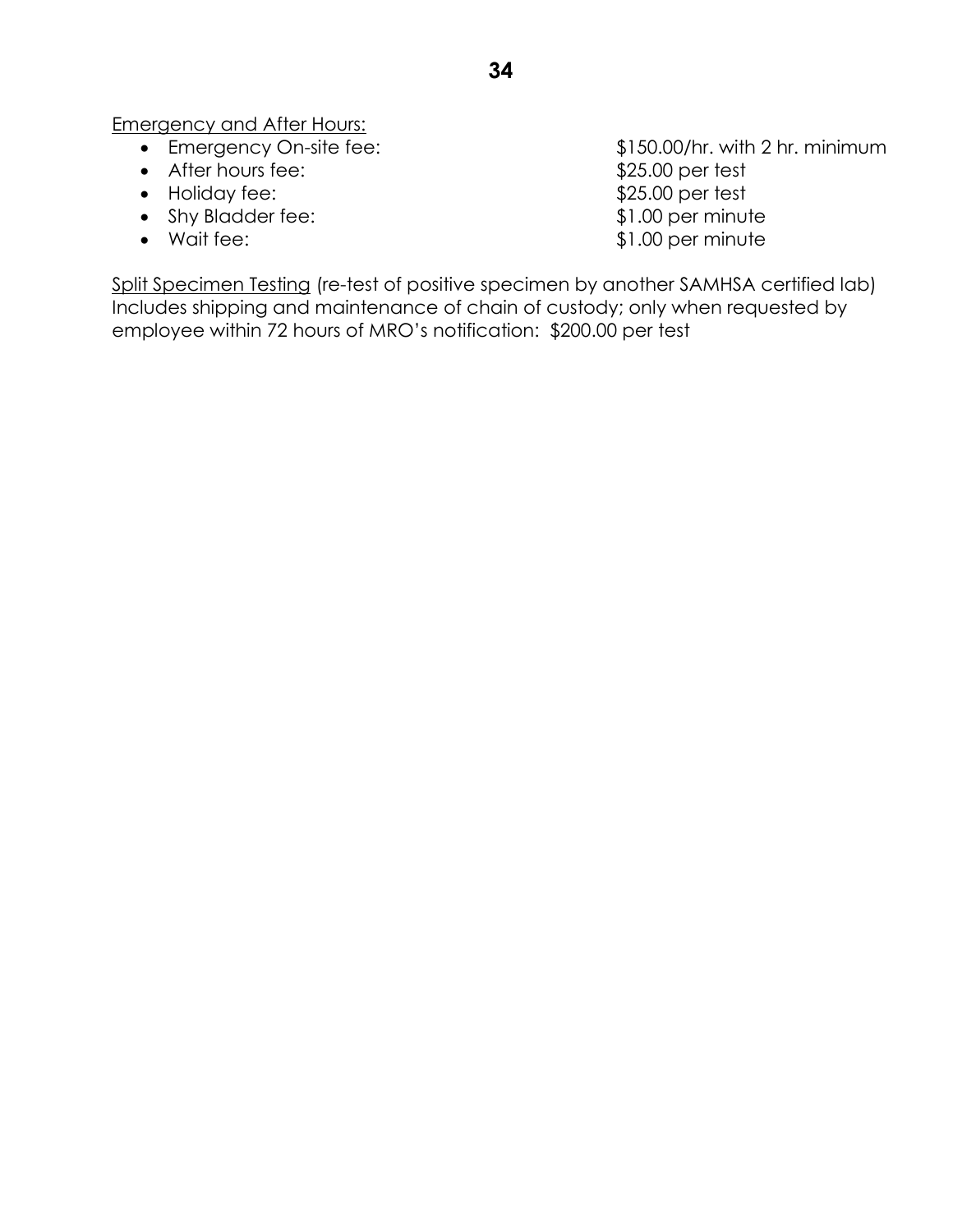Emergency and After Hours:

- 
- After hours fee:  $$25.00 \text{ per test}$
- Holiday fee: \$25.00 per test
- Shy Bladder fee: \$1.00 per minute
- 

 Emergency On-site fee: \$150.00/hr. with 2 hr. minimum • Wait fee:  $$1.00$  per minute

Split Specimen Testing (re-test of positive specimen by another SAMHSA certified lab) Includes shipping and maintenance of chain of custody; only when requested by employee within 72 hours of MRO's notification: \$200.00 per test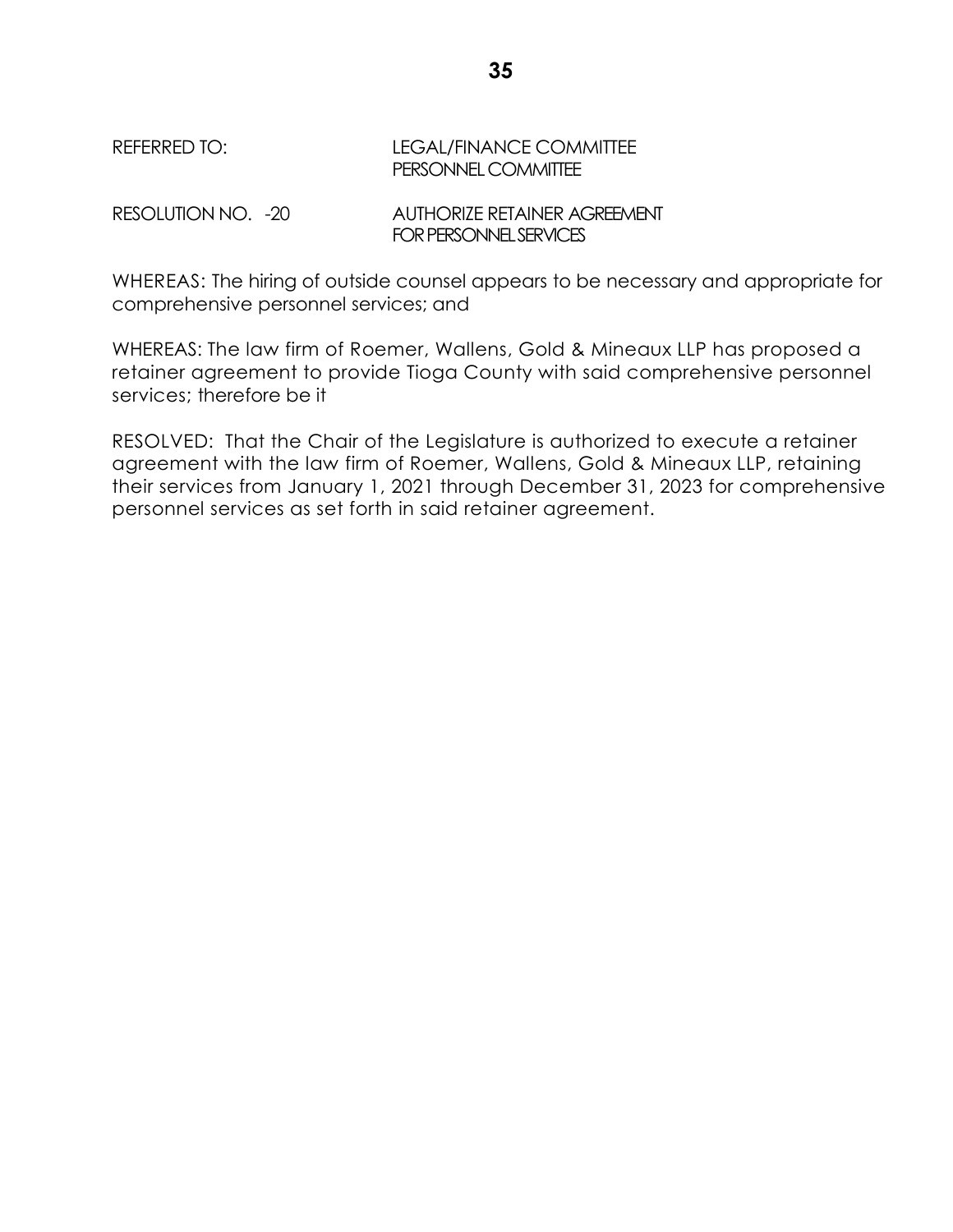# REFERRED TO: LEGAL/FINANCE COMMITTEE PERSONNEL COMMITTEE

RESOLUTION NO. -20 AUTHORIZE RETAINER AGREEMENT FOR PERSONNEL SERVICES

WHEREAS: The hiring of outside counsel appears to be necessary and appropriate for comprehensive personnel services; and

WHEREAS: The law firm of Roemer, Wallens, Gold & Mineaux LLP has proposed a retainer agreement to provide Tioga County with said comprehensive personnel services; therefore be it

RESOLVED: That the Chair of the Legislature is authorized to execute a retainer agreement with the law firm of Roemer, Wallens, Gold & Mineaux LLP, retaining their services from January 1, 2021 through December 31, 2023 for comprehensive personnel services as set forth in said retainer agreement.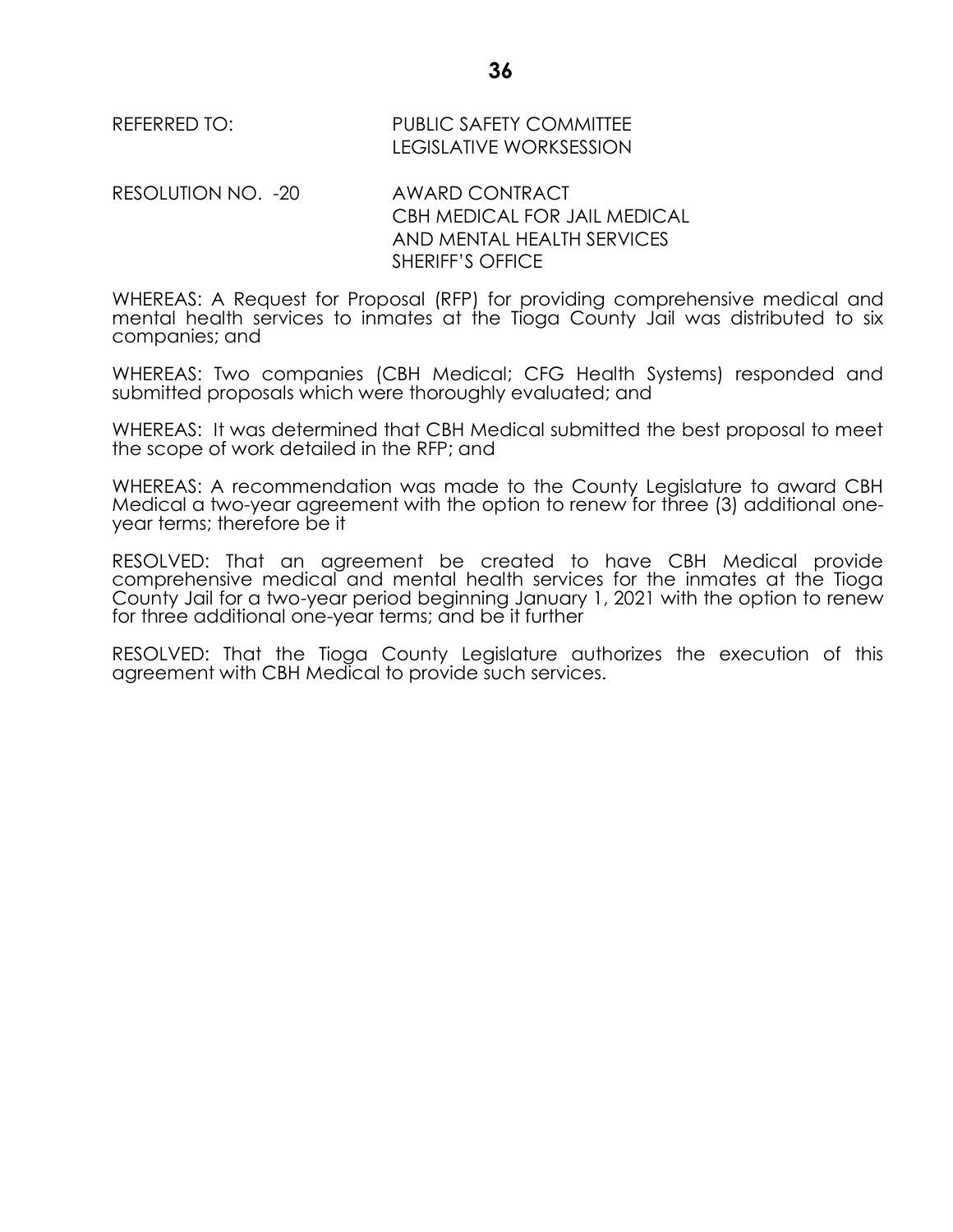REFERRED TO: PUBLIC SAFETY COMMITTEE LEGISLATIVE WORKSESSION

RESOLUTION NO. -20 AWARD CONTRACT

CBH MEDICAL FOR JAIL MEDICAL AND MENTAL HEALTH SERVICES SHERIFF'S OFFICE

WHEREAS: A Request for Proposal (RFP) for providing comprehensive medical and mental health services to inmates at the Tioga County Jail was distributed to six companies; and

WHEREAS: Two companies (CBH Medical; CFG Health Systems) responded and submitted proposals which were thoroughly evaluated; and

WHEREAS: It was determined that CBH Medical submitted the best proposal to meet the scope of work detailed in the RFP; and

WHEREAS: A recommendation was made to the County Legislature to award CBH Medical a two-year agreement with the option to renew for three (3) additional oneyear terms; therefore be it

RESOLVED: That an agreement be created to have CBH Medical provide comprehensive medical and mental health services for the inmates at the Tioga County Jail for a two-year period beginning January 1, 2021 with the option to renew for three additional one-year terms; and be it further

RESOLVED: That the Tioga County Legislature authorizes the execution of this agreement with CBH Medical to provide such services.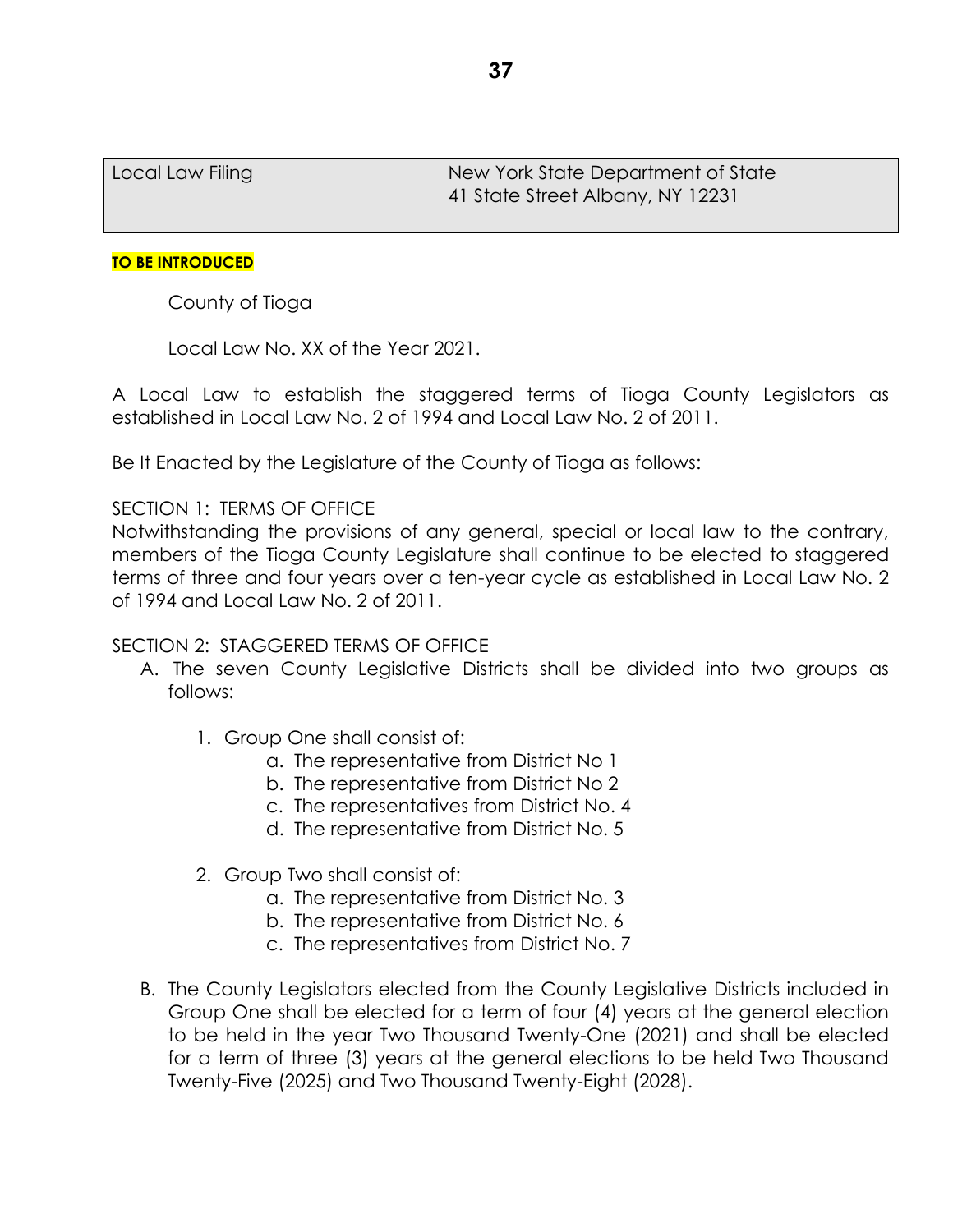Local Law Filing New York State Department of State 41 State Street Albany, NY 12231

### **TO BE INTRODUCED**

County of Tioga

Local Law No. XX of the Year 2021.

A Local Law to establish the staggered terms of Tioga County Legislators as established in Local Law No. 2 of 1994 and Local Law No. 2 of 2011.

Be It Enacted by the Legislature of the County of Tioga as follows:

# SECTION 1: TERMS OF OFFICE

Notwithstanding the provisions of any general, special or local law to the contrary, members of the Tioga County Legislature shall continue to be elected to staggered terms of three and four years over a ten-year cycle as established in Local Law No. 2 of 1994 and Local Law No. 2 of 2011.

# SECTION 2: STAGGERED TERMS OF OFFICE

- A. The seven County Legislative Districts shall be divided into two groups as follows:
	- 1. Group One shall consist of:
		- a. The representative from District No 1
		- b. The representative from District No 2
		- c. The representatives from District No. 4
		- d. The representative from District No. 5
	- 2. Group Two shall consist of:
		- a. The representative from District No. 3
		- b. The representative from District No. 6
		- c. The representatives from District No. 7
- B. The County Legislators elected from the County Legislative Districts included in Group One shall be elected for a term of four (4) years at the general election to be held in the year Two Thousand Twenty-One (2021) and shall be elected for a term of three (3) years at the general elections to be held Two Thousand Twenty-Five (2025) and Two Thousand Twenty-Eight (2028).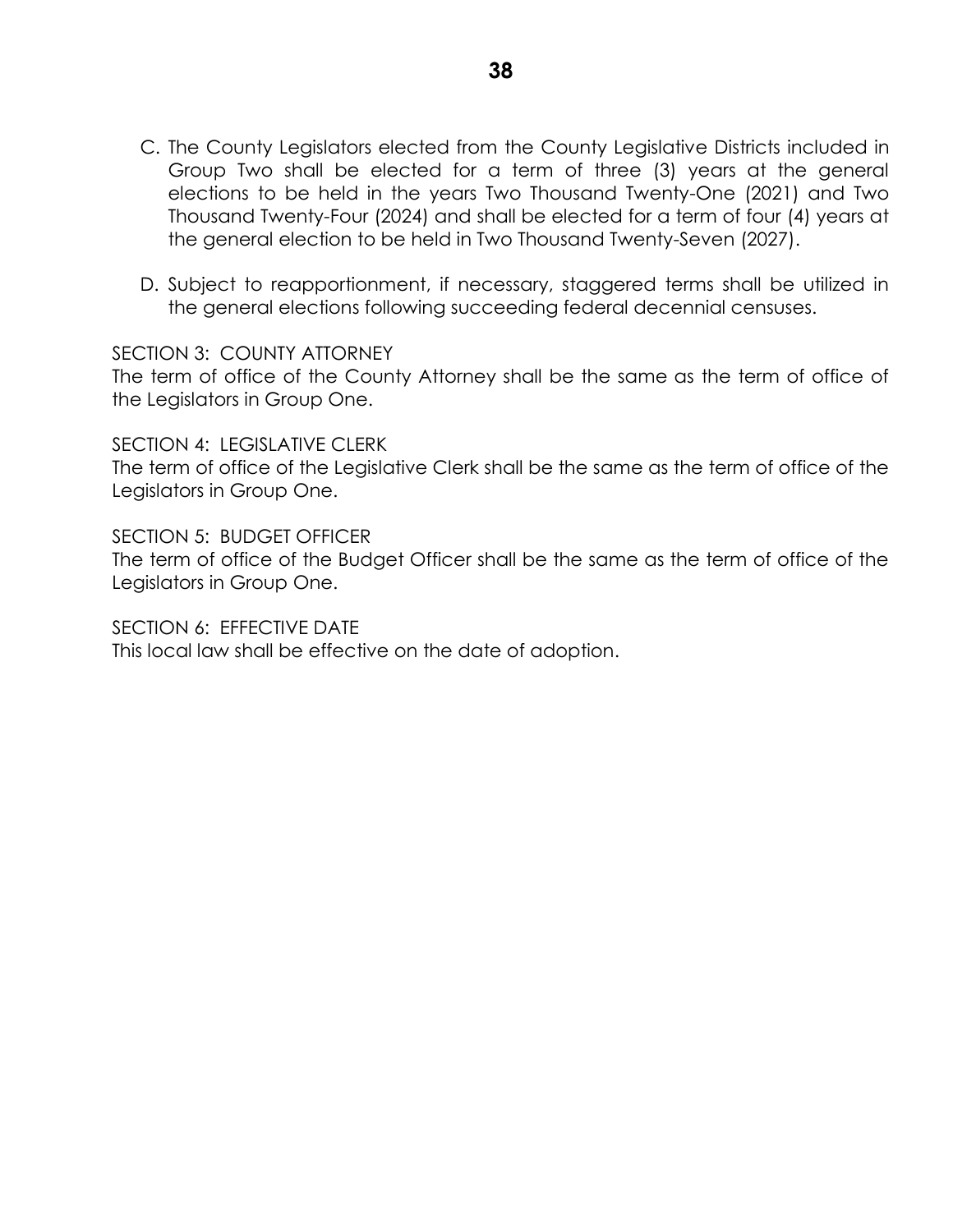- C. The County Legislators elected from the County Legislative Districts included in Group Two shall be elected for a term of three (3) years at the general elections to be held in the years Two Thousand Twenty-One (2021) and Two Thousand Twenty-Four (2024) and shall be elected for a term of four (4) years at the general election to be held in Two Thousand Twenty-Seven (2027).
- D. Subject to reapportionment, if necessary, staggered terms shall be utilized in the general elections following succeeding federal decennial censuses.

SECTION 3: COUNTY ATTORNEY

The term of office of the County Attorney shall be the same as the term of office of the Legislators in Group One.

SECTION 4: LEGISLATIVE CLERK

The term of office of the Legislative Clerk shall be the same as the term of office of the Legislators in Group One.

SECTION 5: BUDGET OFFICER The term of office of the Budget Officer shall be the same as the term of office of the Legislators in Group One.

SECTION 6: FEFECTIVE DATE This local law shall be effective on the date of adoption.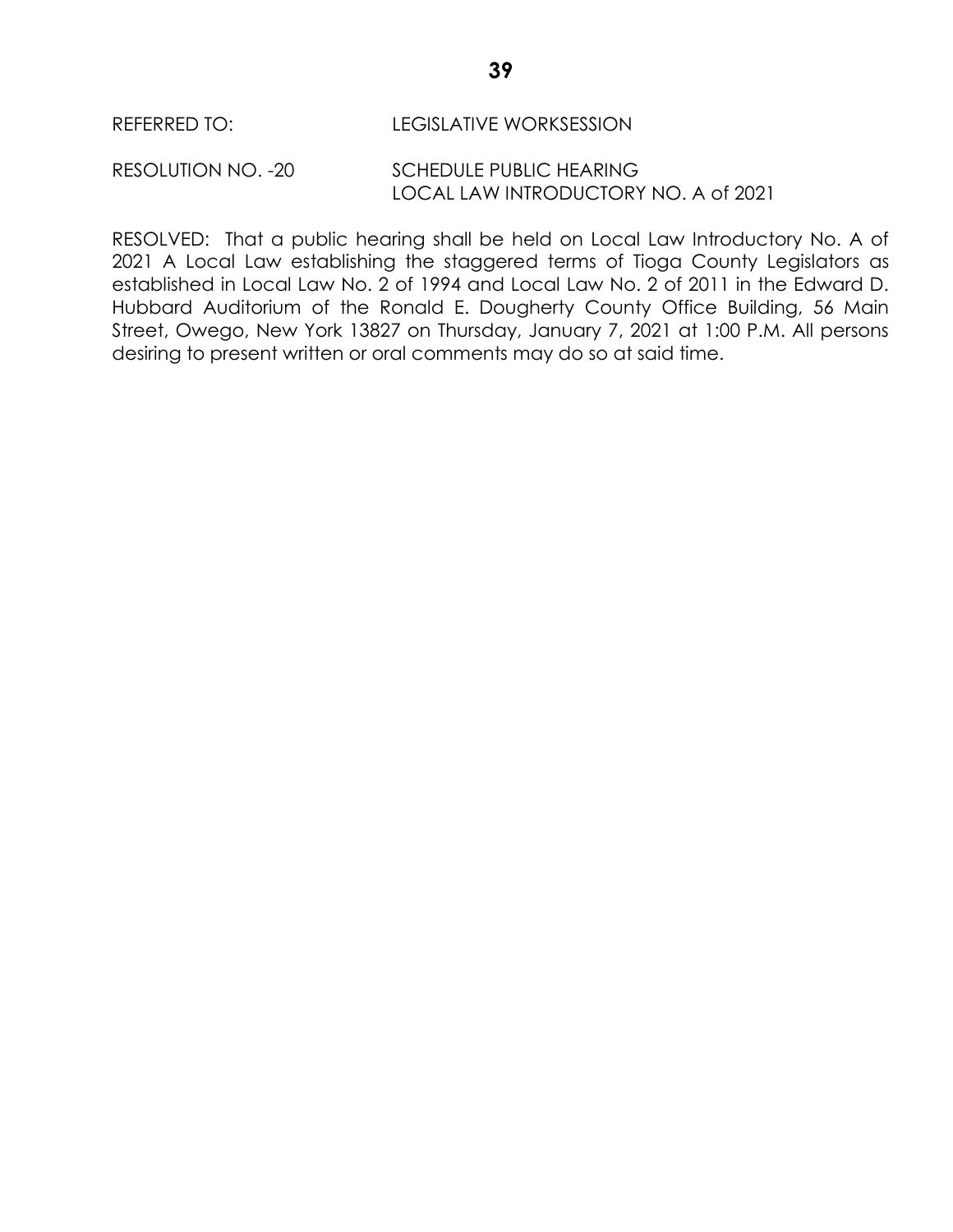#### RESOLUTION NO. -20 SCHEDULE PUBLIC HEARING LOCAL LAW INTRODUCTORY NO. A of 2021

RESOLVED: That a public hearing shall be held on Local Law Introductory No. A of 2021 A Local Law establishing the staggered terms of Tioga County Legislators as established in Local Law No. 2 of 1994 and Local Law No. 2 of 2011 in the Edward D. Hubbard Auditorium of the Ronald E. Dougherty County Office Building, 56 Main Street, Owego, New York 13827 on Thursday, January 7, 2021 at 1:00 P.M. All persons desiring to present written or oral comments may do so at said time.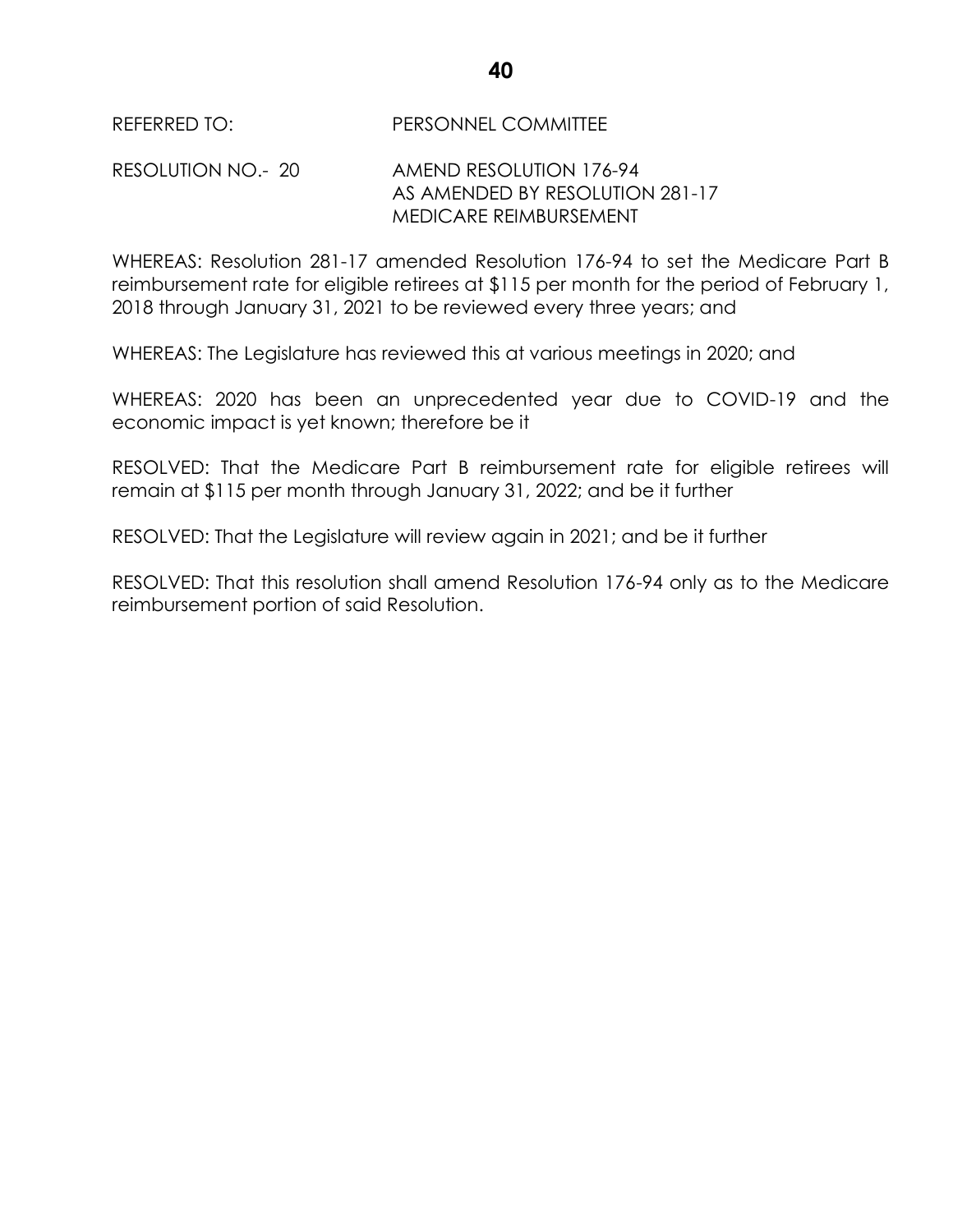RESOLUTION NO.- 20 AMEND RESOLUTION 176-94 AS AMENDED BY RESOLUTION 281-17 MEDICARE REIMBURSEMENT

WHEREAS: Resolution 281-17 amended Resolution 176-94 to set the Medicare Part B reimbursement rate for eligible retirees at \$115 per month for the period of February 1, 2018 through January 31, 2021 to be reviewed every three years; and

WHEREAS: The Legislature has reviewed this at various meetings in 2020; and

WHEREAS: 2020 has been an unprecedented year due to COVID-19 and the economic impact is yet known; therefore be it

RESOLVED: That the Medicare Part B reimbursement rate for eligible retirees will remain at \$115 per month through January 31, 2022; and be it further

RESOLVED: That the Legislature will review again in 2021; and be it further

RESOLVED: That this resolution shall amend Resolution 176-94 only as to the Medicare reimbursement portion of said Resolution.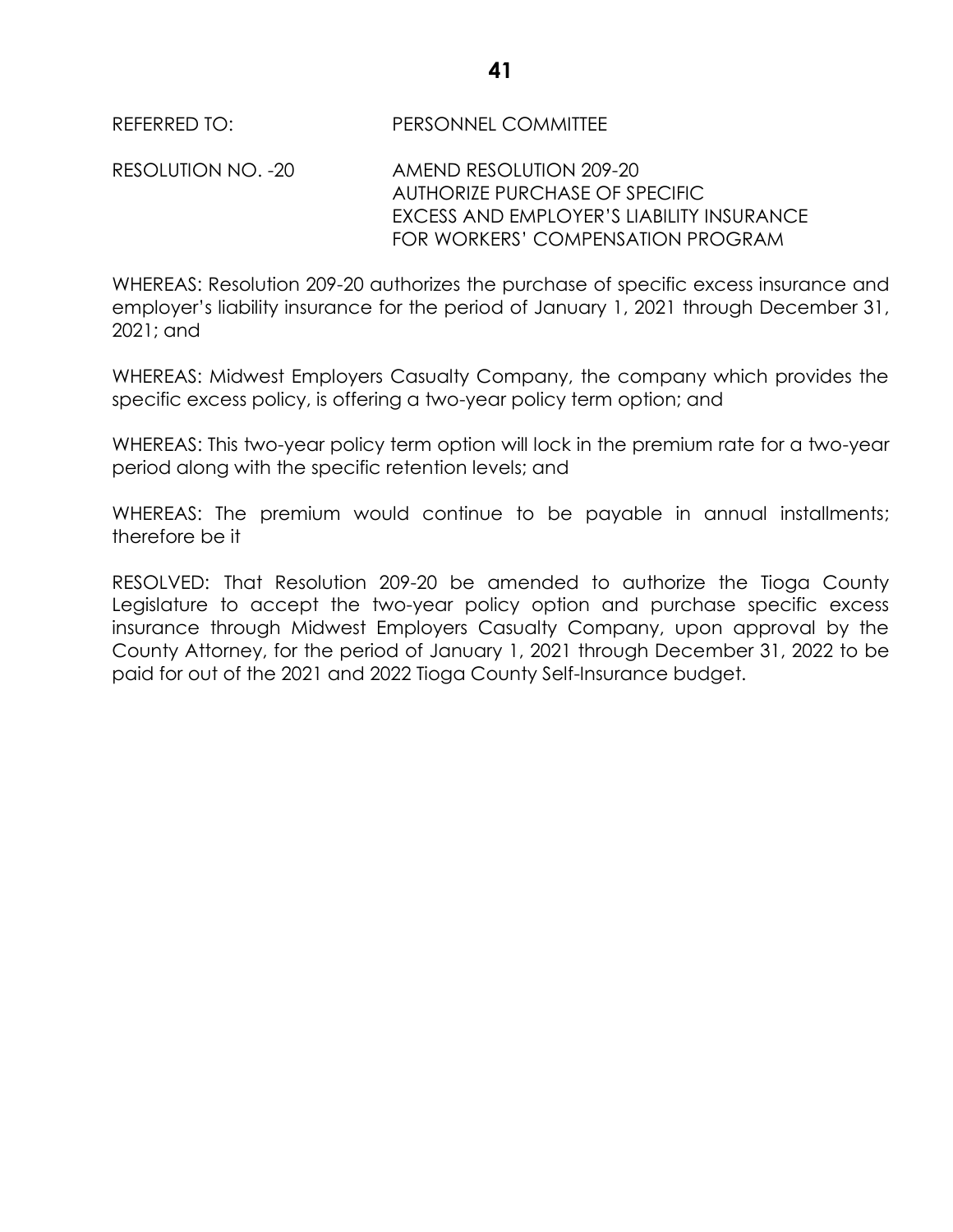RESOLUTION NO. -20 AMEND RESOLUTION 209-20 AUTHORIZE PURCHASE OF SPECIFIC EXCESS AND EMPLOYER'S LIABILITY INSURANCE FOR WORKERS' COMPENSATION PROGRAM

WHEREAS: Resolution 209-20 authorizes the purchase of specific excess insurance and employer's liability insurance for the period of January 1, 2021 through December 31, 2021; and

WHEREAS: Midwest Employers Casualty Company, the company which provides the specific excess policy, is offering a two-year policy term option; and

WHEREAS: This two-year policy term option will lock in the premium rate for a two-year period along with the specific retention levels; and

WHEREAS: The premium would continue to be payable in annual installments; therefore be it

RESOLVED: That Resolution 209-20 be amended to authorize the Tioga County Legislature to accept the two-year policy option and purchase specific excess insurance through Midwest Employers Casualty Company, upon approval by the County Attorney, for the period of January 1, 2021 through December 31, 2022 to be paid for out of the 2021 and 2022 Tioga County Self-Insurance budget.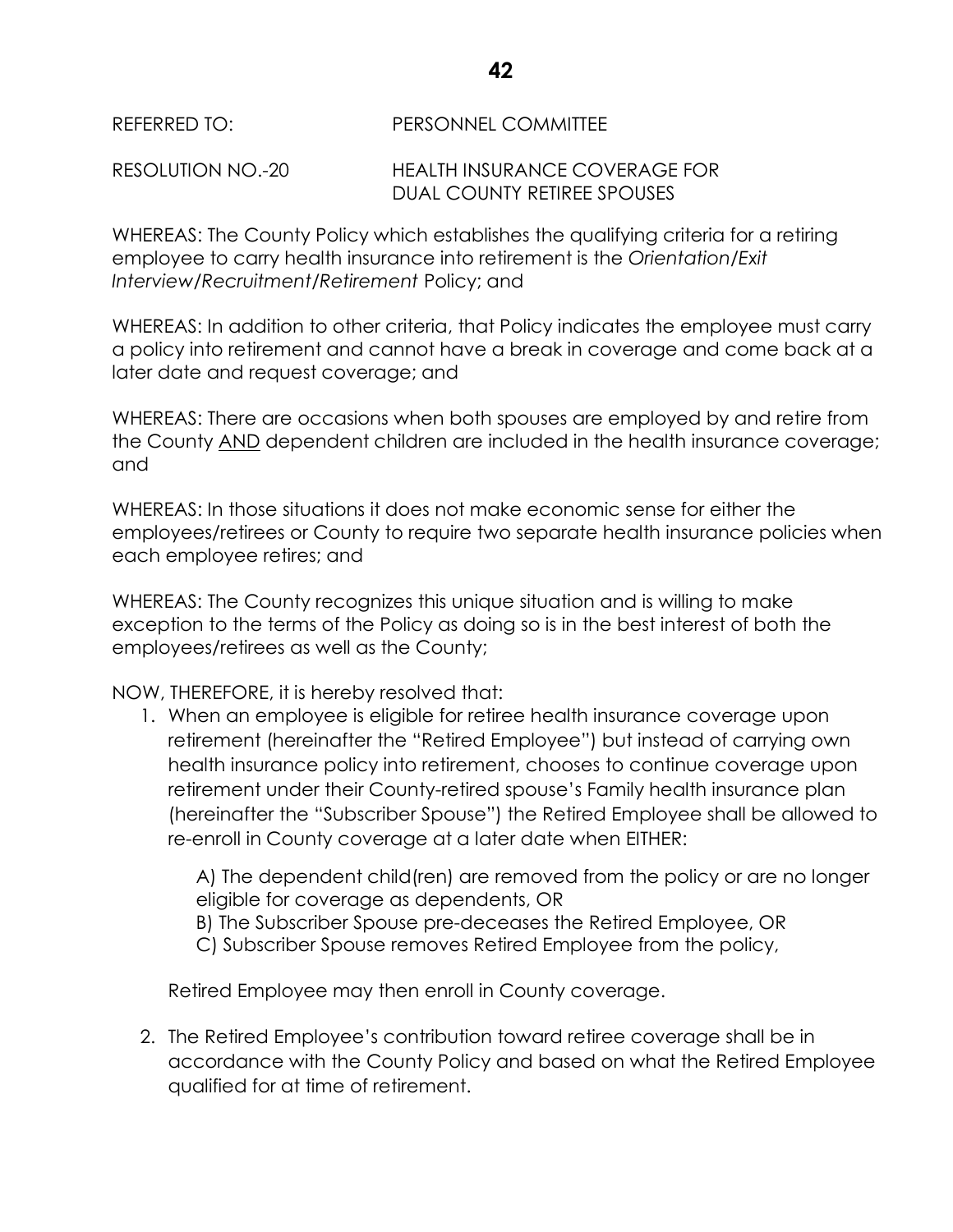RESOLUTION NO.-20 HEALTH INSURANCE COVERAGE FOR DUAL COUNTY RETIREE SPOUSES

WHEREAS: The County Policy which establishes the qualifying criteria for a retiring employee to carry health insurance into retirement is the *Orientation/Exit Interview/Recruitment/Retirement* Policy; and

WHEREAS: In addition to other criteria, that Policy indicates the employee must carry a policy into retirement and cannot have a break in coverage and come back at a later date and request coverage; and

WHEREAS: There are occasions when both spouses are employed by and retire from the County AND dependent children are included in the health insurance coverage; and

WHEREAS: In those situations it does not make economic sense for either the employees/retirees or County to require two separate health insurance policies when each employee retires; and

WHEREAS: The County recognizes this unique situation and is willing to make exception to the terms of the Policy as doing so is in the best interest of both the employees/retirees as well as the County;

NOW, THEREFORE, it is hereby resolved that:

1. When an employee is eligible for retiree health insurance coverage upon retirement (hereinafter the "Retired Employee") but instead of carrying own health insurance policy into retirement, chooses to continue coverage upon retirement under their County-retired spouse's Family health insurance plan (hereinafter the "Subscriber Spouse") the Retired Employee shall be allowed to re-enroll in County coverage at a later date when EITHER:

A) The dependent child(ren) are removed from the policy or are no longer eligible for coverage as dependents, OR B) The Subscriber Spouse pre-deceases the Retired Employee, OR

C) Subscriber Spouse removes Retired Employee from the policy,

Retired Employee may then enroll in County coverage.

2. The Retired Employee's contribution toward retiree coverage shall be in accordance with the County Policy and based on what the Retired Employee qualified for at time of retirement.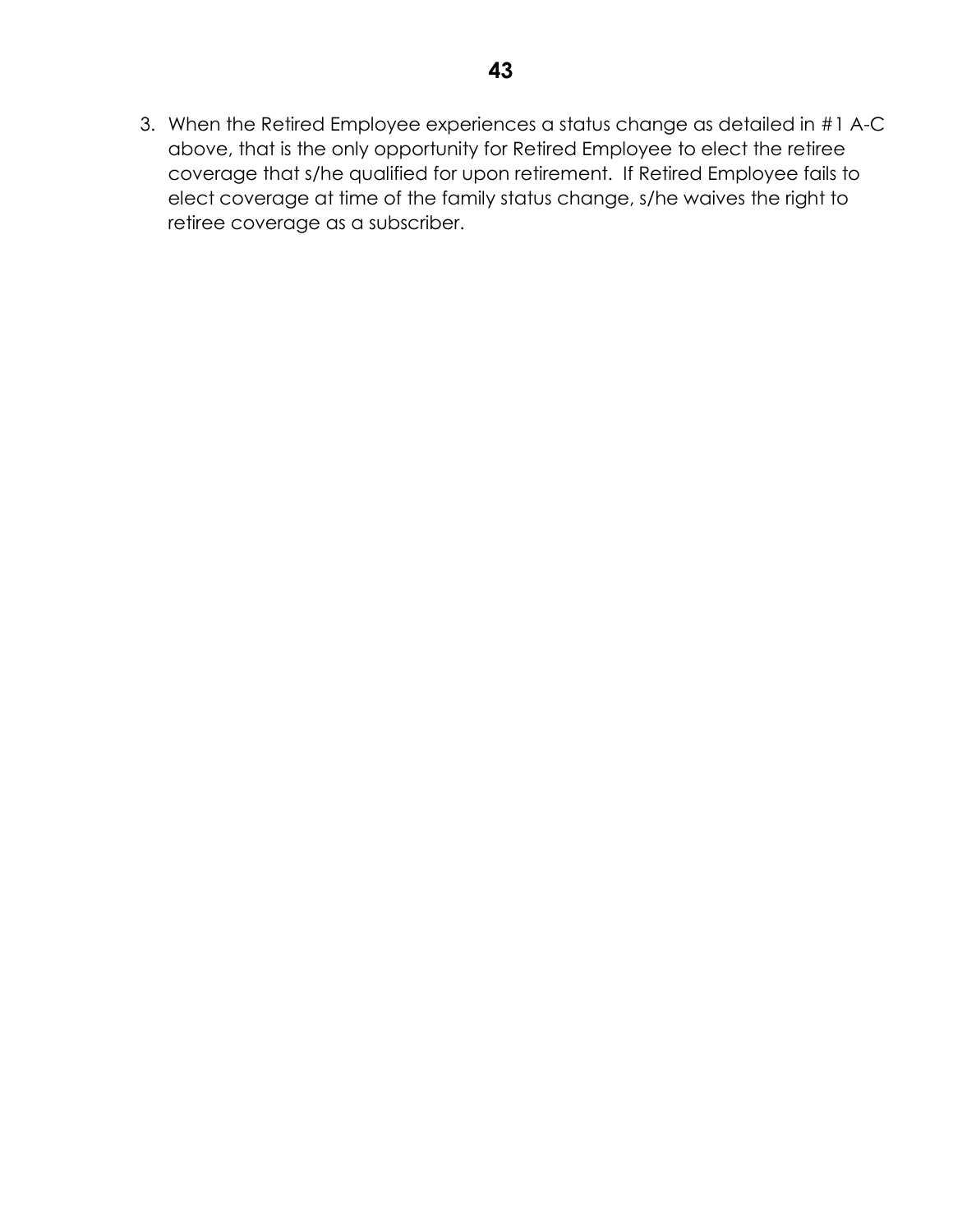3. When the Retired Employee experiences a status change as detailed in #1 A-C above, that is the only opportunity for Retired Employee to elect the retiree coverage that s/he qualified for upon retirement. If Retired Employee fails to elect coverage at time of the family status change, s/he waives the right to retiree coverage as a subscriber.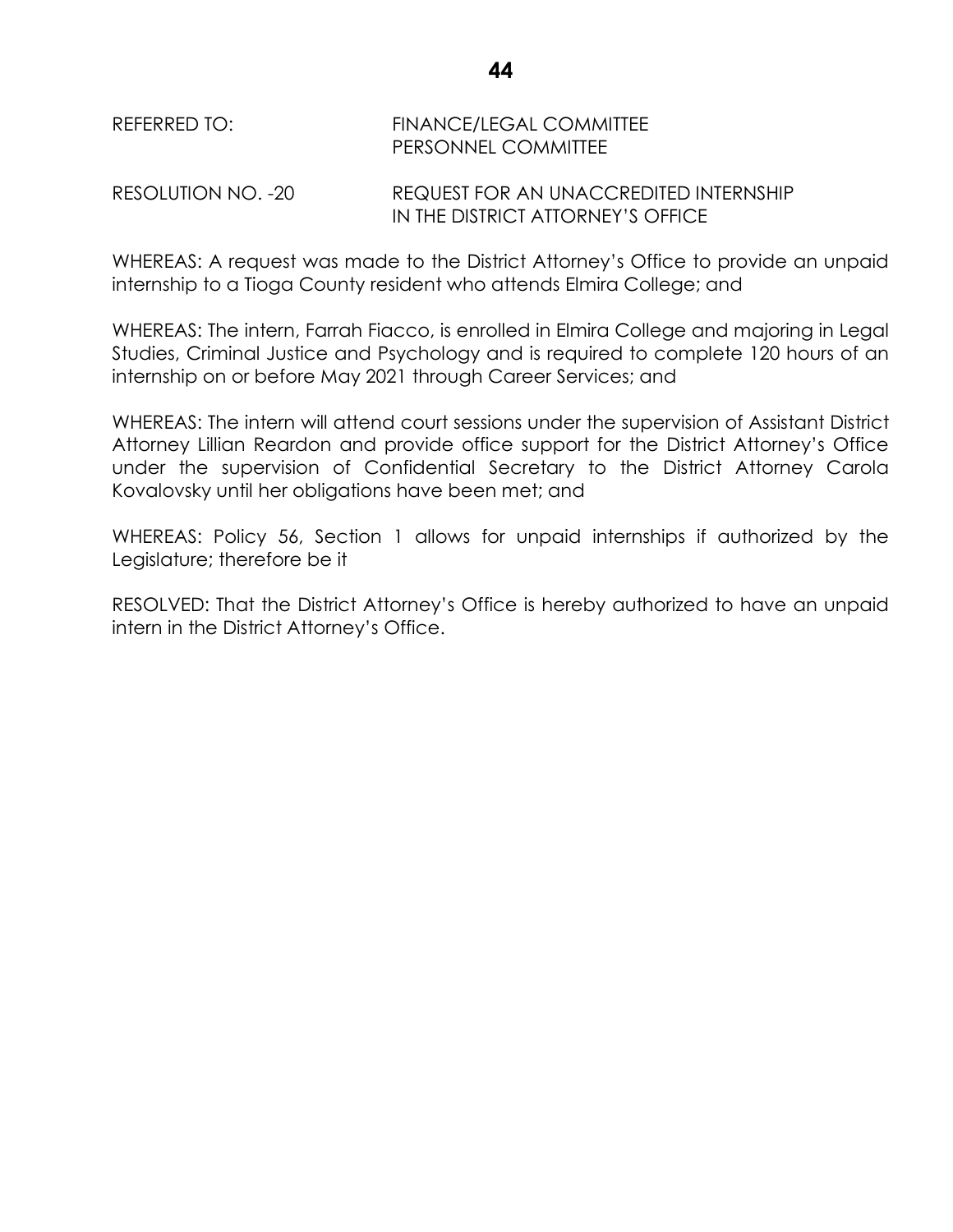| REFERRED TO: | <b>FINANCE/LEGAL COMMITTEE</b> |
|--------------|--------------------------------|
|              | <b>PERSONNEL COMMITTEE</b>     |

RESOLUTION NO. -20 REQUEST FOR AN UNACCREDITED INTERNSHIP IN THE DISTRICT ATTORNEY'S OFFICE

WHEREAS: A request was made to the District Attorney's Office to provide an unpaid internship to a Tioga County resident who attends Elmira College; and

WHEREAS: The intern, Farrah Fiacco, is enrolled in Elmira College and majoring in Legal Studies, Criminal Justice and Psychology and is required to complete 120 hours of an internship on or before May 2021 through Career Services; and

WHEREAS: The intern will attend court sessions under the supervision of Assistant District Attorney Lillian Reardon and provide office support for the District Attorney's Office under the supervision of Confidential Secretary to the District Attorney Carola Kovalovsky until her obligations have been met; and

WHEREAS: Policy 56, Section 1 allows for unpaid internships if authorized by the Legislature; therefore be it

RESOLVED: That the District Attorney's Office is hereby authorized to have an unpaid intern in the District Attorney's Office.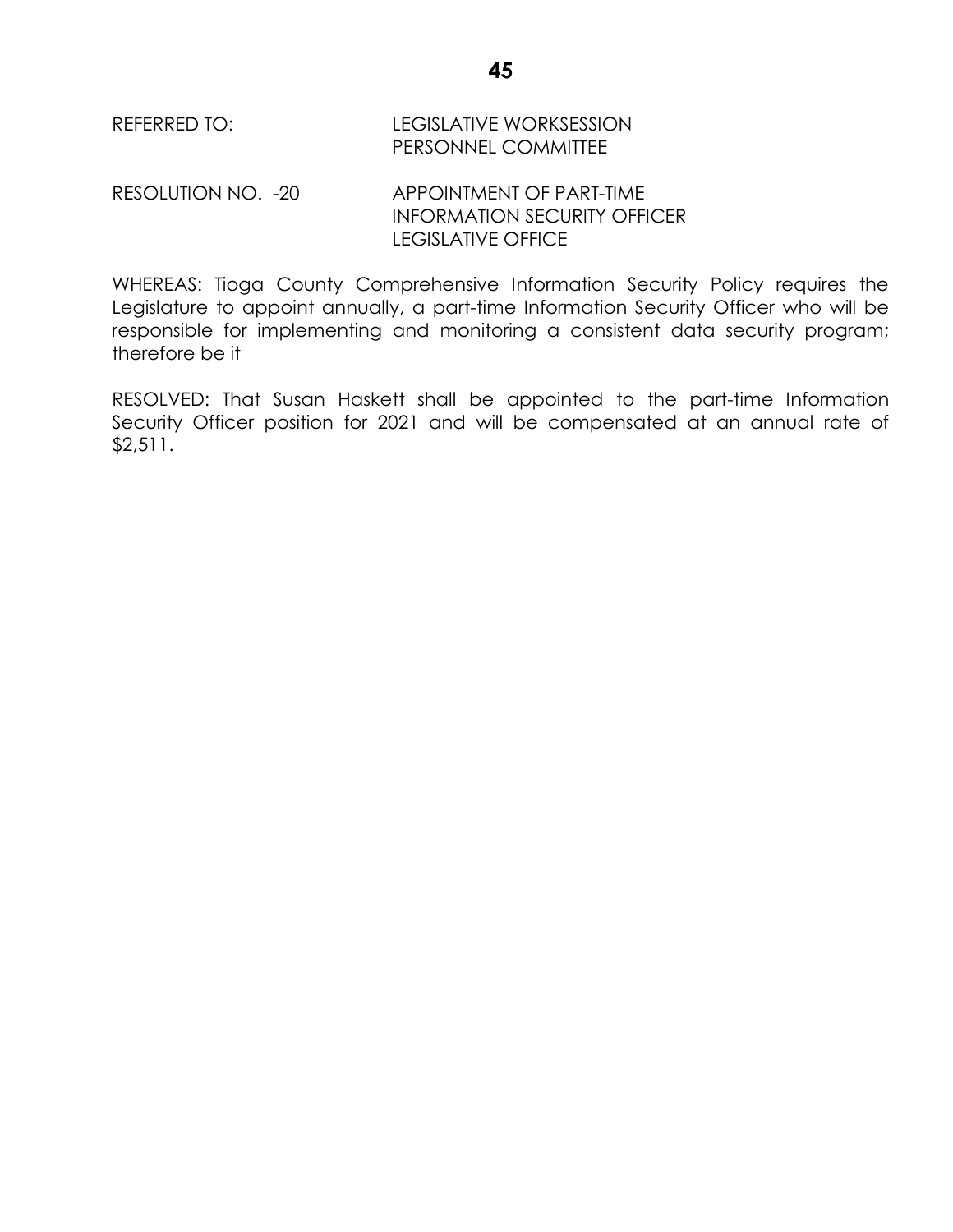| REFERRED TO: | <b>LEGISLATIVE WORKSESSION</b> |
|--------------|--------------------------------|
|              | <b>PERSONNEL COMMITTEE</b>     |

RESOLUTION NO. -20 APPOINTMENT OF PART-TIME INFORMATION SECURITY OFFICER LEGISLATIVE OFFICE

WHEREAS: Tioga County Comprehensive Information Security Policy requires the Legislature to appoint annually, a part-time Information Security Officer who will be responsible for implementing and monitoring a consistent data security program; therefore be it

RESOLVED: That Susan Haskett shall be appointed to the part-time Information Security Officer position for 2021 and will be compensated at an annual rate of \$2,511.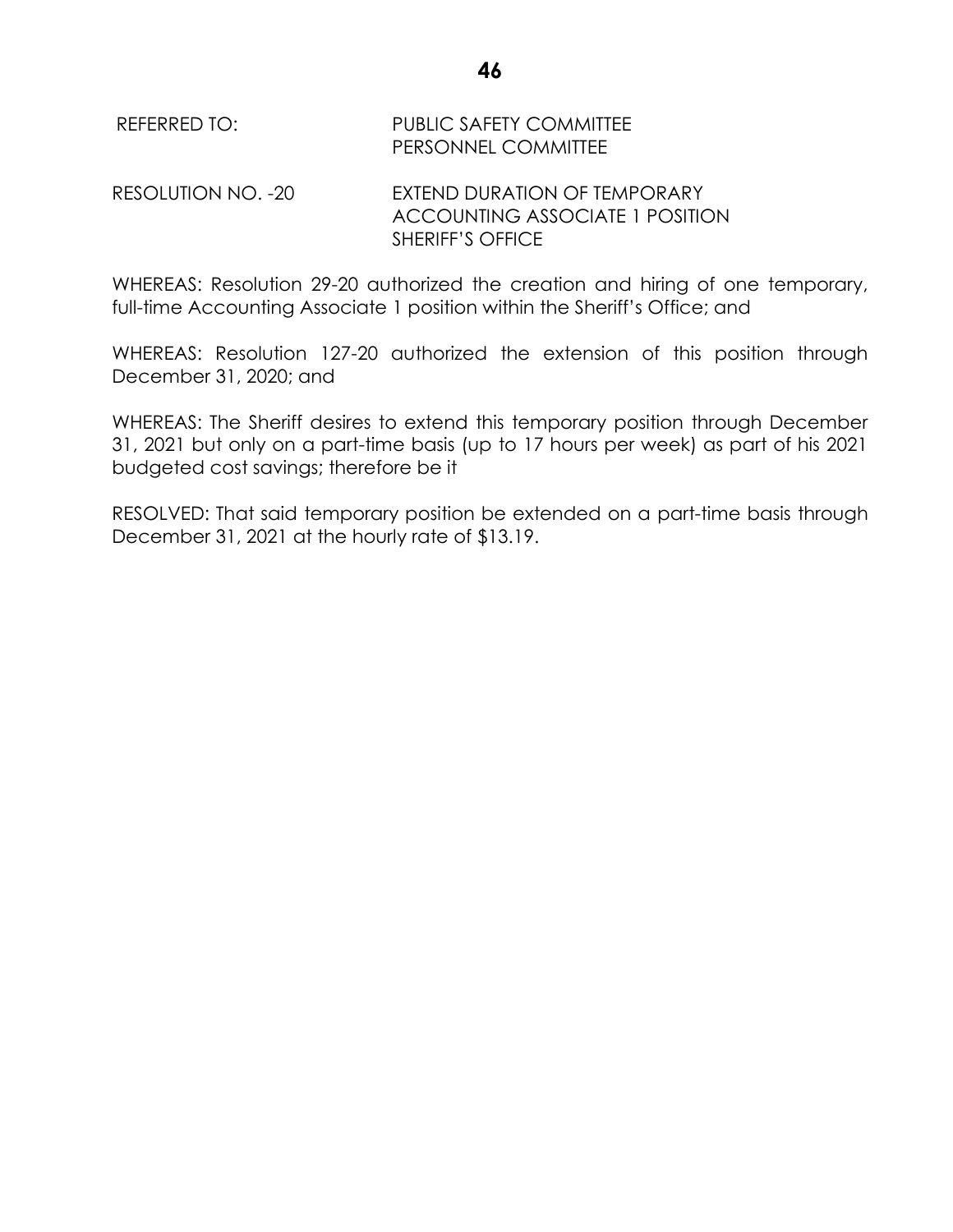| REFERRED TO:       | <b>PUBLIC SAFETY COMMITTEE</b><br>PERSONNEL COMMITTEE                  |
|--------------------|------------------------------------------------------------------------|
| RESOLUTION NO. -20 | EXTEND DURATION OF TEMPORARY<br><b>ACCOUNTING ASSOCIATE 1 POSITION</b> |
|                    | <b>SHERIFF'S OFFICE</b>                                                |

WHEREAS: Resolution 29-20 authorized the creation and hiring of one temporary, full-time Accounting Associate 1 position within the Sheriff's Office; and

WHEREAS: Resolution 127-20 authorized the extension of this position through December 31, 2020; and

WHEREAS: The Sheriff desires to extend this temporary position through December 31, 2021 but only on a part-time basis (up to 17 hours per week) as part of his 2021 budgeted cost savings; therefore be it

RESOLVED: That said temporary position be extended on a part-time basis through December 31, 2021 at the hourly rate of \$13.19.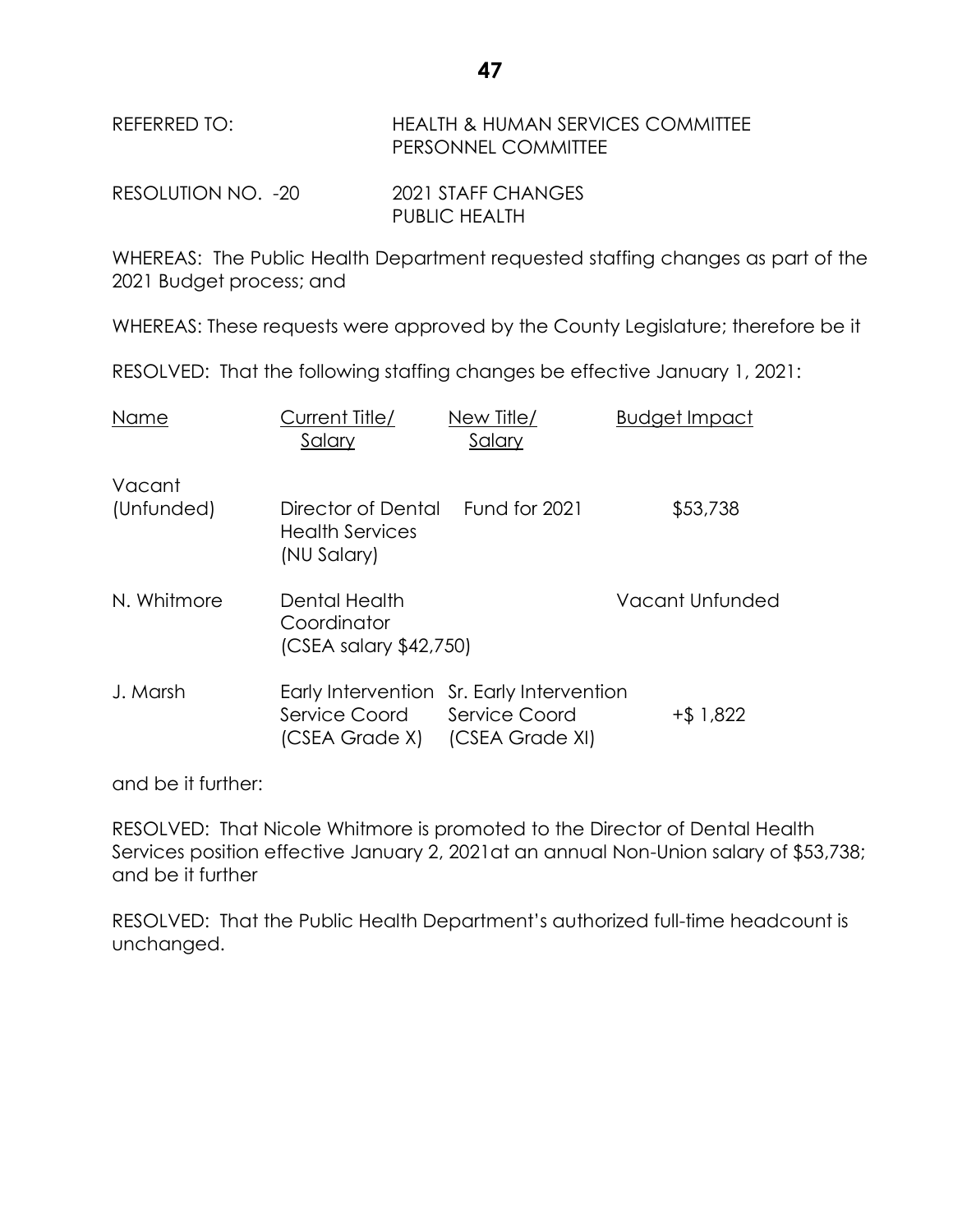| REFERRED TO: | <b>HEALTH &amp; HUMAN SERVICES COMMITTEE</b> |
|--------------|----------------------------------------------|
|              | <b>PERSONNEL COMMITTEE</b>                   |
|              |                                              |

RESOLUTION NO. -20 2021 STAFF CHANGES PUBLIC HEALTH

WHEREAS: The Public Health Department requested staffing changes as part of the 2021 Budget process; and

WHEREAS: These requests were approved by the County Legislature; therefore be it

RESOLVED: That the following staffing changes be effective January 1, 2021:

| Name                 | Current Title/<br>Salary                               | New Title/<br>Salary                                                                 | <b>Budget Impact</b> |
|----------------------|--------------------------------------------------------|--------------------------------------------------------------------------------------|----------------------|
| Vacant<br>(Unfunded) | Director of Dental                                     | Fund for 2021                                                                        | \$53,738             |
|                      | Health Services<br>(NU Salary)                         |                                                                                      |                      |
| N. Whitmore          | Dental Health<br>Coordinator<br>(CSEA salary \$42,750) |                                                                                      | Vacant Unfunded      |
| J. Marsh             | Service Coord<br>(CSEA Grade X)                        | Early Intervention Sr. Early Intervention<br><b>Service Coord</b><br>(CSEA Grade XI) | $+$ \$ 1,822         |

and be it further:

RESOLVED: That Nicole Whitmore is promoted to the Director of Dental Health Services position effective January 2, 2021at an annual Non-Union salary of \$53,738; and be it further

RESOLVED: That the Public Health Department's authorized full-time headcount is unchanged.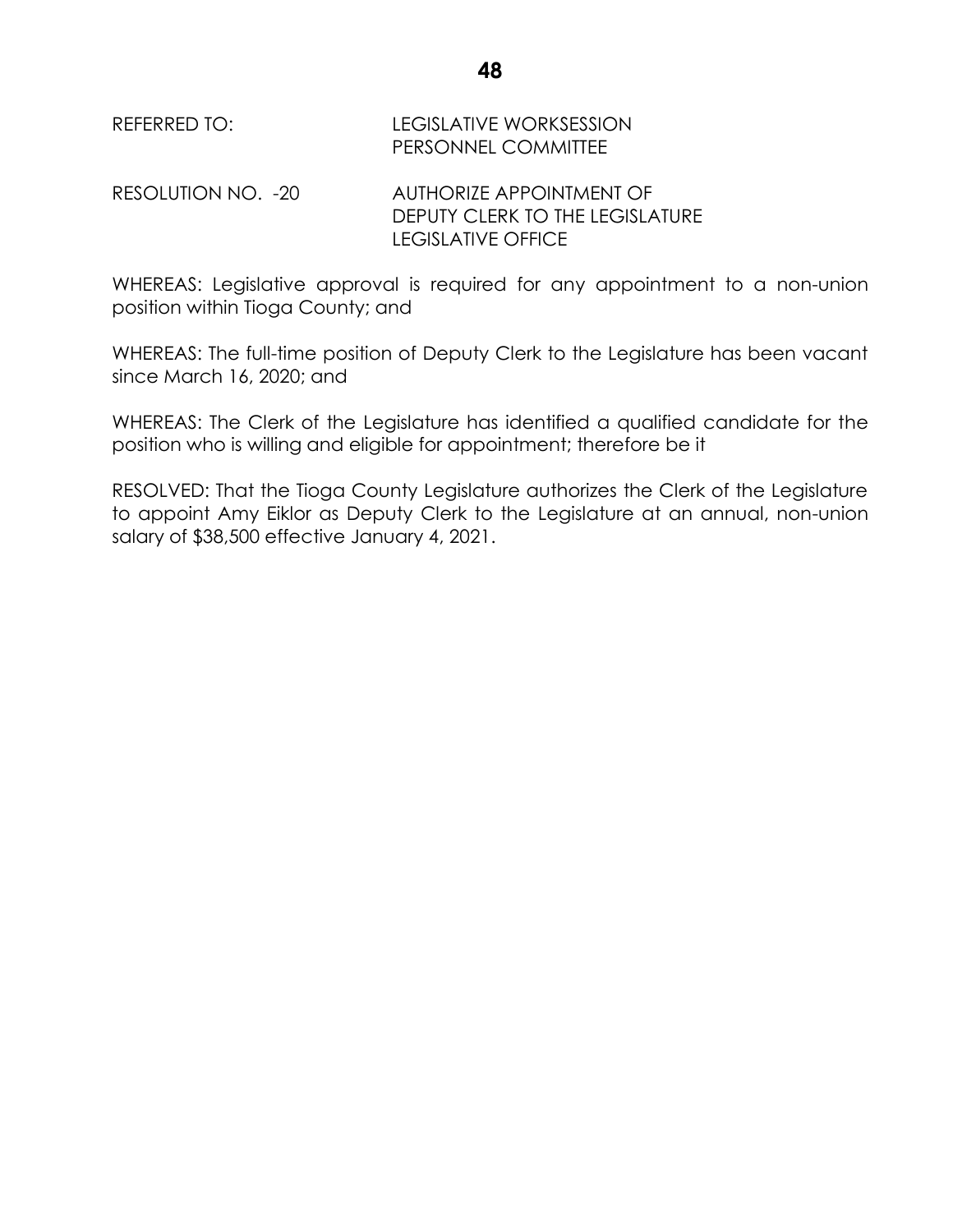| REFERRED TO: I     | <b>LEGISLATIVE WORKSESSION</b><br>PERSONNEL COMMITTEE       |
|--------------------|-------------------------------------------------------------|
| RESOLUTION NO. -20 | AUTHORIZE APPOINTMENT OF<br>DEPUTY CLERK TO THE LEGISLATURE |

WHEREAS: Legislative approval is required for any appointment to a non-union position within Tioga County; and

LEGISLATIVE OFFICE

WHEREAS: The full-time position of Deputy Clerk to the Legislature has been vacant since March 16, 2020; and

WHEREAS: The Clerk of the Legislature has identified a qualified candidate for the position who is willing and eligible for appointment; therefore be it

RESOLVED: That the Tioga County Legislature authorizes the Clerk of the Legislature to appoint Amy Eiklor as Deputy Clerk to the Legislature at an annual, non-union salary of \$38,500 effective January 4, 2021.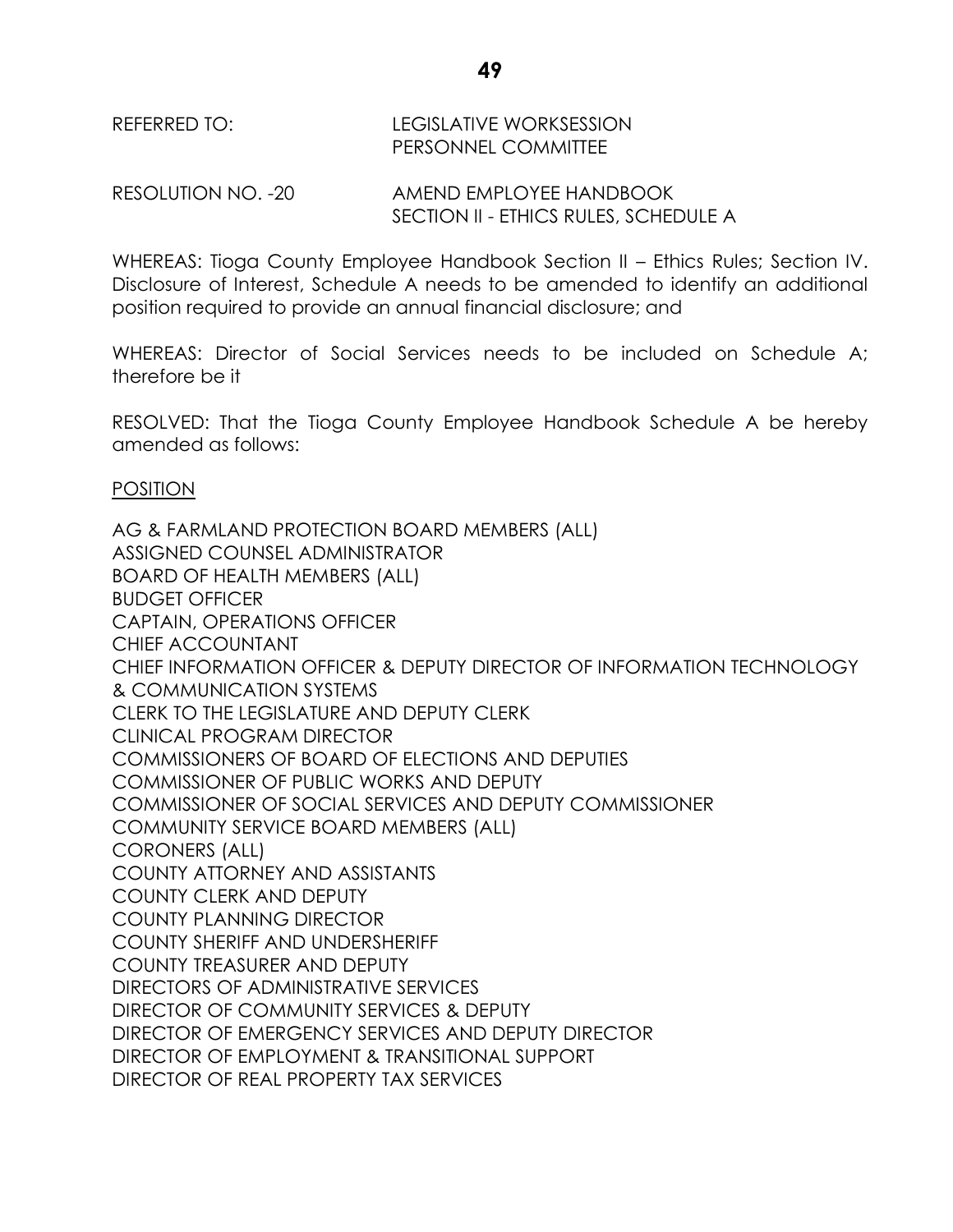RESOLUTION NO. -20 AMEND EMPLOYEE HANDBOOK SECTION II - ETHICS RULES, SCHEDULE A

WHEREAS: Tioga County Employee Handbook Section II – Ethics Rules; Section IV. Disclosure of Interest, Schedule A needs to be amended to identify an additional position required to provide an annual financial disclosure; and

WHEREAS: Director of Social Services needs to be included on Schedule A; therefore be it

RESOLVED: That the Tioga County Employee Handbook Schedule A be hereby amended as follows:

# POSITION

AG & FARMLAND PROTECTION BOARD MEMBERS (ALL) ASSIGNED COUNSEL ADMINISTRATOR BOARD OF HEALTH MEMBERS (ALL) BUDGET OFFICER CAPTAIN, OPERATIONS OFFICER CHIEF ACCOUNTANT CHIEF INFORMATION OFFICER & DEPUTY DIRECTOR OF INFORMATION TECHNOLOGY & COMMUNICATION SYSTEMS CLERK TO THE LEGISLATURE AND DEPUTY CLERK CLINICAL PROGRAM DIRECTOR COMMISSIONERS OF BOARD OF ELECTIONS AND DEPUTIES COMMISSIONER OF PUBLIC WORKS AND DEPUTY COMMISSIONER OF SOCIAL SERVICES AND DEPUTY COMMISSIONER COMMUNITY SERVICE BOARD MEMBERS (ALL) CORONERS (ALL) COUNTY ATTORNEY AND ASSISTANTS COUNTY CLERK AND DEPUTY COUNTY PLANNING DIRECTOR COUNTY SHERIFF AND UNDERSHERIFF COUNTY TREASURER AND DEPUTY DIRECTORS OF ADMINISTRATIVE SERVICES DIRECTOR OF COMMUNITY SERVICES & DEPUTY DIRECTOR OF EMERGENCY SERVICES AND DEPUTY DIRECTOR DIRECTOR OF EMPLOYMENT & TRANSITIONAL SUPPORT DIRECTOR OF REAL PROPERTY TAX SERVICES